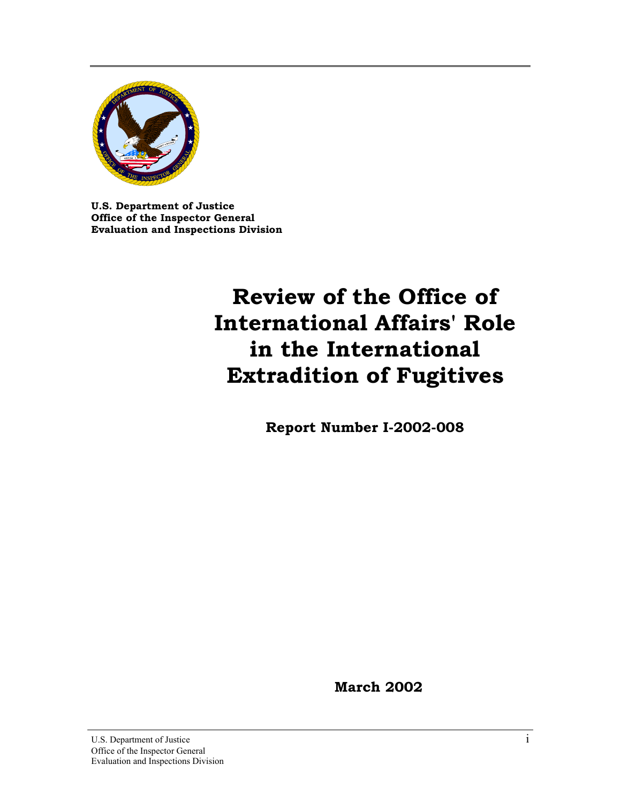

**U.S. Department of Justice Office of the Inspector General Evaluation and Inspections Division**

# **Review of the Office of International Affairs' Role in the International Extradition of Fugitives**

**Report Number I-2002-008**

**March 2002**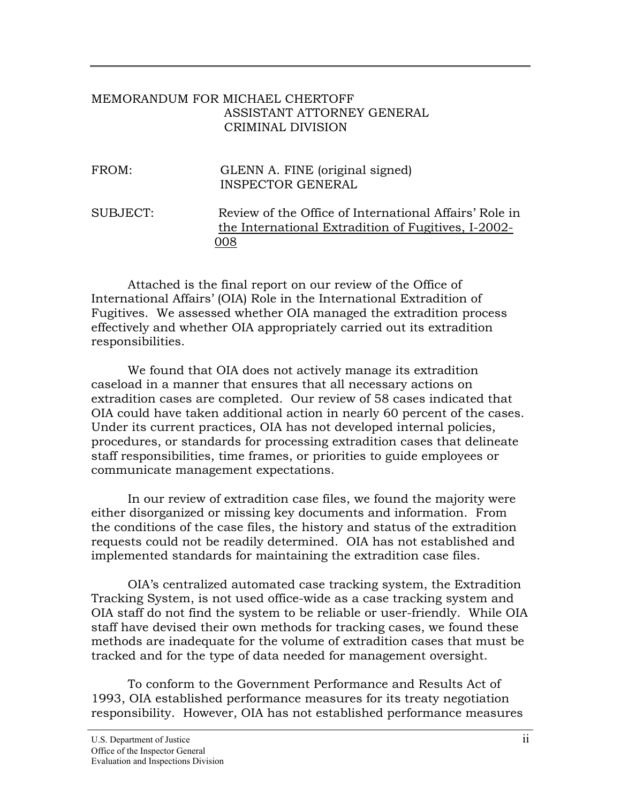### MEMORANDUM FOR MICHAEL CHERTOFF ASSISTANT ATTORNEY GENERAL CRIMINAL DIVISION

| FROM:    | GLENN A. FINE (original signed)<br><b>INSPECTOR GENERAL</b>                                                          |
|----------|----------------------------------------------------------------------------------------------------------------------|
| SUBJECT: | Review of the Office of International Affairs' Role in<br>the International Extradition of Fugitives, I-2002-<br>008 |

Attached is the final report on our review of the Office of International Affairs' (OIA) Role in the International Extradition of Fugitives. We assessed whether OIA managed the extradition process effectively and whether OIA appropriately carried out its extradition responsibilities.

We found that OIA does not actively manage its extradition caseload in a manner that ensures that all necessary actions on extradition cases are completed. Our review of 58 cases indicated that OIA could have taken additional action in nearly 60 percent of the cases. Under its current practices, OIA has not developed internal policies, procedures, or standards for processing extradition cases that delineate staff responsibilities, time frames, or priorities to guide employees or communicate management expectations.

In our review of extradition case files, we found the majority were either disorganized or missing key documents and information. From the conditions of the case files, the history and status of the extradition requests could not be readily determined. OIA has not established and implemented standards for maintaining the extradition case files.

OIA's centralized automated case tracking system, the Extradition Tracking System, is not used office-wide as a case tracking system and OIA staff do not find the system to be reliable or user-friendly. While OIA staff have devised their own methods for tracking cases, we found these methods are inadequate for the volume of extradition cases that must be tracked and for the type of data needed for management oversight.

To conform to the Government Performance and Results Act of 1993, OIA established performance measures for its treaty negotiation responsibility. However, OIA has not established performance measures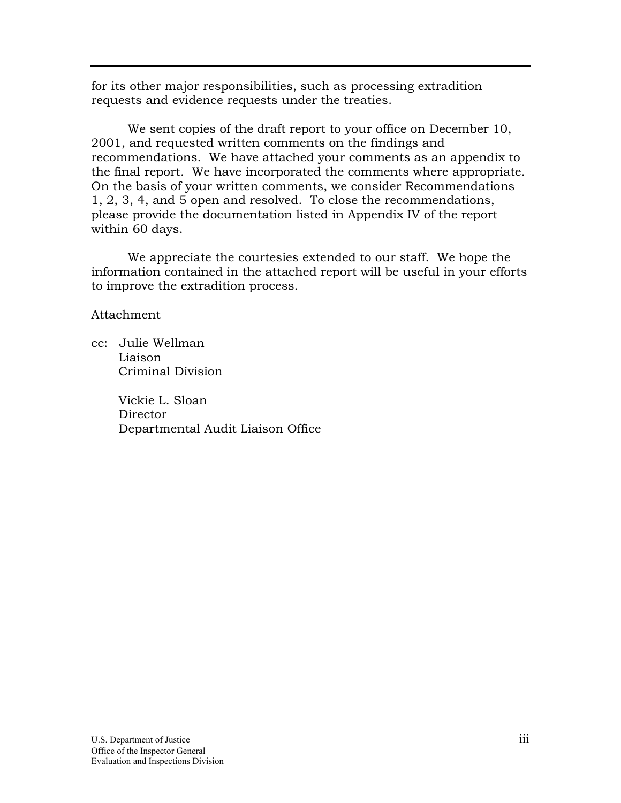for its other major responsibilities, such as processing extradition requests and evidence requests under the treaties.

We sent copies of the draft report to your office on December 10, 2001, and requested written comments on the findings and recommendations. We have attached your comments as an appendix to the final report. We have incorporated the comments where appropriate. On the basis of your written comments, we consider Recommendations 1, 2, 3, 4, and 5 open and resolved. To close the recommendations, please provide the documentation listed in Appendix IV of the report within 60 days.

We appreciate the courtesies extended to our staff. We hope the information contained in the attached report will be useful in your efforts to improve the extradition process.

Attachment

cc: Julie Wellman Liaison Criminal Division

> Vickie L. Sloan **Director** Departmental Audit Liaison Office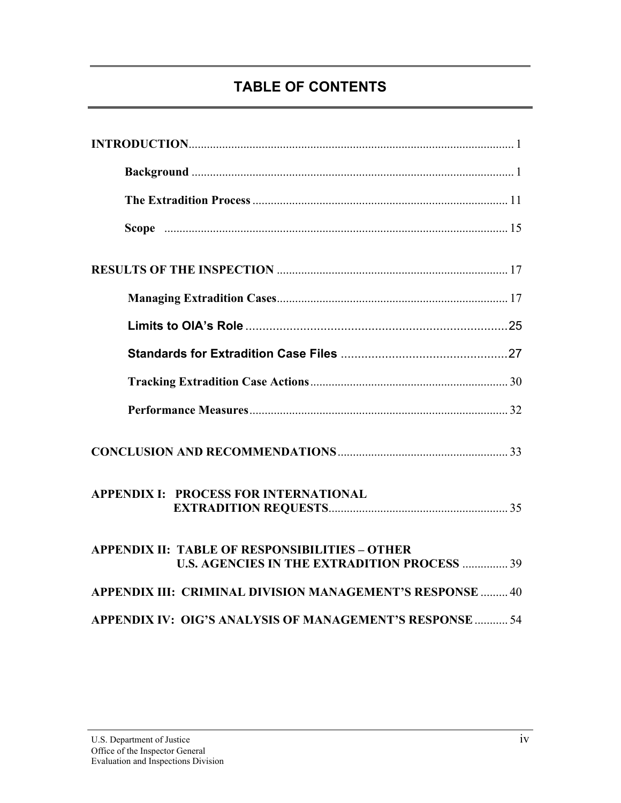# **TABLE OF CONTENTS**

| <b>APPENDIX I: PROCESS FOR INTERNATIONAL</b>                                                                 |  |
|--------------------------------------------------------------------------------------------------------------|--|
| <b>APPENDIX II: TABLE OF RESPONSIBILITIES - OTHER</b><br><b>U.S. AGENCIES IN THE EXTRADITION PROCESS  39</b> |  |
| APPENDIX III: CRIMINAL DIVISION MANAGEMENT'S RESPONSE  40                                                    |  |
| APPENDIX IV: OIG'S ANALYSIS OF MANAGEMENT'S RESPONSE  54                                                     |  |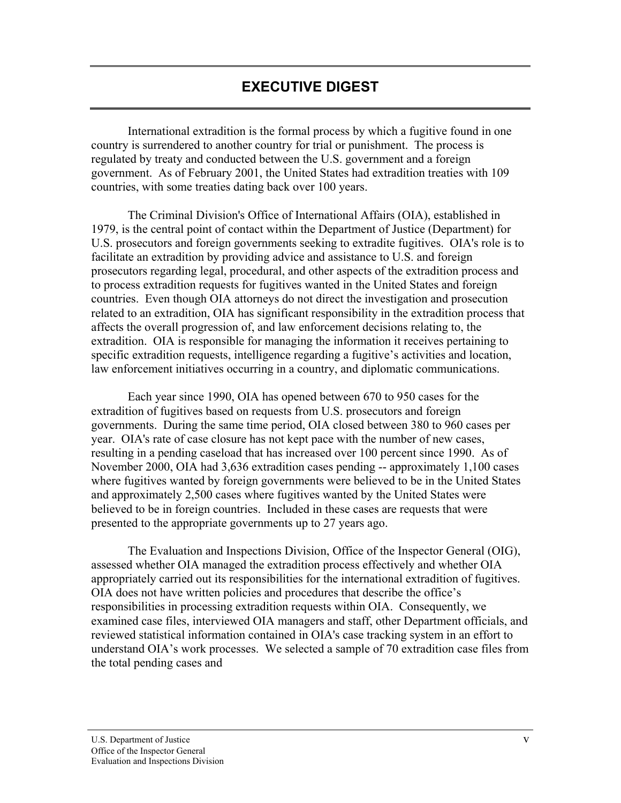International extradition is the formal process by which a fugitive found in one country is surrendered to another country for trial or punishment. The process is regulated by treaty and conducted between the U.S. government and a foreign government. As of February 2001, the United States had extradition treaties with 109 countries, with some treaties dating back over 100 years.

The Criminal Division's Office of International Affairs (OIA), established in 1979, is the central point of contact within the Department of Justice (Department) for U.S. prosecutors and foreign governments seeking to extradite fugitives. OIA's role is to facilitate an extradition by providing advice and assistance to U.S. and foreign prosecutors regarding legal, procedural, and other aspects of the extradition process and to process extradition requests for fugitives wanted in the United States and foreign countries. Even though OIA attorneys do not direct the investigation and prosecution related to an extradition, OIA has significant responsibility in the extradition process that affects the overall progression of, and law enforcement decisions relating to, the extradition. OIA is responsible for managing the information it receives pertaining to specific extradition requests, intelligence regarding a fugitive's activities and location, law enforcement initiatives occurring in a country, and diplomatic communications.

Each year since 1990, OIA has opened between 670 to 950 cases for the extradition of fugitives based on requests from U.S. prosecutors and foreign governments. During the same time period, OIA closed between 380 to 960 cases per year. OIA's rate of case closure has not kept pace with the number of new cases, resulting in a pending caseload that has increased over 100 percent since 1990. As of November 2000, OIA had 3,636 extradition cases pending -- approximately 1,100 cases where fugitives wanted by foreign governments were believed to be in the United States and approximately 2,500 cases where fugitives wanted by the United States were believed to be in foreign countries. Included in these cases are requests that were presented to the appropriate governments up to 27 years ago.

The Evaluation and Inspections Division, Office of the Inspector General (OIG), assessed whether OIA managed the extradition process effectively and whether OIA appropriately carried out its responsibilities for the international extradition of fugitives. OIA does not have written policies and procedures that describe the office's responsibilities in processing extradition requests within OIA. Consequently, we examined case files, interviewed OIA managers and staff, other Department officials, and reviewed statistical information contained in OIA's case tracking system in an effort to understand OIA's work processes. We selected a sample of 70 extradition case files from the total pending cases and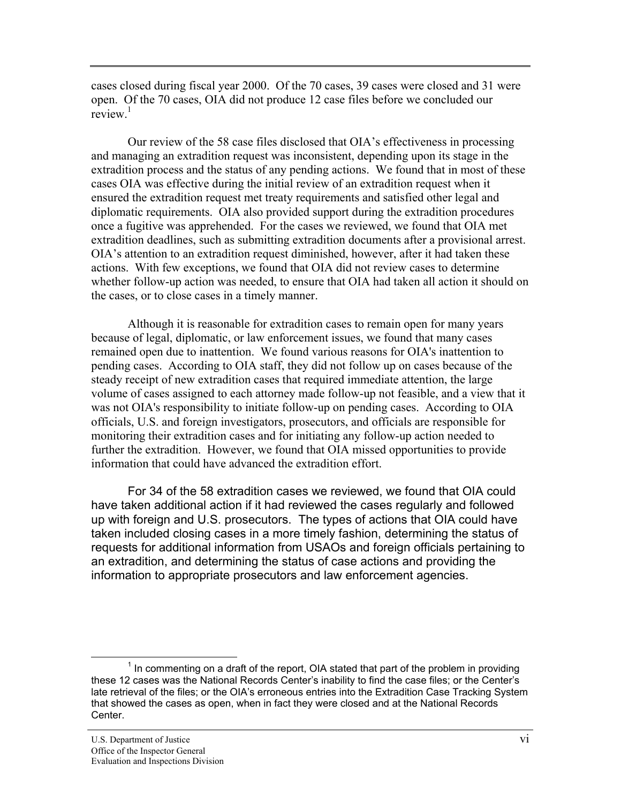cases closed during fiscal year 2000. Of the 70 cases, 39 cases were closed and 31 were open. Of the 70 cases, OIA did not produce 12 case files before we concluded our review<sup>1</sup>

Our review of the 58 case files disclosed that OIA's effectiveness in processing and managing an extradition request was inconsistent, depending upon its stage in the extradition process and the status of any pending actions. We found that in most of these cases OIA was effective during the initial review of an extradition request when it ensured the extradition request met treaty requirements and satisfied other legal and diplomatic requirements. OIA also provided support during the extradition procedures once a fugitive was apprehended. For the cases we reviewed, we found that OIA met extradition deadlines, such as submitting extradition documents after a provisional arrest. OIA's attention to an extradition request diminished, however, after it had taken these actions. With few exceptions, we found that OIA did not review cases to determine whether follow-up action was needed, to ensure that OIA had taken all action it should on the cases, or to close cases in a timely manner.

Although it is reasonable for extradition cases to remain open for many years because of legal, diplomatic, or law enforcement issues, we found that many cases remained open due to inattention. We found various reasons for OIA's inattention to pending cases. According to OIA staff, they did not follow up on cases because of the steady receipt of new extradition cases that required immediate attention, the large volume of cases assigned to each attorney made follow-up not feasible, and a view that it was not OIA's responsibility to initiate follow-up on pending cases. According to OIA officials, U.S. and foreign investigators, prosecutors, and officials are responsible for monitoring their extradition cases and for initiating any follow-up action needed to further the extradition. However, we found that OIA missed opportunities to provide information that could have advanced the extradition effort.

For 34 of the 58 extradition cases we reviewed, we found that OIA could have taken additional action if it had reviewed the cases regularly and followed up with foreign and U.S. prosecutors. The types of actions that OIA could have taken included closing cases in a more timely fashion, determining the status of requests for additional information from USAOs and foreign officials pertaining to an extradition, and determining the status of case actions and providing the information to appropriate prosecutors and law enforcement agencies.

 $<sup>1</sup>$  In commenting on a draft of the report, OIA stated that part of the problem in providing</sup> these 12 cases was the National Records Center's inability to find the case files; or the Center's late retrieval of the files; or the OIA's erroneous entries into the Extradition Case Tracking System that showed the cases as open, when in fact they were closed and at the National Records Center.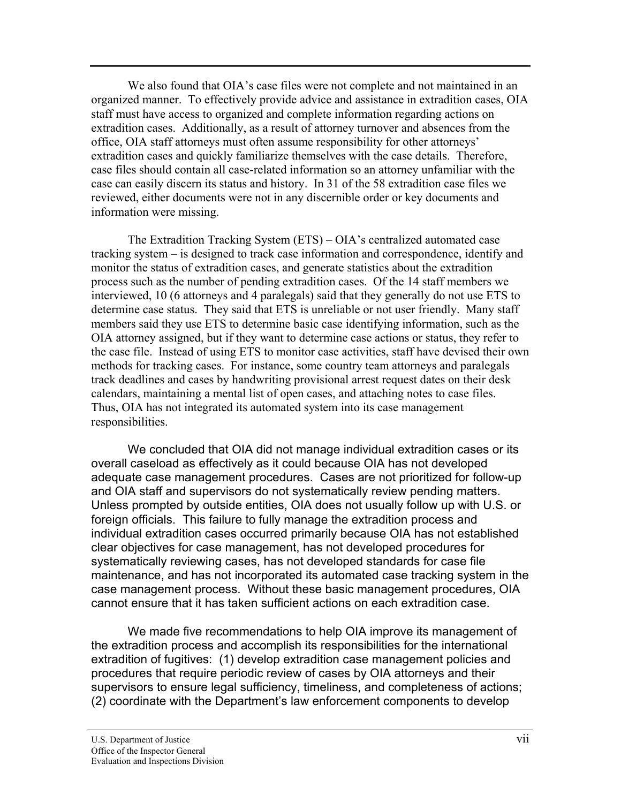We also found that OIA's case files were not complete and not maintained in an organized manner. To effectively provide advice and assistance in extradition cases, OIA staff must have access to organized and complete information regarding actions on extradition cases. Additionally, as a result of attorney turnover and absences from the office, OIA staff attorneys must often assume responsibility for other attorneys' extradition cases and quickly familiarize themselves with the case details. Therefore, case files should contain all case-related information so an attorney unfamiliar with the case can easily discern its status and history. In 31 of the 58 extradition case files we reviewed, either documents were not in any discernible order or key documents and information were missing.

The Extradition Tracking System (ETS) – OIA's centralized automated case tracking system – is designed to track case information and correspondence, identify and monitor the status of extradition cases, and generate statistics about the extradition process such as the number of pending extradition cases. Of the 14 staff members we interviewed, 10 (6 attorneys and 4 paralegals) said that they generally do not use ETS to determine case status. They said that ETS is unreliable or not user friendly. Many staff members said they use ETS to determine basic case identifying information, such as the OIA attorney assigned, but if they want to determine case actions or status, they refer to the case file. Instead of using ETS to monitor case activities, staff have devised their own methods for tracking cases. For instance, some country team attorneys and paralegals track deadlines and cases by handwriting provisional arrest request dates on their desk calendars, maintaining a mental list of open cases, and attaching notes to case files. Thus, OIA has not integrated its automated system into its case management responsibilities.

We concluded that OIA did not manage individual extradition cases or its overall caseload as effectively as it could because OIA has not developed adequate case management procedures. Cases are not prioritized for follow-up and OIA staff and supervisors do not systematically review pending matters. Unless prompted by outside entities, OIA does not usually follow up with U.S. or foreign officials. This failure to fully manage the extradition process and individual extradition cases occurred primarily because OIA has not established clear objectives for case management, has not developed procedures for systematically reviewing cases, has not developed standards for case file maintenance, and has not incorporated its automated case tracking system in the case management process. Without these basic management procedures, OIA cannot ensure that it has taken sufficient actions on each extradition case.

We made five recommendations to help OIA improve its management of the extradition process and accomplish its responsibilities for the international extradition of fugitives: (1) develop extradition case management policies and procedures that require periodic review of cases by OIA attorneys and their supervisors to ensure legal sufficiency, timeliness, and completeness of actions; (2) coordinate with the Department's law enforcement components to develop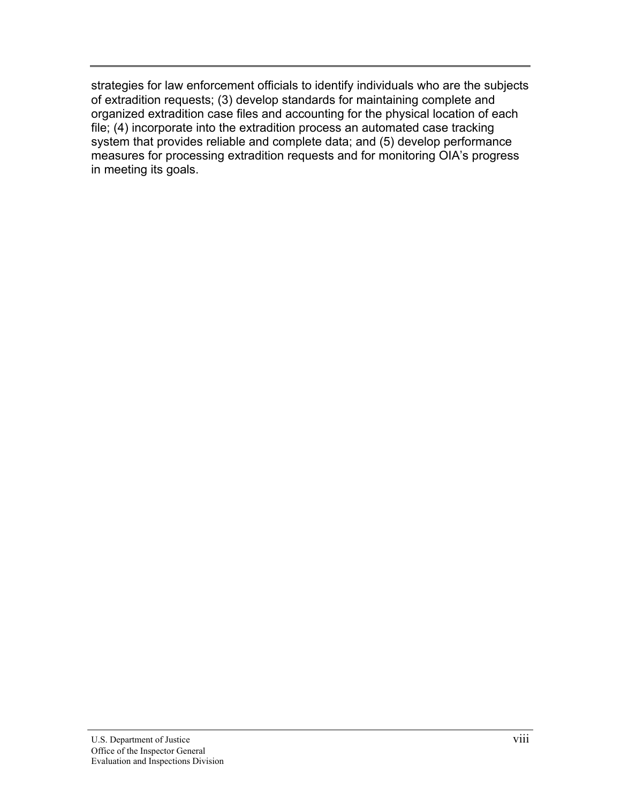strategies for law enforcement officials to identify individuals who are the subjects of extradition requests; (3) develop standards for maintaining complete and organized extradition case files and accounting for the physical location of each file; (4) incorporate into the extradition process an automated case tracking system that provides reliable and complete data; and (5) develop performance measures for processing extradition requests and for monitoring OIA's progress in meeting its goals.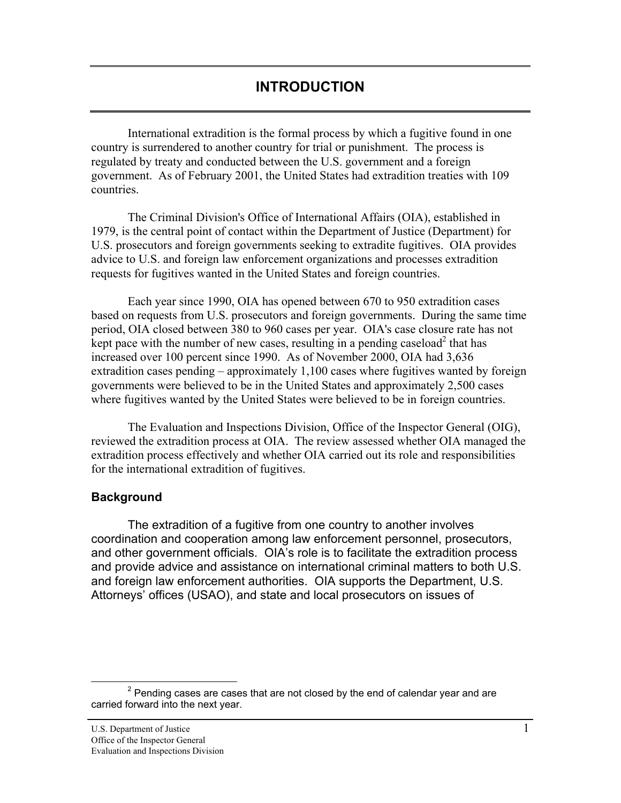<span id="page-8-0"></span>International extradition is the formal process by which a fugitive found in one country is surrendered to another country for trial or punishment. The process is regulated by treaty and conducted between the U.S. government and a foreign government. As of February 2001, the United States had extradition treaties with 109 countries.

The Criminal Division's Office of International Affairs (OIA), established in 1979, is the central point of contact within the Department of Justice (Department) for U.S. prosecutors and foreign governments seeking to extradite fugitives. OIA provides advice to U.S. and foreign law enforcement organizations and processes extradition requests for fugitives wanted in the United States and foreign countries.

Each year since 1990, OIA has opened between 670 to 950 extradition cases based on requests from U.S. prosecutors and foreign governments. During the same time period, OIA closed between 380 to 960 cases per year. OIA's case closure rate has not kept pace with the number of new cases, resulting in a pending caseload<sup>2</sup> that has increased over 100 percent since 1990. As of November 2000, OIA had 3,636 extradition cases pending – approximately 1,100 cases where fugitives wanted by foreign governments were believed to be in the United States and approximately 2,500 cases where fugitives wanted by the United States were believed to be in foreign countries.

The Evaluation and Inspections Division, Office of the Inspector General (OIG), reviewed the extradition process at OIA. The review assessed whether OIA managed the extradition process effectively and whether OIA carried out its role and responsibilities for the international extradition of fugitives.

# **Background**

The extradition of a fugitive from one country to another involves coordination and cooperation among law enforcement personnel, prosecutors, and other government officials. OIA's role is to facilitate the extradition process and provide advice and assistance on international criminal matters to both U.S. and foreign law enforcement authorities. OIA supports the Department, U.S. Attorneys' offices (USAO), and state and local prosecutors on issues of

 $2$  Pending cases are cases that are not closed by the end of calendar year and are carried forward into the next year.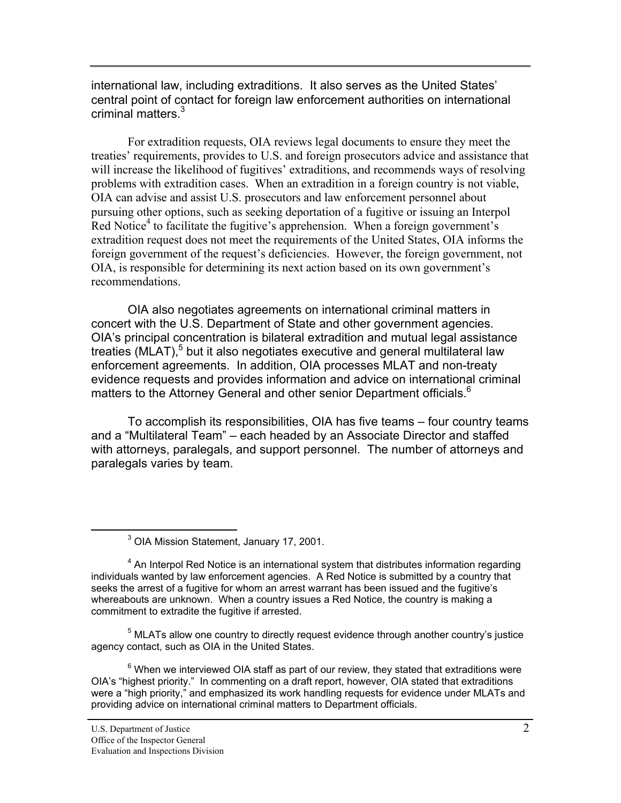international law, including extraditions. It also serves as the United States' central point of contact for foreign law enforcement authorities on international criminal matters.<sup>3</sup>

For extradition requests, OIA reviews legal documents to ensure they meet the treaties' requirements, provides to U.S. and foreign prosecutors advice and assistance that will increase the likelihood of fugitives' extraditions, and recommends ways of resolving problems with extradition cases. When an extradition in a foreign country is not viable, OIA can advise and assist U.S. prosecutors and law enforcement personnel about pursuing other options, such as seeking deportation of a fugitive or issuing an Interpol Red Notice<sup>4</sup> to facilitate the fugitive's apprehension. When a foreign government's extradition request does not meet the requirements of the United States, OIA informs the foreign government of the request's deficiencies. However, the foreign government, not OIA, is responsible for determining its next action based on its own government's recommendations.

OIA also negotiates agreements on international criminal matters in concert with the U.S. Department of State and other government agencies. OIA's principal concentration is bilateral extradition and mutual legal assistance treaties (MLAT),<sup>5</sup> but it also negotiates executive and general multilateral law enforcement agreements. In addition, OIA processes MLAT and non-treaty evidence requests and provides information and advice on international criminal matters to the Attorney General and other senior Department officials.<sup>6</sup>

To accomplish its responsibilities, OIA has five teams – four country teams and a "Multilateral Team" – each headed by an Associate Director and staffed with attorneys, paralegals, and support personnel. The number of attorneys and paralegals varies by team.

<sup>3</sup> OIA Mission Statement, January 17, 2001.

 $5$  MLATs allow one country to directly request evidence through another country's justice agency contact, such as OIA in the United States.

 $^6$  When we interviewed OIA staff as part of our review, they stated that extraditions were OIA's "highest priority." In commenting on a draft report, however, OIA stated that extraditions were a "high priority," and emphasized its work handling requests for evidence under MLATs and providing advice on international criminal matters to Department officials.

<sup>&</sup>lt;sup>4</sup> An Interpol Red Notice is an international system that distributes information regarding individuals wanted by law enforcement agencies. A Red Notice is submitted by a country that seeks the arrest of a fugitive for whom an arrest warrant has been issued and the fugitive's whereabouts are unknown. When a country issues a Red Notice, the country is making a commitment to extradite the fugitive if arrested.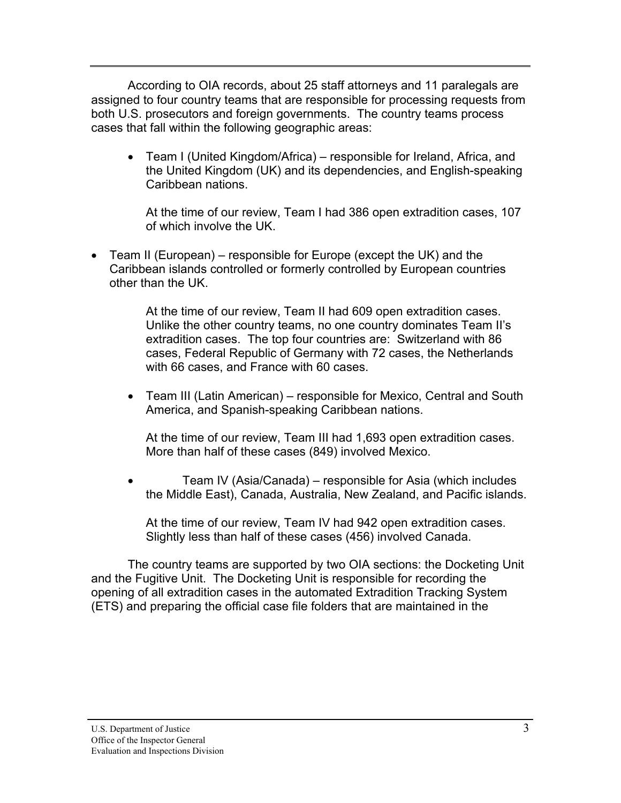According to OIA records, about 25 staff attorneys and 11 paralegals are assigned to four country teams that are responsible for processing requests from both U.S. prosecutors and foreign governments. The country teams process cases that fall within the following geographic areas:

• Team I (United Kingdom/Africa) – responsible for Ireland, Africa, and the United Kingdom (UK) and its dependencies, and English-speaking Caribbean nations.

At the time of our review, Team I had 386 open extradition cases, 107 of which involve the UK.

• Team II (European) – responsible for Europe (except the UK) and the Caribbean islands controlled or formerly controlled by European countries other than the UK.

> At the time of our review, Team II had 609 open extradition cases. Unlike the other country teams, no one country dominates Team II's extradition cases. The top four countries are: Switzerland with 86 cases, Federal Republic of Germany with 72 cases, the Netherlands with 66 cases, and France with 60 cases.

• Team III (Latin American) – responsible for Mexico, Central and South America, and Spanish-speaking Caribbean nations.

At the time of our review, Team III had 1,693 open extradition cases. More than half of these cases (849) involved Mexico.

Team IV (Asia/Canada) – responsible for Asia (which includes the Middle East), Canada, Australia, New Zealand, and Pacific islands.

At the time of our review, Team IV had 942 open extradition cases. Slightly less than half of these cases (456) involved Canada.

The country teams are supported by two OIA sections: the Docketing Unit and the Fugitive Unit. The Docketing Unit is responsible for recording the opening of all extradition cases in the automated Extradition Tracking System (ETS) and preparing the official case file folders that are maintained in the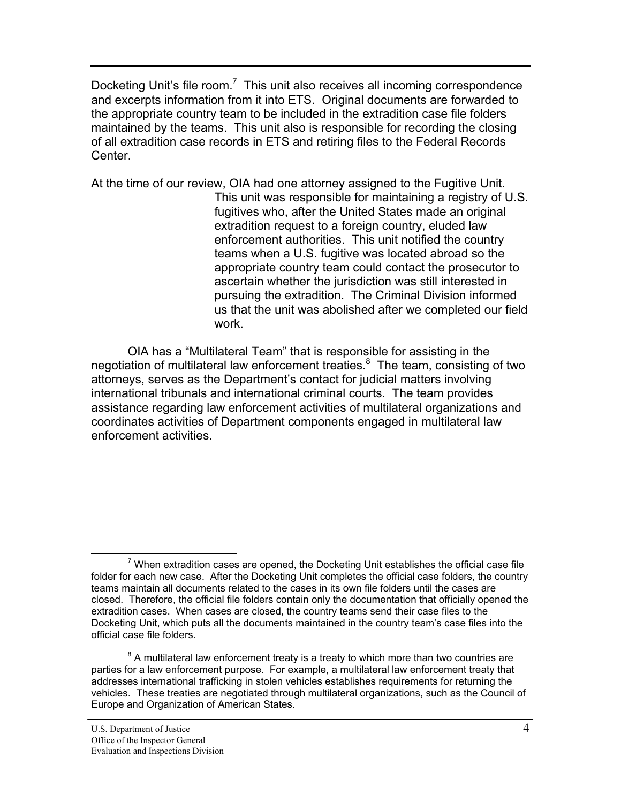Docketing Unit's file room.<sup>7</sup> This unit also receives all incoming correspondence and excerpts information from it into ETS. Original documents are forwarded to the appropriate country team to be included in the extradition case file folders maintained by the teams. This unit also is responsible for recording the closing of all extradition case records in ETS and retiring files to the Federal Records Center.

At the time of our review, OIA had one attorney assigned to the Fugitive Unit. This unit was responsible for maintaining a registry of U.S. fugitives who, after the United States made an original extradition request to a foreign country, eluded law enforcement authorities. This unit notified the country teams when a U.S. fugitive was located abroad so the appropriate country team could contact the prosecutor to ascertain whether the jurisdiction was still interested in pursuing the extradition. The Criminal Division informed us that the unit was abolished after we completed our field work.

OIA has a "Multilateral Team" that is responsible for assisting in the negotiation of multilateral law enforcement treaties.<sup>8</sup> The team, consisting of two attorneys, serves as the Department's contact for judicial matters involving international tribunals and international criminal courts. The team provides assistance regarding law enforcement activities of multilateral organizations and coordinates activities of Department components engaged in multilateral law enforcement activities.

 $7$  When extradition cases are opened, the Docketing Unit establishes the official case file folder for each new case. After the Docketing Unit completes the official case folders, the country teams maintain all documents related to the cases in its own file folders until the cases are closed. Therefore, the official file folders contain only the documentation that officially opened the extradition cases. When cases are closed, the country teams send their case files to the Docketing Unit, which puts all the documents maintained in the country team's case files into the official case file folders.

 $8$  A multilateral law enforcement treaty is a treaty to which more than two countries are parties for a law enforcement purpose. For example, a multilateral law enforcement treaty that addresses international trafficking in stolen vehicles establishes requirements for returning the vehicles. These treaties are negotiated through multilateral organizations, such as the Council of Europe and Organization of American States.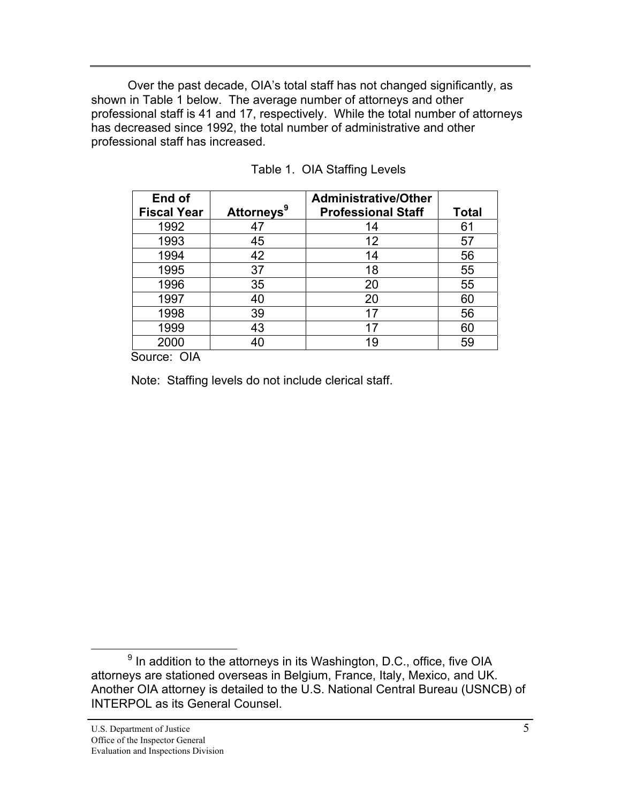Over the past decade, OIA's total staff has not changed significantly, as shown in Table 1 below. The average number of attorneys and other professional staff is 41 and 17, respectively. While the total number of attorneys has decreased since 1992, the total number of administrative and other professional staff has increased.

| End of             |                        | <b>Administrative/Other</b> |              |
|--------------------|------------------------|-----------------------------|--------------|
| <b>Fiscal Year</b> | Attorneys <sup>9</sup> | <b>Professional Staff</b>   | <b>Total</b> |
| 1992               | 47                     | 14                          | 61           |
| 1993               | 45                     | 12                          | 57           |
| 1994               | 42                     | 14                          | 56           |
| 1995               | 37                     | 18                          | 55           |
| 1996               | 35                     | 20                          | 55           |
| 1997               | 40                     | 20                          | 60           |
| 1998               | 39                     | 17                          | 56           |
| 1999               | 43                     | 17                          | 60           |
| 2000               | 40                     | 19                          | 59           |

|  | Table 1. OIA Staffing Levels |  |
|--|------------------------------|--|
|--|------------------------------|--|

Source: OIA

Note: Staffing levels do not include clerical staff.

 $^9$  In addition to the attorneys in its Washington, D.C., office, five OIA attorneys are stationed overseas in Belgium, France, Italy, Mexico, and UK. Another OIA attorney is detailed to the U.S. National Central Bureau (USNCB) of INTERPOL as its General Counsel.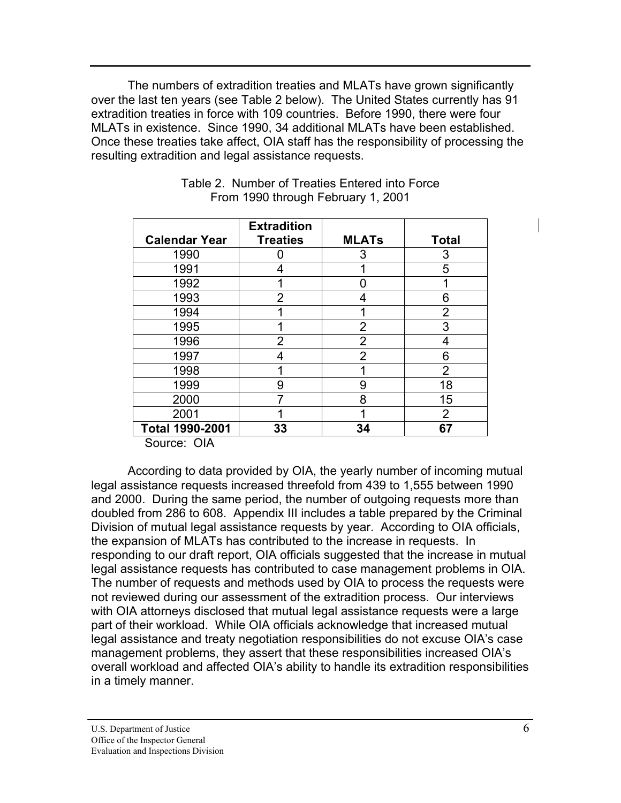The numbers of extradition treaties and MLATs have grown significantly over the last ten years (see Table 2 below). The United States currently has 91 extradition treaties in force with 109 countries. Before 1990, there were four MLATs in existence. Since 1990, 34 additional MLATs have been established. Once these treaties take affect, OIA staff has the responsibility of processing the resulting extradition and legal assistance requests.

|                                   | <b>Extradition</b> |              |                |
|-----------------------------------|--------------------|--------------|----------------|
| <b>Calendar Year</b>              | <b>Treaties</b>    | <b>MLATs</b> | <b>Total</b>   |
| 1990                              |                    | 3            | 3              |
| 1991                              | 4                  |              | 5              |
| 1992                              |                    |              |                |
| 1993                              | 2                  | 4            | 6              |
| 1994                              |                    | 1            | $\overline{2}$ |
| 1995                              |                    | 2            | 3              |
| 1996                              | 2                  | 2            | 4              |
| 1997                              | 4                  | 2            | 6              |
| 1998                              |                    |              | $\overline{2}$ |
| 1999                              | 9                  | 9            | 18             |
| 2000                              |                    | 8            | 15             |
| 2001                              |                    | ◢            | $\overline{2}$ |
| Total 1990-2001                   | 33                 | 34           | 67             |
| $C_{\text{All}}$ $C_{\text{All}}$ |                    |              |                |

### Table 2. Number of Treaties Entered into Force From 1990 through February 1, 2001

Source: OIA

 According to data provided by OIA, the yearly number of incoming mutual legal assistance requests increased threefold from 439 to 1,555 between 1990 and 2000. During the same period, the number of outgoing requests more than doubled from 286 to 608. Appendix III includes a table prepared by the Criminal Division of mutual legal assistance requests by year. According to OIA officials, the expansion of MLATs has contributed to the increase in requests. In responding to our draft report, OIA officials suggested that the increase in mutual legal assistance requests has contributed to case management problems in OIA. The number of requests and methods used by OIA to process the requests were not reviewed during our assessment of the extradition process. Our interviews with OIA attorneys disclosed that mutual legal assistance requests were a large part of their workload. While OIA officials acknowledge that increased mutual legal assistance and treaty negotiation responsibilities do not excuse OIA's case management problems, they assert that these responsibilities increased OIA's overall workload and affected OIA's ability to handle its extradition responsibilities in a timely manner.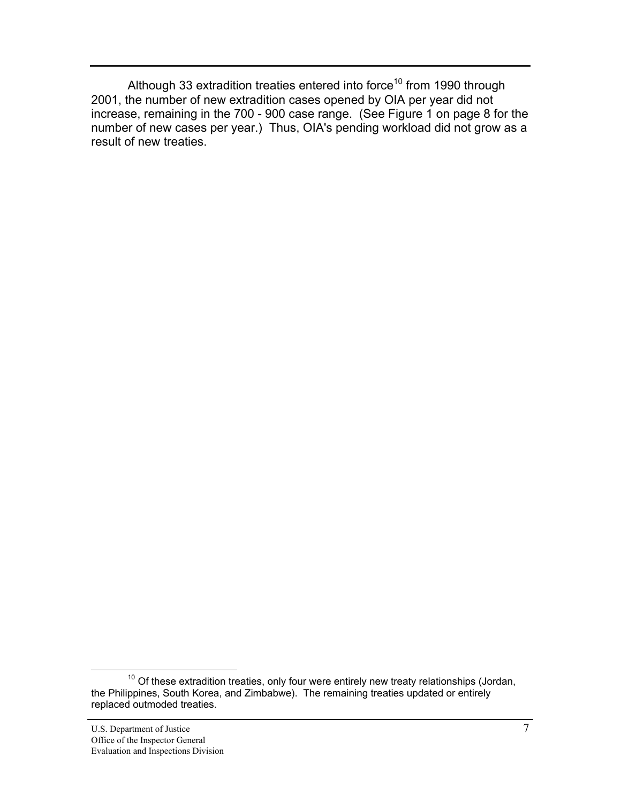Although 33 extradition treaties entered into force<sup>10</sup> from 1990 through 2001, the number of new extradition cases opened by OIA per year did not increase, remaining in the 700 - 900 case range. (See Figure 1 on page 8 for the number of new cases per year.) Thus, OIA's pending workload did not grow as a result of new treaties.

 $10$  Of these extradition treaties, only four were entirely new treaty relationships (Jordan, the Philippines, South Korea, and Zimbabwe). The remaining treaties updated or entirely replaced outmoded treaties.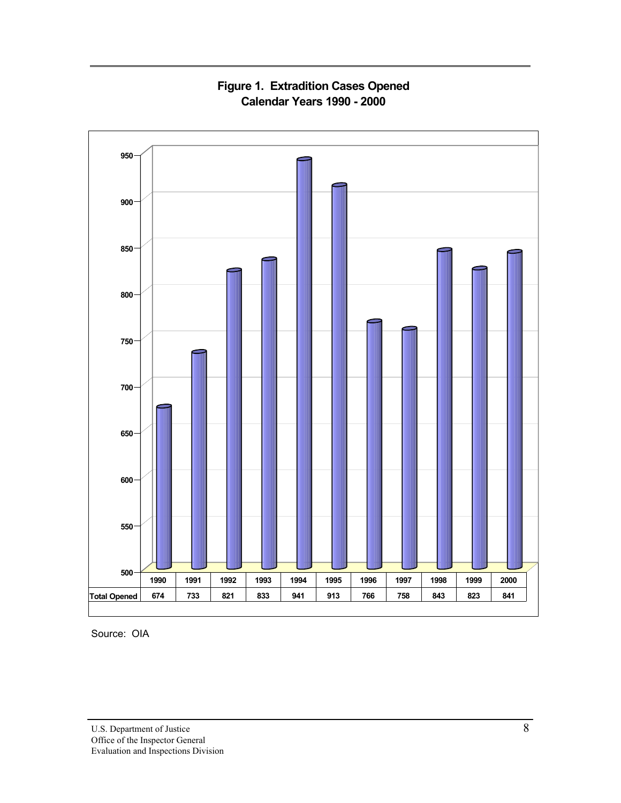

**Figure 1. Extradition Cases Opened Calendar Years 1990 - 2000**

Source: OIA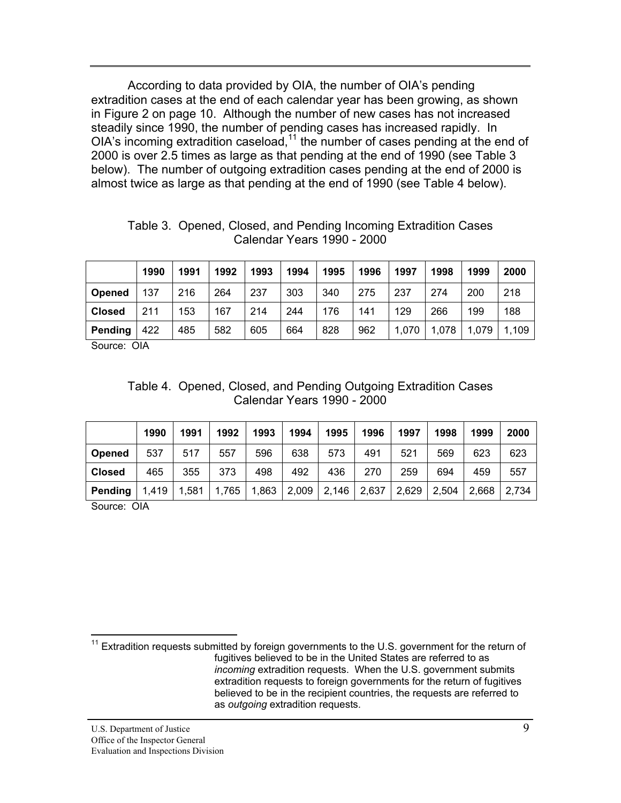According to data provided by OIA, the number of OIA's pending extradition cases at the end of each calendar year has been growing, as shown in Figure 2 on page 10. Although the number of new cases has not increased steadily since 1990, the number of pending cases has increased rapidly. In OIA's incoming extradition caseload,<sup>11</sup> the number of cases pending at the end of 2000 is over 2.5 times as large as that pending at the end of 1990 (see Table 3 below). The number of outgoing extradition cases pending at the end of 2000 is almost twice as large as that pending at the end of 1990 (see Table 4 below).

|               | 1990 | 1991 | 1992 | 1993 | 1994 | 1995 | 1996 | 1997  | 1998  | 1999  | 2000  |
|---------------|------|------|------|------|------|------|------|-------|-------|-------|-------|
| <b>Opened</b> | 137  | 216  | 264  | 237  | 303  | 340  | 275  | 237   | 274   | 200   | 218   |
| <b>Closed</b> | 211  | 153  | 167  | 214  | 244  | 176  | 141  | 129   | 266   | 199   | 188   |
| Pending       | 422  | 485  | 582  | 605  | 664  | 828  | 962  | 1,070 | 1,078 | 1,079 | 1,109 |

Table 3. Opened, Closed, and Pending Incoming Extradition Cases Calendar Years 1990 - 2000

Source: OIA

|  |  |  |                            | Table 4. Opened, Closed, and Pending Outgoing Extradition Cases |  |
|--|--|--|----------------------------|-----------------------------------------------------------------|--|
|  |  |  | Calendar Years 1990 - 2000 |                                                                 |  |

|               | 1990  | 1991  | 1992       | 1993  | 1994  | 1995  | 1996  | 1997  | 1998  | 1999  | 2000  |
|---------------|-------|-------|------------|-------|-------|-------|-------|-------|-------|-------|-------|
| <b>Opened</b> | 537   | 517   | 557        | 596   | 638   | 573   | 491   | 521   | 569   | 623   | 623   |
| <b>Closed</b> | 465   | 355   | 373        | 498   | 492   | 436   | 270   | 259   | 694   | 459   | 557   |
| Pending       | 1,419 | 1,581 | .765<br>4. | 1,863 | 2,009 | 2,146 | 2,637 | 2,629 | 2,504 | 2,668 | 2,734 |

Source: OIA

<sup>&</sup>lt;sup>11</sup> Extradition requests submitted by foreign governments to the U.S. government for the return of fugitives believed to be in the United States are referred to as *incoming* extradition requests. When the U.S. government submits extradition requests to foreign governments for the return of fugitives believed to be in the recipient countries, the requests are referred to as *outgoing* extradition requests.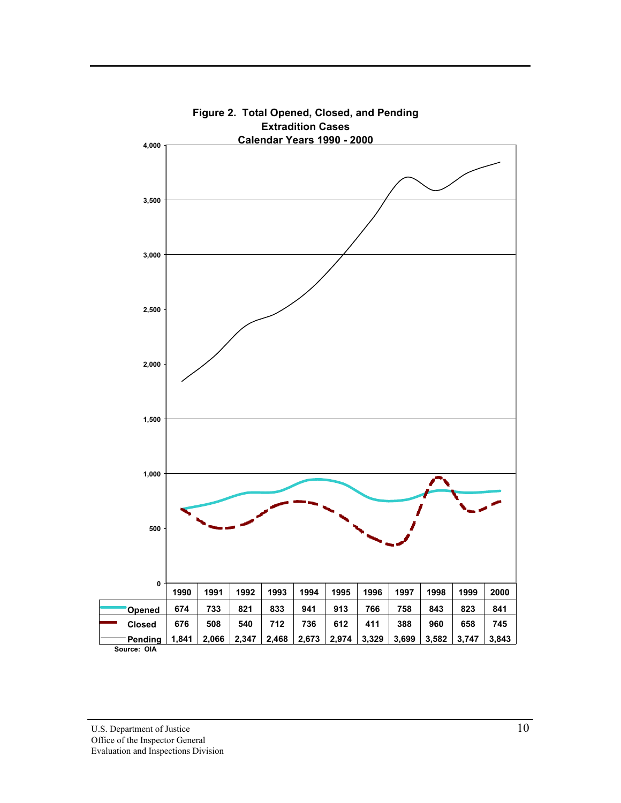

**Figure 2. Total Opened, Closed, and Pending Extradition Cases**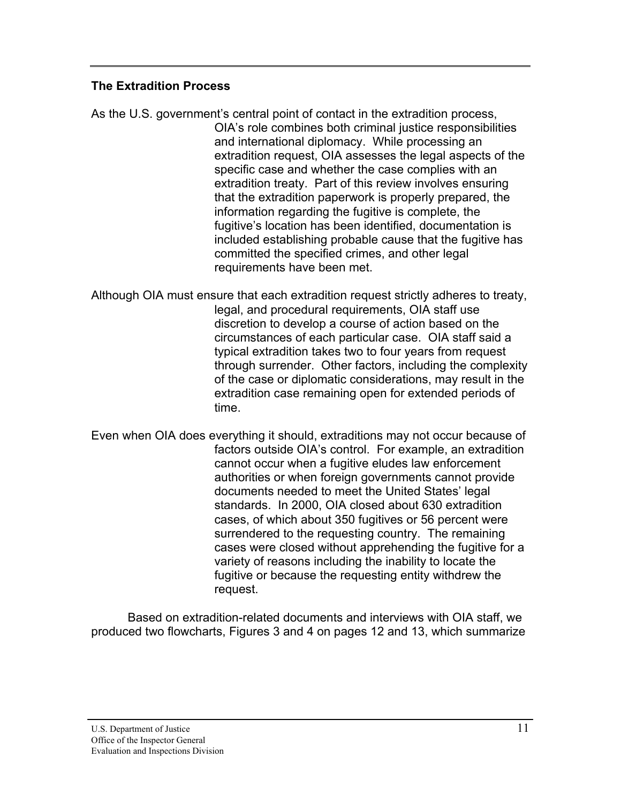# <span id="page-18-0"></span>**The Extradition Process**

As the U.S. government's central point of contact in the extradition process, OIA's role combines both criminal justice responsibilities and international diplomacy. While processing an extradition request, OIA assesses the legal aspects of the specific case and whether the case complies with an extradition treaty. Part of this review involves ensuring that the extradition paperwork is properly prepared, the information regarding the fugitive is complete, the fugitive's location has been identified, documentation is included establishing probable cause that the fugitive has committed the specified crimes, and other legal requirements have been met.

Although OIA must ensure that each extradition request strictly adheres to treaty, legal, and procedural requirements, OIA staff use discretion to develop a course of action based on the circumstances of each particular case. OIA staff said a typical extradition takes two to four years from request through surrender. Other factors, including the complexity of the case or diplomatic considerations, may result in the extradition case remaining open for extended periods of time.

Even when OIA does everything it should, extraditions may not occur because of factors outside OIA's control. For example, an extradition cannot occur when a fugitive eludes law enforcement authorities or when foreign governments cannot provide documents needed to meet the United States' legal standards. In 2000, OIA closed about 630 extradition cases, of which about 350 fugitives or 56 percent were surrendered to the requesting country. The remaining cases were closed without apprehending the fugitive for a variety of reasons including the inability to locate the fugitive or because the requesting entity withdrew the request.

Based on extradition-related documents and interviews with OIA staff, we produced two flowcharts, Figures 3 and 4 on pages 12 and 13, which summarize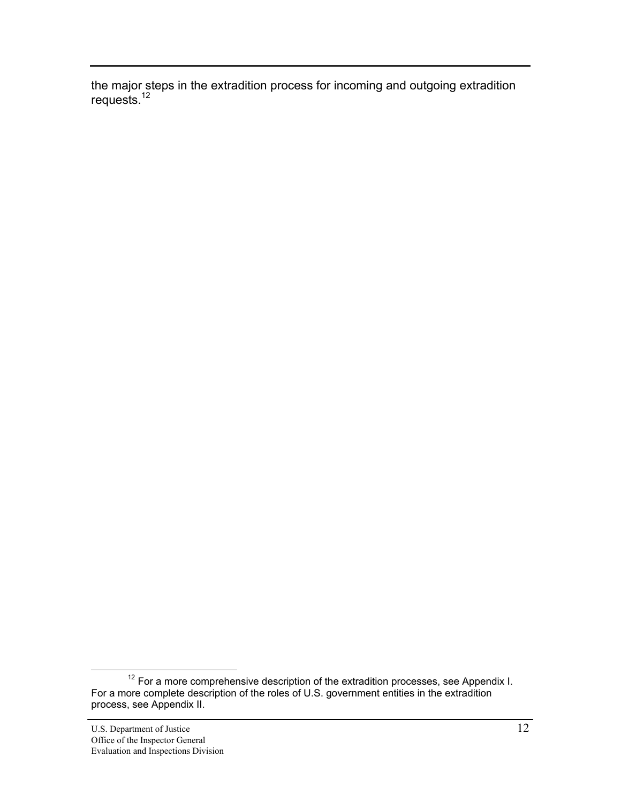the major steps in the extradition process for incoming and outgoing extradition requests.<sup>12</sup>

 $12$  For a more comprehensive description of the extradition processes, see Appendix I. For a more complete description of the roles of U.S. government entities in the extradition process, see Appendix II.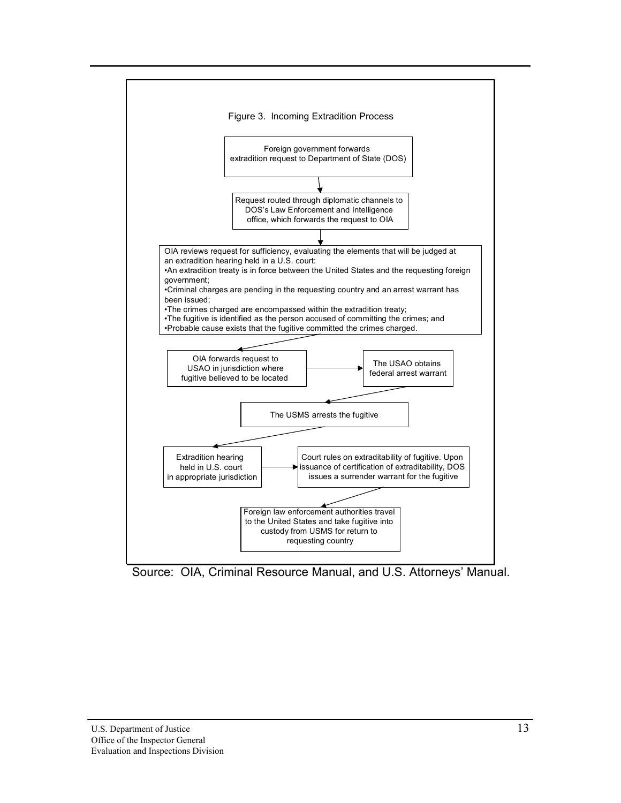

Source: OIA, Criminal Resource Manual, and U.S. Attorneys' Manual.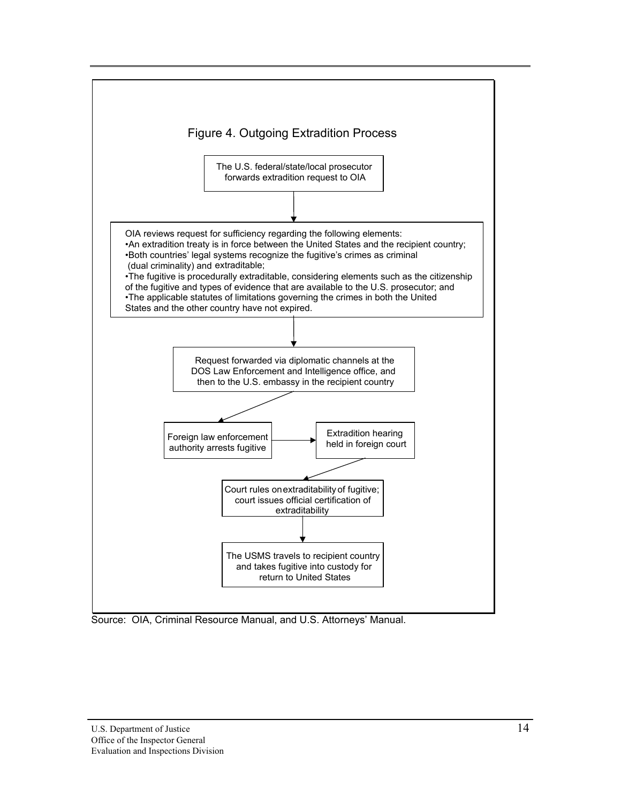

Source: OIA, Criminal Resource Manual, and U.S. Attorneys' Manual.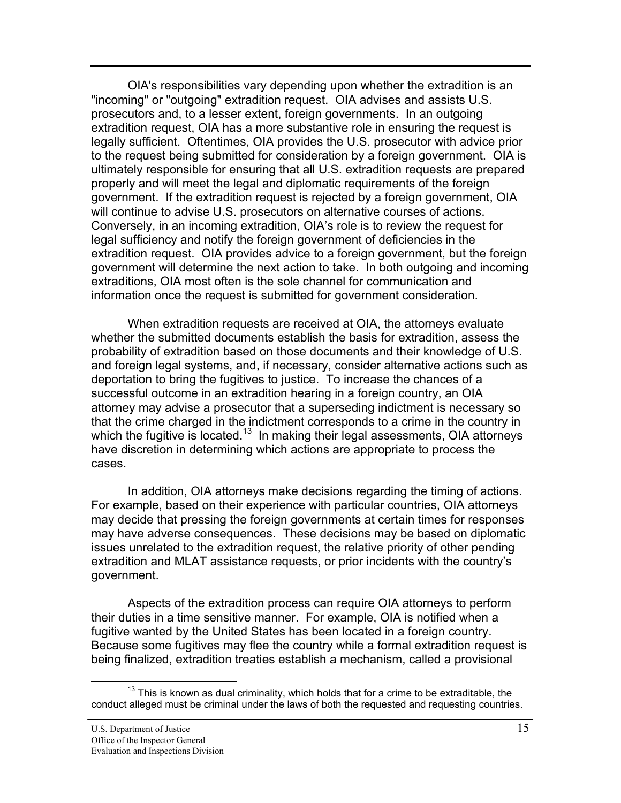OIA's responsibilities vary depending upon whether the extradition is an "incoming" or "outgoing" extradition request. OIA advises and assists U.S. prosecutors and, to a lesser extent, foreign governments. In an outgoing extradition request, OIA has a more substantive role in ensuring the request is legally sufficient. Oftentimes, OIA provides the U.S. prosecutor with advice prior to the request being submitted for consideration by a foreign government. OIA is ultimately responsible for ensuring that all U.S. extradition requests are prepared properly and will meet the legal and diplomatic requirements of the foreign government. If the extradition request is rejected by a foreign government, OIA will continue to advise U.S. prosecutors on alternative courses of actions. Conversely, in an incoming extradition, OIA's role is to review the request for legal sufficiency and notify the foreign government of deficiencies in the extradition request. OIA provides advice to a foreign government, but the foreign government will determine the next action to take. In both outgoing and incoming extraditions, OIA most often is the sole channel for communication and information once the request is submitted for government consideration.

When extradition requests are received at OIA, the attorneys evaluate whether the submitted documents establish the basis for extradition, assess the probability of extradition based on those documents and their knowledge of U.S. and foreign legal systems, and, if necessary, consider alternative actions such as deportation to bring the fugitives to justice. To increase the chances of a successful outcome in an extradition hearing in a foreign country, an OIA attorney may advise a prosecutor that a superseding indictment is necessary so that the crime charged in the indictment corresponds to a crime in the country in which the fugitive is located.<sup>13</sup> In making their legal assessments, OIA attorneys have discretion in determining which actions are appropriate to process the cases.

In addition, OIA attorneys make decisions regarding the timing of actions. For example, based on their experience with particular countries, OIA attorneys may decide that pressing the foreign governments at certain times for responses may have adverse consequences. These decisions may be based on diplomatic issues unrelated to the extradition request, the relative priority of other pending extradition and MLAT assistance requests, or prior incidents with the country's government.

Aspects of the extradition process can require OIA attorneys to perform their duties in a time sensitive manner. For example, OIA is notified when a fugitive wanted by the United States has been located in a foreign country. Because some fugitives may flee the country while a formal extradition request is being finalized, extradition treaties establish a mechanism, called a provisional

 $13$  This is known as dual criminality, which holds that for a crime to be extraditable, the conduct alleged must be criminal under the laws of both the requested and requesting countries.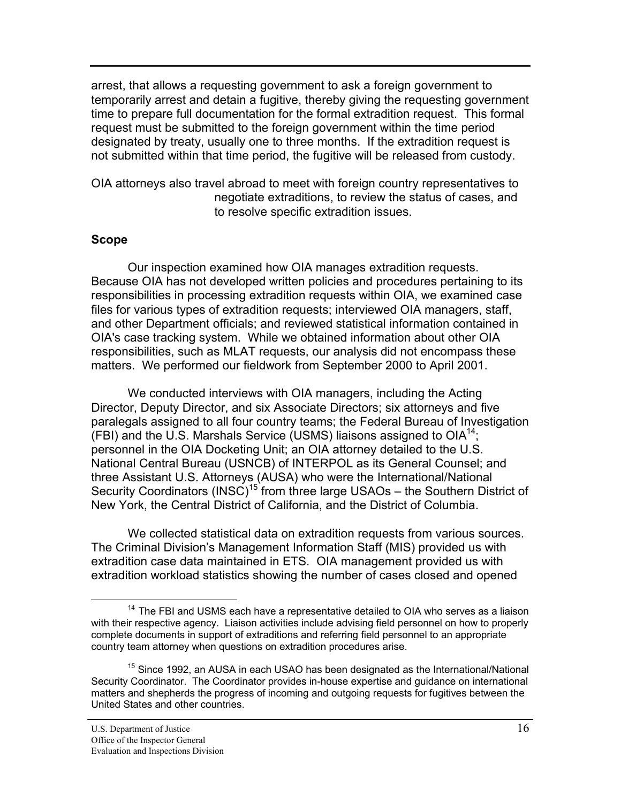<span id="page-23-0"></span>arrest, that allows a requesting government to ask a foreign government to temporarily arrest and detain a fugitive, thereby giving the requesting government time to prepare full documentation for the formal extradition request. This formal request must be submitted to the foreign government within the time period designated by treaty, usually one to three months. If the extradition request is not submitted within that time period, the fugitive will be released from custody.

OIA attorneys also travel abroad to meet with foreign country representatives to negotiate extraditions, to review the status of cases, and to resolve specific extradition issues.

### **Scope**

Our inspection examined how OIA manages extradition requests. Because OIA has not developed written policies and procedures pertaining to its responsibilities in processing extradition requests within OIA, we examined case files for various types of extradition requests; interviewed OIA managers, staff, and other Department officials; and reviewed statistical information contained in OIA's case tracking system. While we obtained information about other OIA responsibilities, such as MLAT requests, our analysis did not encompass these matters. We performed our fieldwork from September 2000 to April 2001.

We conducted interviews with OIA managers, including the Acting Director, Deputy Director, and six Associate Directors; six attorneys and five paralegals assigned to all four country teams; the Federal Bureau of Investigation (FBI) and the U.S. Marshals Service (USMS) liaisons assigned to  $OIA^{14}$ ; personnel in the OIA Docketing Unit; an OIA attorney detailed to the U.S. National Central Bureau (USNCB) of INTERPOL as its General Counsel; and three Assistant U.S. Attorneys (AUSA) who were the International/National Security Coordinators (INSC)<sup>15</sup> from three large USAOs – the Southern District of New York, the Central District of California, and the District of Columbia.

We collected statistical data on extradition requests from various sources. The Criminal Division's Management Information Staff (MIS) provided us with extradition case data maintained in ETS. OIA management provided us with extradition workload statistics showing the number of cases closed and opened

 $14$  The FBI and USMS each have a representative detailed to OIA who serves as a liaison with their respective agency. Liaison activities include advising field personnel on how to properly complete documents in support of extraditions and referring field personnel to an appropriate country team attorney when questions on extradition procedures arise.

 $15$  Since 1992, an AUSA in each USAO has been designated as the International/National Security Coordinator. The Coordinator provides in-house expertise and guidance on international matters and shepherds the progress of incoming and outgoing requests for fugitives between the United States and other countries.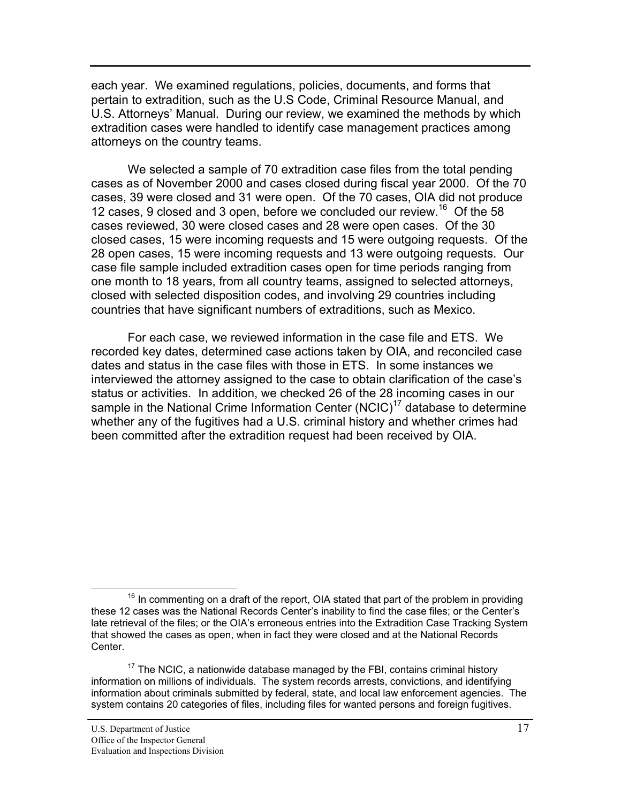each year. We examined regulations, policies, documents, and forms that pertain to extradition, such as the U.S Code, Criminal Resource Manual, and U.S. Attorneys' Manual. During our review, we examined the methods by which extradition cases were handled to identify case management practices among attorneys on the country teams.

We selected a sample of 70 extradition case files from the total pending cases as of November 2000 and cases closed during fiscal year 2000. Of the 70 cases, 39 were closed and 31 were open. Of the 70 cases, OIA did not produce 12 cases, 9 closed and 3 open, before we concluded our review.<sup>16</sup> Of the 58 cases reviewed, 30 were closed cases and 28 were open cases. Of the 30 closed cases, 15 were incoming requests and 15 were outgoing requests. Of the 28 open cases, 15 were incoming requests and 13 were outgoing requests. Our case file sample included extradition cases open for time periods ranging from one month to 18 years, from all country teams, assigned to selected attorneys, closed with selected disposition codes, and involving 29 countries including countries that have significant numbers of extraditions, such as Mexico.

For each case, we reviewed information in the case file and ETS. We recorded key dates, determined case actions taken by OIA, and reconciled case dates and status in the case files with those in ETS. In some instances we interviewed the attorney assigned to the case to obtain clarification of the case's status or activities. In addition, we checked 26 of the 28 incoming cases in our sample in the National Crime Information Center  $(NClC)^{17}$  database to determine whether any of the fugitives had a U.S. criminal history and whether crimes had been committed after the extradition request had been received by OIA.

 $16$  In commenting on a draft of the report, OIA stated that part of the problem in providing these 12 cases was the National Records Center's inability to find the case files; or the Center's late retrieval of the files; or the OIA's erroneous entries into the Extradition Case Tracking System that showed the cases as open, when in fact they were closed and at the National Records Center.

 $17$  The NCIC, a nationwide database managed by the FBI, contains criminal history information on millions of individuals. The system records arrests, convictions, and identifying information about criminals submitted by federal, state, and local law enforcement agencies. The system contains 20 categories of files, including files for wanted persons and foreign fugitives.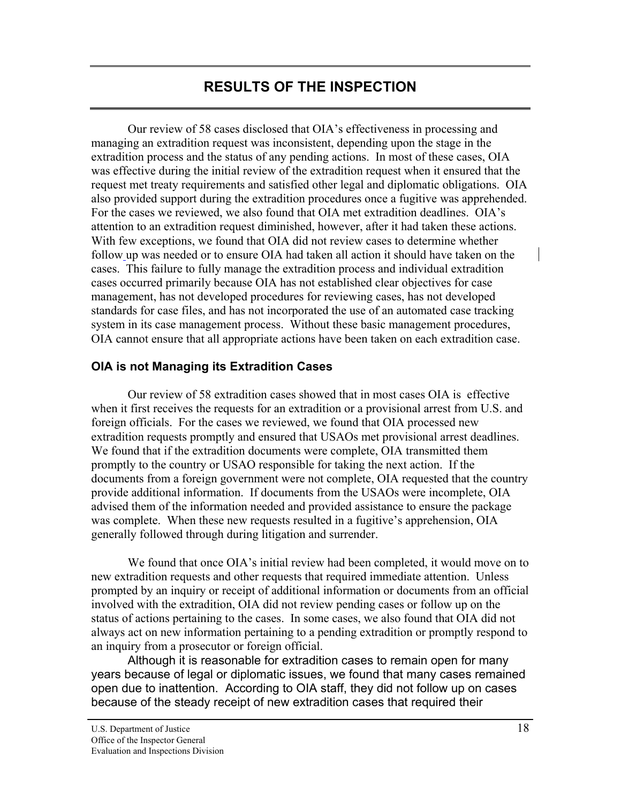# **RESULTS OF THE INSPECTION**

<span id="page-25-0"></span> Our review of 58 cases disclosed that OIA's effectiveness in processing and managing an extradition request was inconsistent, depending upon the stage in the extradition process and the status of any pending actions. In most of these cases, OIA was effective during the initial review of the extradition request when it ensured that the request met treaty requirements and satisfied other legal and diplomatic obligations. OIA also provided support during the extradition procedures once a fugitive was apprehended. For the cases we reviewed, we also found that OIA met extradition deadlines. OIA's attention to an extradition request diminished, however, after it had taken these actions. With few exceptions, we found that OIA did not review cases to determine whether follow up was needed or to ensure OIA had taken all action it should have taken on the cases. This failure to fully manage the extradition process and individual extradition cases occurred primarily because OIA has not established clear objectives for case management, has not developed procedures for reviewing cases, has not developed standards for case files, and has not incorporated the use of an automated case tracking system in its case management process. Without these basic management procedures, OIA cannot ensure that all appropriate actions have been taken on each extradition case.

# **OIA is not Managing its Extradition Cases**

Our review of 58 extradition cases showed that in most cases OIA is effective when it first receives the requests for an extradition or a provisional arrest from U.S. and foreign officials. For the cases we reviewed, we found that OIA processed new extradition requests promptly and ensured that USAOs met provisional arrest deadlines. We found that if the extradition documents were complete, OIA transmitted them promptly to the country or USAO responsible for taking the next action. If the documents from a foreign government were not complete, OIA requested that the country provide additional information. If documents from the USAOs were incomplete, OIA advised them of the information needed and provided assistance to ensure the package was complete. When these new requests resulted in a fugitive's apprehension, OIA generally followed through during litigation and surrender.

We found that once OIA's initial review had been completed, it would move on to new extradition requests and other requests that required immediate attention. Unless prompted by an inquiry or receipt of additional information or documents from an official involved with the extradition, OIA did not review pending cases or follow up on the status of actions pertaining to the cases. In some cases, we also found that OIA did not always act on new information pertaining to a pending extradition or promptly respond to an inquiry from a prosecutor or foreign official.

Although it is reasonable for extradition cases to remain open for many years because of legal or diplomatic issues, we found that many cases remained open due to inattention. According to OIA staff, they did not follow up on cases because of the steady receipt of new extradition cases that required their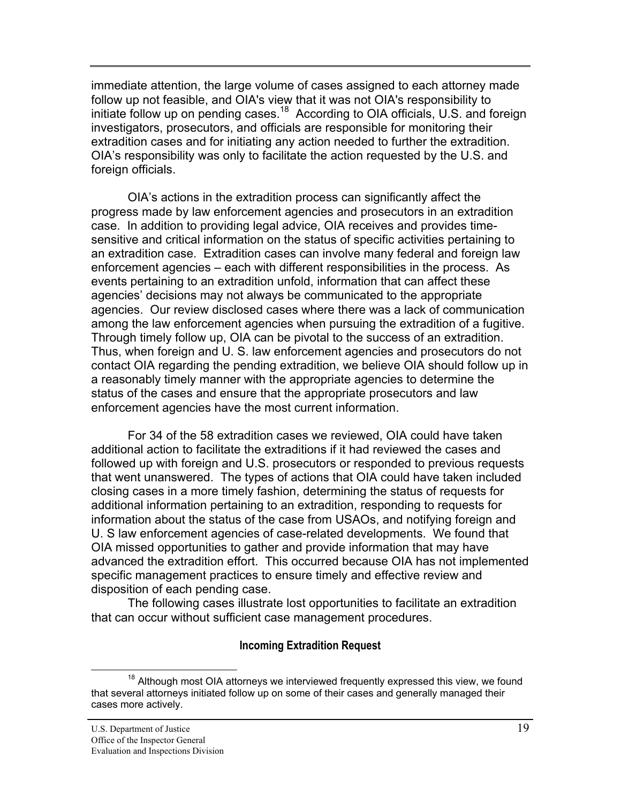immediate attention, the large volume of cases assigned to each attorney made follow up not feasible, and OIA's view that it was not OIA's responsibility to initiate follow up on pending cases.<sup>18</sup> According to OIA officials, U.S. and foreign investigators, prosecutors, and officials are responsible for monitoring their extradition cases and for initiating any action needed to further the extradition. OIA's responsibility was only to facilitate the action requested by the U.S. and foreign officials.

OIA's actions in the extradition process can significantly affect the progress made by law enforcement agencies and prosecutors in an extradition case. In addition to providing legal advice, OIA receives and provides timesensitive and critical information on the status of specific activities pertaining to an extradition case. Extradition cases can involve many federal and foreign law enforcement agencies – each with different responsibilities in the process. As events pertaining to an extradition unfold, information that can affect these agencies' decisions may not always be communicated to the appropriate agencies. Our review disclosed cases where there was a lack of communication among the law enforcement agencies when pursuing the extradition of a fugitive. Through timely follow up, OIA can be pivotal to the success of an extradition. Thus, when foreign and U. S. law enforcement agencies and prosecutors do not contact OIA regarding the pending extradition, we believe OIA should follow up in a reasonably timely manner with the appropriate agencies to determine the status of the cases and ensure that the appropriate prosecutors and law enforcement agencies have the most current information.

For 34 of the 58 extradition cases we reviewed, OIA could have taken additional action to facilitate the extraditions if it had reviewed the cases and followed up with foreign and U.S. prosecutors or responded to previous requests that went unanswered. The types of actions that OIA could have taken included closing cases in a more timely fashion, determining the status of requests for additional information pertaining to an extradition, responding to requests for information about the status of the case from USAOs, and notifying foreign and U. S law enforcement agencies of case-related developments. We found that OIA missed opportunities to gather and provide information that may have advanced the extradition effort. This occurred because OIA has not implemented specific management practices to ensure timely and effective review and disposition of each pending case.

The following cases illustrate lost opportunities to facilitate an extradition that can occur without sufficient case management procedures.

### **Incoming Extradition Request**

 $18$  Although most OIA attorneys we interviewed frequently expressed this view, we found that several attorneys initiated follow up on some of their cases and generally managed their cases more actively.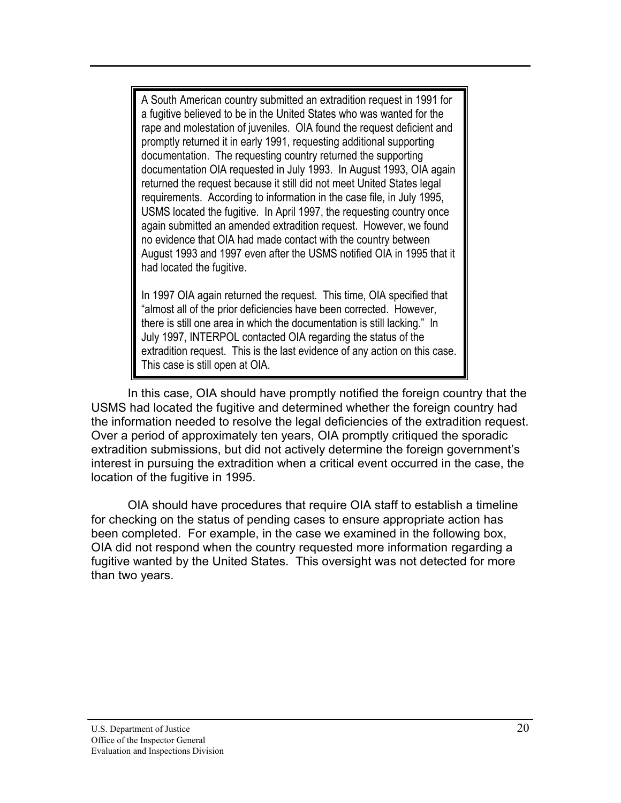A South American country submitted an extradition request in 1991 for a fugitive believed to be in the United States who was wanted for the rape and molestation of juveniles. OIA found the request deficient and promptly returned it in early 1991, requesting additional supporting documentation. The requesting country returned the supporting documentation OIA requested in July 1993. In August 1993, OIA again returned the request because it still did not meet United States legal requirements. According to information in the case file, in July 1995, USMS located the fugitive. In April 1997, the requesting country once again submitted an amended extradition request. However, we found no evidence that OIA had made contact with the country between August 1993 and 1997 even after the USMS notified OIA in 1995 that it had located the fugitive.

In 1997 OIA again returned the request. This time, OIA specified that "almost all of the prior deficiencies have been corrected. However, there is still one area in which the documentation is still lacking." In July 1997, INTERPOL contacted OIA regarding the status of the extradition request. This is the last evidence of any action on this case. This case is still open at OIA.

In this case, OIA should have promptly notified the foreign country that the USMS had located the fugitive and determined whether the foreign country had the information needed to resolve the legal deficiencies of the extradition request. Over a period of approximately ten years, OIA promptly critiqued the sporadic extradition submissions, but did not actively determine the foreign government's interest in pursuing the extradition when a critical event occurred in the case, the location of the fugitive in 1995.

OIA should have procedures that require OIA staff to establish a timeline for checking on the status of pending cases to ensure appropriate action has been completed. For example, in the case we examined in the following box, OIA did not respond when the country requested more information regarding a fugitive wanted by the United States. This oversight was not detected for more than two years.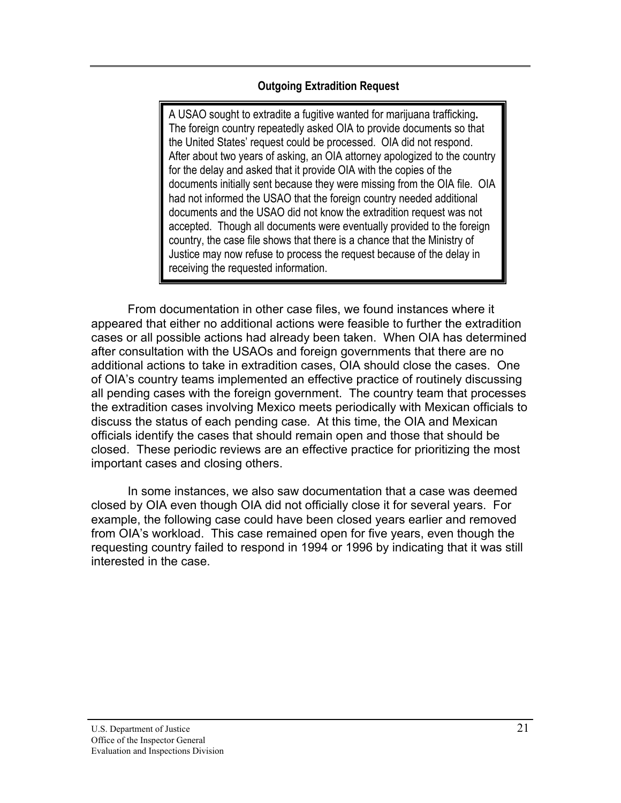# **Outgoing Extradition Request**

A USAO sought to extradite a fugitive wanted for marijuana trafficking**.** The foreign country repeatedly asked OIA to provide documents so that the United States' request could be processed. OIA did not respond. After about two years of asking, an OIA attorney apologized to the country for the delay and asked that it provide OIA with the copies of the documents initially sent because they were missing from the OIA file. OIA had not informed the USAO that the foreign country needed additional documents and the USAO did not know the extradition request was not accepted. Though all documents were eventually provided to the foreign country, the case file shows that there is a chance that the Ministry of Justice may now refuse to process the request because of the delay in receiving the requested information.

From documentation in other case files, we found instances where it appeared that either no additional actions were feasible to further the extradition cases or all possible actions had already been taken. When OIA has determined after consultation with the USAOs and foreign governments that there are no additional actions to take in extradition cases, OIA should close the cases. One of OIA's country teams implemented an effective practice of routinely discussing all pending cases with the foreign government. The country team that processes the extradition cases involving Mexico meets periodically with Mexican officials to discuss the status of each pending case. At this time, the OIA and Mexican officials identify the cases that should remain open and those that should be closed. These periodic reviews are an effective practice for prioritizing the most important cases and closing others.

In some instances, we also saw documentation that a case was deemed closed by OIA even though OIA did not officially close it for several years. For example, the following case could have been closed years earlier and removed from OIA's workload. This case remained open for five years, even though the requesting country failed to respond in 1994 or 1996 by indicating that it was still interested in the case.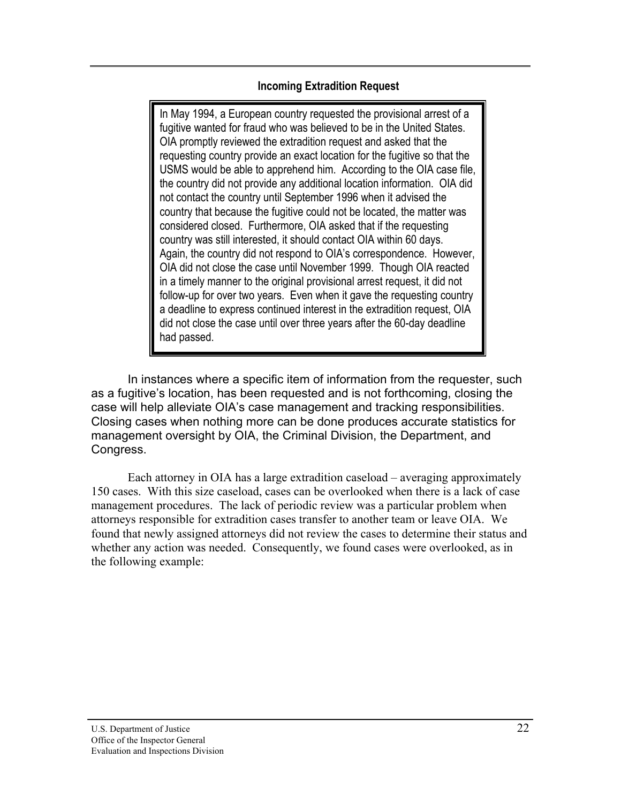### **Incoming Extradition Request**

In May 1994, a European country requested the provisional arrest of a fugitive wanted for fraud who was believed to be in the United States. OIA promptly reviewed the extradition request and asked that the requesting country provide an exact location for the fugitive so that the USMS would be able to apprehend him. According to the OIA case file, the country did not provide any additional location information. OIA did not contact the country until September 1996 when it advised the country that because the fugitive could not be located, the matter was considered closed. Furthermore, OIA asked that if the requesting country was still interested, it should contact OIA within 60 days. Again, the country did not respond to OIA's correspondence. However, OIA did not close the case until November 1999. Though OIA reacted in a timely manner to the original provisional arrest request, it did not follow-up for over two years. Even when it gave the requesting country a deadline to express continued interest in the extradition request, OIA did not close the case until over three years after the 60-day deadline had passed.

In instances where a specific item of information from the requester, such as a fugitive's location, has been requested and is not forthcoming, closing the case will help alleviate OIA's case management and tracking responsibilities. Closing cases when nothing more can be done produces accurate statistics for management oversight by OIA, the Criminal Division, the Department, and Congress.

Each attorney in OIA has a large extradition caseload – averaging approximately 150 cases. With this size caseload, cases can be overlooked when there is a lack of case management procedures. The lack of periodic review was a particular problem when attorneys responsible for extradition cases transfer to another team or leave OIA. We found that newly assigned attorneys did not review the cases to determine their status and whether any action was needed. Consequently, we found cases were overlooked, as in the following example: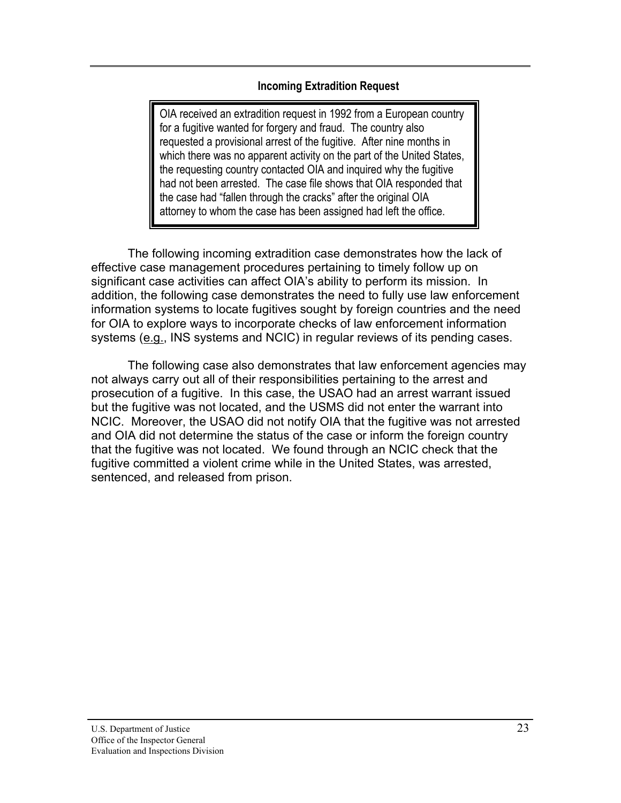### **Incoming Extradition Request**

OIA received an extradition request in 1992 from a European country for a fugitive wanted for forgery and fraud. The country also requested a provisional arrest of the fugitive. After nine months in which there was no apparent activity on the part of the United States, the requesting country contacted OIA and inquired why the fugitive had not been arrested. The case file shows that OIA responded that the case had "fallen through the cracks" after the original OIA attorney to whom the case has been assigned had left the office.

The following incoming extradition case demonstrates how the lack of effective case management procedures pertaining to timely follow up on significant case activities can affect OIA's ability to perform its mission. In addition, the following case demonstrates the need to fully use law enforcement information systems to locate fugitives sought by foreign countries and the need for OIA to explore ways to incorporate checks of law enforcement information systems (e.g., INS systems and NCIC) in regular reviews of its pending cases.

The following case also demonstrates that law enforcement agencies may not always carry out all of their responsibilities pertaining to the arrest and prosecution of a fugitive. In this case, the USAO had an arrest warrant issued but the fugitive was not located, and the USMS did not enter the warrant into NCIC. Moreover, the USAO did not notify OIA that the fugitive was not arrested and OIA did not determine the status of the case or inform the foreign country that the fugitive was not located. We found through an NCIC check that the fugitive committed a violent crime while in the United States, was arrested, sentenced, and released from prison.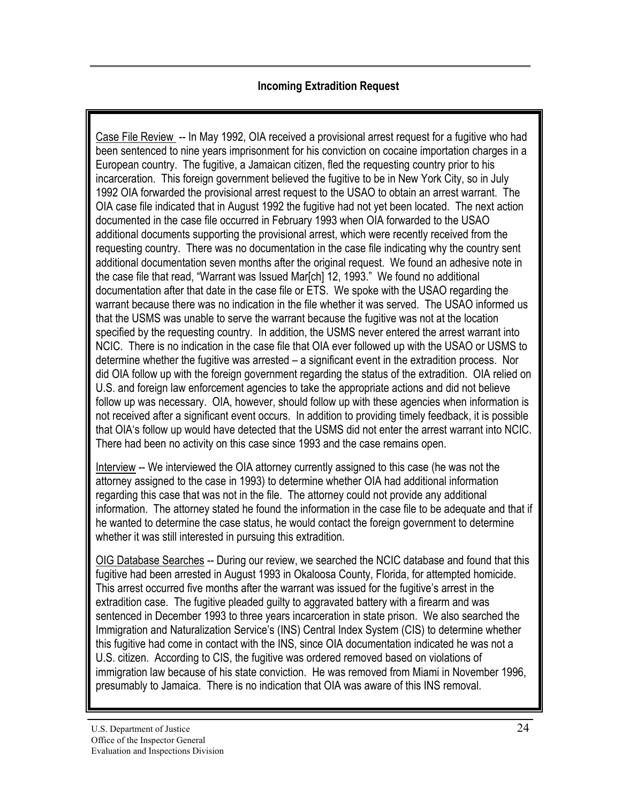# **Incoming Extradition Request**

Case File Review -- In May 1992, OIA received a provisional arrest request for a fugitive who had been sentenced to nine years imprisonment for his conviction on cocaine importation charges in a European country. The fugitive, a Jamaican citizen, fled the requesting country prior to his incarceration. This foreign government believed the fugitive to be in New York City, so in July 1992 OIA forwarded the provisional arrest request to the USAO to obtain an arrest warrant. The OIA case file indicated that in August 1992 the fugitive had not yet been located. The next action documented in the case file occurred in February 1993 when OIA forwarded to the USAO additional documents supporting the provisional arrest, which were recently received from the requesting country. There was no documentation in the case file indicating why the country sent additional documentation seven months after the original request. We found an adhesive note in the case file that read, "Warrant was Issued Mar[ch] 12, 1993." We found no additional documentation after that date in the case file or ETS. We spoke with the USAO regarding the warrant because there was no indication in the file whether it was served. The USAO informed us that the USMS was unable to serve the warrant because the fugitive was not at the location specified by the requesting country. In addition, the USMS never entered the arrest warrant into NCIC. There is no indication in the case file that OIA ever followed up with the USAO or USMS to determine whether the fugitive was arrested – a significant event in the extradition process. Nor did OIA follow up with the foreign government regarding the status of the extradition. OIA relied on U.S. and foreign law enforcement agencies to take the appropriate actions and did not believe follow up was necessary. OIA, however, should follow up with these agencies when information is not received after a significant event occurs. In addition to providing timely feedback, it is possible that OIA's follow up would have detected that the USMS did not enter the arrest warrant into NCIC. There had been no activity on this case since 1993 and the case remains open.

Interview -- We interviewed the OIA attorney currently assigned to this case (he was not the attorney assigned to the case in 1993) to determine whether OIA had additional information regarding this case that was not in the file. The attorney could not provide any additional information. The attorney stated he found the information in the case file to be adequate and that if he wanted to determine the case status, he would contact the foreign government to determine whether it was still interested in pursuing this extradition.

OIG Database Searches -- During our review, we searched the NCIC database and found that this fugitive had been arrested in August 1993 in Okaloosa County, Florida, for attempted homicide. This arrest occurred five months after the warrant was issued for the fugitive's arrest in the extradition case. The fugitive pleaded guilty to aggravated battery with a firearm and was sentenced in December 1993 to three years incarceration in state prison. We also searched the Immigration and Naturalization Service's (INS) Central Index System (CIS) to determine whether this fugitive had come in contact with the INS, since OIA documentation indicated he was not a U.S. citizen. According to CIS, the fugitive was ordered removed based on violations of immigration law because of his state conviction. He was removed from Miami in November 1996, presumably to Jamaica. There is no indication that OIA was aware of this INS removal.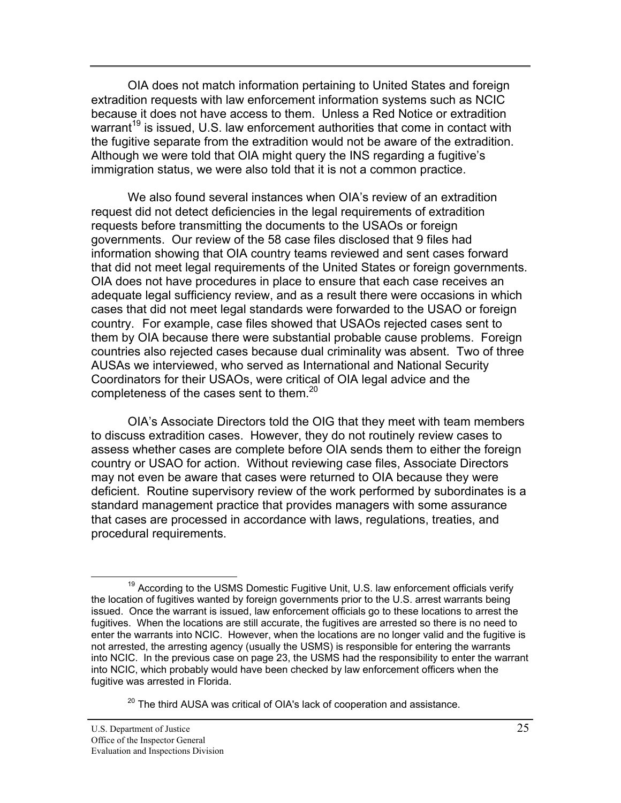OIA does not match information pertaining to United States and foreign extradition requests with law enforcement information systems such as NCIC because it does not have access to them. Unless a Red Notice or extradition warrant<sup>19</sup> is issued, U.S. law enforcement authorities that come in contact with the fugitive separate from the extradition would not be aware of the extradition. Although we were told that OIA might query the INS regarding a fugitive's immigration status, we were also told that it is not a common practice.

We also found several instances when OIA's review of an extradition request did not detect deficiencies in the legal requirements of extradition requests before transmitting the documents to the USAOs or foreign governments. Our review of the 58 case files disclosed that 9 files had information showing that OIA country teams reviewed and sent cases forward that did not meet legal requirements of the United States or foreign governments. OIA does not have procedures in place to ensure that each case receives an adequate legal sufficiency review, and as a result there were occasions in which cases that did not meet legal standards were forwarded to the USAO or foreign country. For example, case files showed that USAOs rejected cases sent to them by OIA because there were substantial probable cause problems. Foreign countries also rejected cases because dual criminality was absent. Two of three AUSAs we interviewed, who served as International and National Security Coordinators for their USAOs, were critical of OIA legal advice and the completeness of the cases sent to them.<sup>20</sup>

OIA's Associate Directors told the OIG that they meet with team members to discuss extradition cases. However, they do not routinely review cases to assess whether cases are complete before OIA sends them to either the foreign country or USAO for action. Without reviewing case files, Associate Directors may not even be aware that cases were returned to OIA because they were deficient. Routine supervisory review of the work performed by subordinates is a standard management practice that provides managers with some assurance that cases are processed in accordance with laws, regulations, treaties, and procedural requirements.

 $20$  The third AUSA was critical of OIA's lack of cooperation and assistance.

 $19$  According to the USMS Domestic Fugitive Unit, U.S. law enforcement officials verify the location of fugitives wanted by foreign governments prior to the U.S. arrest warrants being issued. Once the warrant is issued, law enforcement officials go to these locations to arrest the fugitives. When the locations are still accurate, the fugitives are arrested so there is no need to enter the warrants into NCIC. However, when the locations are no longer valid and the fugitive is not arrested, the arresting agency (usually the USMS) is responsible for entering the warrants into NCIC. In the previous case on page 23, the USMS had the responsibility to enter the warrant into NCIC, which probably would have been checked by law enforcement officers when the fugitive was arrested in Florida.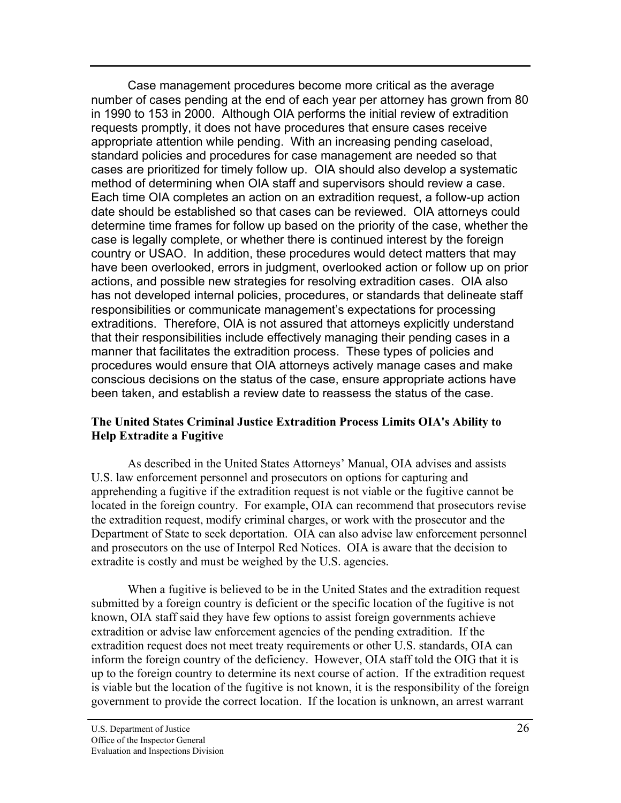<span id="page-33-0"></span>Case management procedures become more critical as the average number of cases pending at the end of each year per attorney has grown from 80 in 1990 to 153 in 2000. Although OIA performs the initial review of extradition requests promptly, it does not have procedures that ensure cases receive appropriate attention while pending. With an increasing pending caseload, standard policies and procedures for case management are needed so that cases are prioritized for timely follow up. OIA should also develop a systematic method of determining when OIA staff and supervisors should review a case. Each time OIA completes an action on an extradition request, a follow-up action date should be established so that cases can be reviewed. OIA attorneys could determine time frames for follow up based on the priority of the case, whether the case is legally complete, or whether there is continued interest by the foreign country or USAO. In addition, these procedures would detect matters that may have been overlooked, errors in judgment, overlooked action or follow up on prior actions, and possible new strategies for resolving extradition cases. OIA also has not developed internal policies, procedures, or standards that delineate staff responsibilities or communicate management's expectations for processing extraditions. Therefore, OIA is not assured that attorneys explicitly understand that their responsibilities include effectively managing their pending cases in a manner that facilitates the extradition process. These types of policies and procedures would ensure that OIA attorneys actively manage cases and make conscious decisions on the status of the case, ensure appropriate actions have been taken, and establish a review date to reassess the status of the case.

### **The United States Criminal Justice Extradition Process Limits OIA's Ability to Help Extradite a Fugitive**

As described in the United States Attorneys' Manual, OIA advises and assists U.S. law enforcement personnel and prosecutors on options for capturing and apprehending a fugitive if the extradition request is not viable or the fugitive cannot be located in the foreign country. For example, OIA can recommend that prosecutors revise the extradition request, modify criminal charges, or work with the prosecutor and the Department of State to seek deportation. OIA can also advise law enforcement personnel and prosecutors on the use of Interpol Red Notices. OIA is aware that the decision to extradite is costly and must be weighed by the U.S. agencies.

When a fugitive is believed to be in the United States and the extradition request submitted by a foreign country is deficient or the specific location of the fugitive is not known, OIA staff said they have few options to assist foreign governments achieve extradition or advise law enforcement agencies of the pending extradition. If the extradition request does not meet treaty requirements or other U.S. standards, OIA can inform the foreign country of the deficiency. However, OIA staff told the OIG that it is up to the foreign country to determine its next course of action. If the extradition request is viable but the location of the fugitive is not known, it is the responsibility of the foreign government to provide the correct location. If the location is unknown, an arrest warrant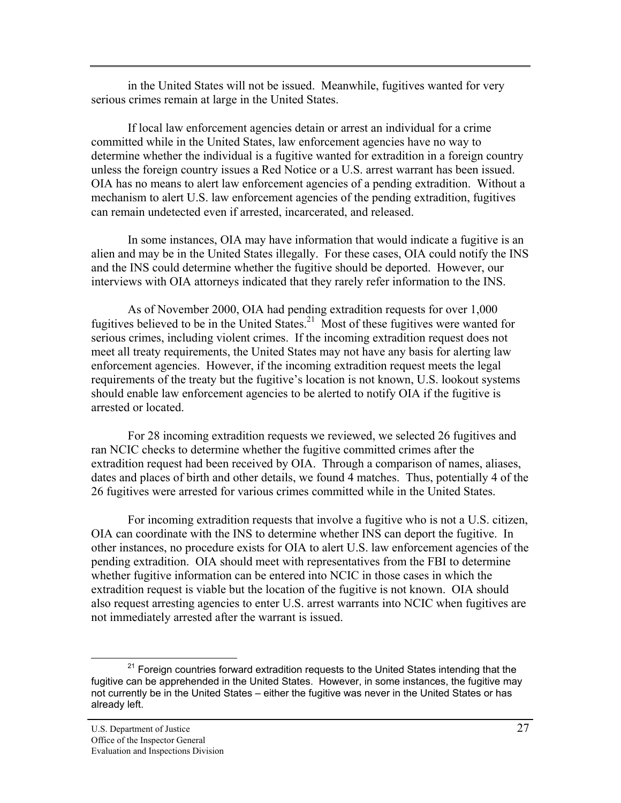in the United States will not be issued. Meanwhile, fugitives wanted for very serious crimes remain at large in the United States.

If local law enforcement agencies detain or arrest an individual for a crime committed while in the United States, law enforcement agencies have no way to determine whether the individual is a fugitive wanted for extradition in a foreign country unless the foreign country issues a Red Notice or a U.S. arrest warrant has been issued. OIA has no means to alert law enforcement agencies of a pending extradition. Without a mechanism to alert U.S. law enforcement agencies of the pending extradition, fugitives can remain undetected even if arrested, incarcerated, and released.

In some instances, OIA may have information that would indicate a fugitive is an alien and may be in the United States illegally. For these cases, OIA could notify the INS and the INS could determine whether the fugitive should be deported. However, our interviews with OIA attorneys indicated that they rarely refer information to the INS.

As of November 2000, OIA had pending extradition requests for over 1,000 fugitives believed to be in the United States.<sup>21</sup> Most of these fugitives were wanted for serious crimes, including violent crimes. If the incoming extradition request does not meet all treaty requirements, the United States may not have any basis for alerting law enforcement agencies. However, if the incoming extradition request meets the legal requirements of the treaty but the fugitive's location is not known, U.S. lookout systems should enable law enforcement agencies to be alerted to notify OIA if the fugitive is arrested or located.

For 28 incoming extradition requests we reviewed, we selected 26 fugitives and ran NCIC checks to determine whether the fugitive committed crimes after the extradition request had been received by OIA. Through a comparison of names, aliases, dates and places of birth and other details, we found 4 matches. Thus, potentially 4 of the 26 fugitives were arrested for various crimes committed while in the United States.

For incoming extradition requests that involve a fugitive who is not a U.S. citizen, OIA can coordinate with the INS to determine whether INS can deport the fugitive. In other instances, no procedure exists for OIA to alert U.S. law enforcement agencies of the pending extradition. OIA should meet with representatives from the FBI to determine whether fugitive information can be entered into NCIC in those cases in which the extradition request is viable but the location of the fugitive is not known. OIA should also request arresting agencies to enter U.S. arrest warrants into NCIC when fugitives are not immediately arrested after the warrant is issued.

 $21$  Foreign countries forward extradition requests to the United States intending that the fugitive can be apprehended in the United States. However, in some instances, the fugitive may not currently be in the United States – either the fugitive was never in the United States or has already left.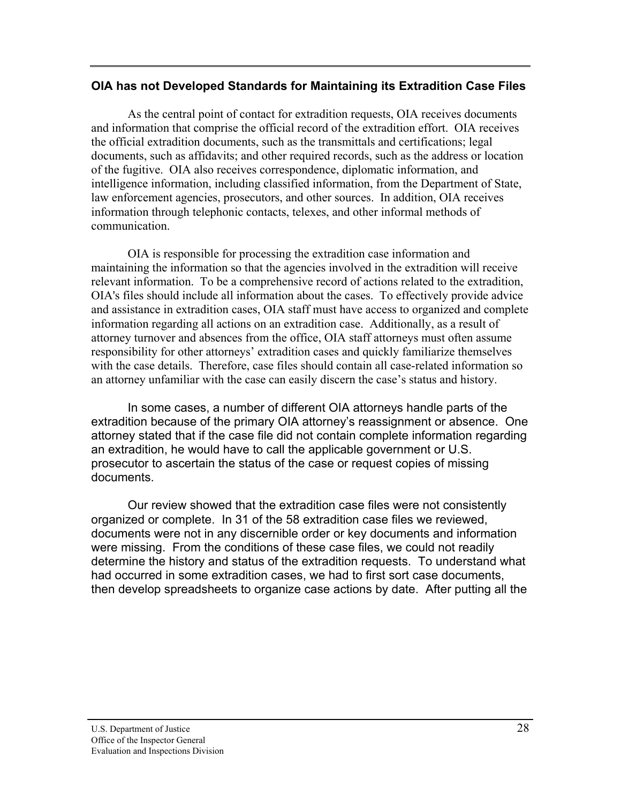# <span id="page-35-0"></span>**OIA has not Developed Standards for Maintaining its Extradition Case Files**

 As the central point of contact for extradition requests, OIA receives documents and information that comprise the official record of the extradition effort. OIA receives the official extradition documents, such as the transmittals and certifications; legal documents, such as affidavits; and other required records, such as the address or location of the fugitive. OIA also receives correspondence, diplomatic information, and intelligence information, including classified information, from the Department of State, law enforcement agencies, prosecutors, and other sources. In addition, OIA receives information through telephonic contacts, telexes, and other informal methods of communication.

OIA is responsible for processing the extradition case information and maintaining the information so that the agencies involved in the extradition will receive relevant information. To be a comprehensive record of actions related to the extradition, OIA's files should include all information about the cases. To effectively provide advice and assistance in extradition cases, OIA staff must have access to organized and complete information regarding all actions on an extradition case. Additionally, as a result of attorney turnover and absences from the office, OIA staff attorneys must often assume responsibility for other attorneys' extradition cases and quickly familiarize themselves with the case details. Therefore, case files should contain all case-related information so an attorney unfamiliar with the case can easily discern the case's status and history.

In some cases, a number of different OIA attorneys handle parts of the extradition because of the primary OIA attorney's reassignment or absence. One attorney stated that if the case file did not contain complete information regarding an extradition, he would have to call the applicable government or U.S. prosecutor to ascertain the status of the case or request copies of missing documents.

Our review showed that the extradition case files were not consistently organized or complete. In 31 of the 58 extradition case files we reviewed, documents were not in any discernible order or key documents and information were missing. From the conditions of these case files, we could not readily determine the history and status of the extradition requests. To understand what had occurred in some extradition cases, we had to first sort case documents, then develop spreadsheets to organize case actions by date. After putting all the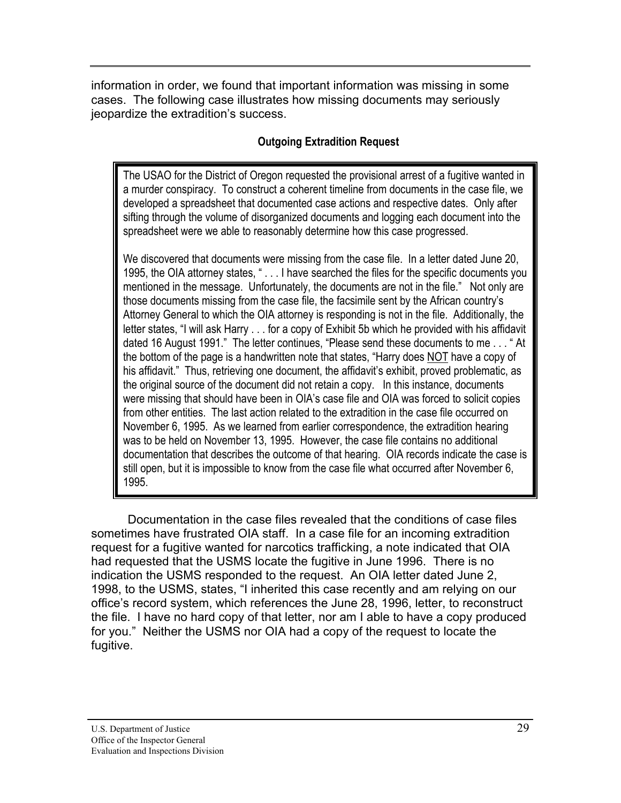information in order, we found that important information was missing in some cases. The following case illustrates how missing documents may seriously jeopardize the extradition's success.

# **Outgoing Extradition Request**

The USAO for the District of Oregon requested the provisional arrest of a fugitive wanted in a murder conspiracy. To construct a coherent timeline from documents in the case file, we developed a spreadsheet that documented case actions and respective dates. Only after sifting through the volume of disorganized documents and logging each document into the spreadsheet were we able to reasonably determine how this case progressed.

We discovered that documents were missing from the case file. In a letter dated June 20, 1995, the OIA attorney states, " . . . I have searched the files for the specific documents you mentioned in the message. Unfortunately, the documents are not in the file." Not only are those documents missing from the case file, the facsimile sent by the African country's Attorney General to which the OIA attorney is responding is not in the file. Additionally, the letter states, "I will ask Harry . . . for a copy of Exhibit 5b which he provided with his affidavit dated 16 August 1991." The letter continues, "Please send these documents to me . . . " At the bottom of the page is a handwritten note that states, "Harry does NOT have a copy of his affidavit." Thus, retrieving one document, the affidavit's exhibit, proved problematic, as the original source of the document did not retain a copy. In this instance, documents were missing that should have been in OIA's case file and OIA was forced to solicit copies from other entities. The last action related to the extradition in the case file occurred on November 6, 1995. As we learned from earlier correspondence, the extradition hearing was to be held on November 13, 1995. However, the case file contains no additional documentation that describes the outcome of that hearing. OIA records indicate the case is still open, but it is impossible to know from the case file what occurred after November 6, 1995.

Documentation in the case files revealed that the conditions of case files sometimes have frustrated OIA staff. In a case file for an incoming extradition request for a fugitive wanted for narcotics trafficking, a note indicated that OIA had requested that the USMS locate the fugitive in June 1996. There is no indication the USMS responded to the request. An OIA letter dated June 2, 1998, to the USMS, states, "I inherited this case recently and am relying on our office's record system, which references the June 28, 1996, letter, to reconstruct the file. I have no hard copy of that letter, nor am I able to have a copy produced for you." Neither the USMS nor OIA had a copy of the request to locate the fugitive.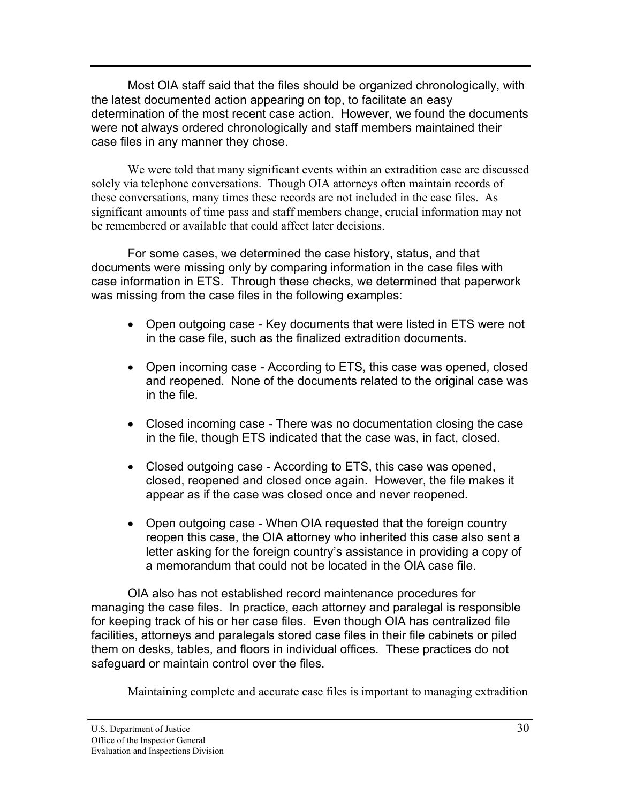Most OIA staff said that the files should be organized chronologically, with the latest documented action appearing on top, to facilitate an easy determination of the most recent case action. However, we found the documents were not always ordered chronologically and staff members maintained their case files in any manner they chose.

We were told that many significant events within an extradition case are discussed solely via telephone conversations. Though OIA attorneys often maintain records of these conversations, many times these records are not included in the case files. As significant amounts of time pass and staff members change, crucial information may not be remembered or available that could affect later decisions.

For some cases, we determined the case history, status, and that documents were missing only by comparing information in the case files with case information in ETS. Through these checks, we determined that paperwork was missing from the case files in the following examples:

- Open outgoing case Key documents that were listed in ETS were not in the case file, such as the finalized extradition documents.
- Open incoming case According to ETS, this case was opened, closed and reopened. None of the documents related to the original case was in the file.
- Closed incoming case There was no documentation closing the case in the file, though ETS indicated that the case was, in fact, closed.
- Closed outgoing case According to ETS, this case was opened, closed, reopened and closed once again. However, the file makes it appear as if the case was closed once and never reopened.
- Open outgoing case When OIA requested that the foreign country reopen this case, the OIA attorney who inherited this case also sent a letter asking for the foreign country's assistance in providing a copy of a memorandum that could not be located in the OIA case file.

OIA also has not established record maintenance procedures for managing the case files. In practice, each attorney and paralegal is responsible for keeping track of his or her case files. Even though OIA has centralized file facilities, attorneys and paralegals stored case files in their file cabinets or piled them on desks, tables, and floors in individual offices. These practices do not safeguard or maintain control over the files.

Maintaining complete and accurate case files is important to managing extradition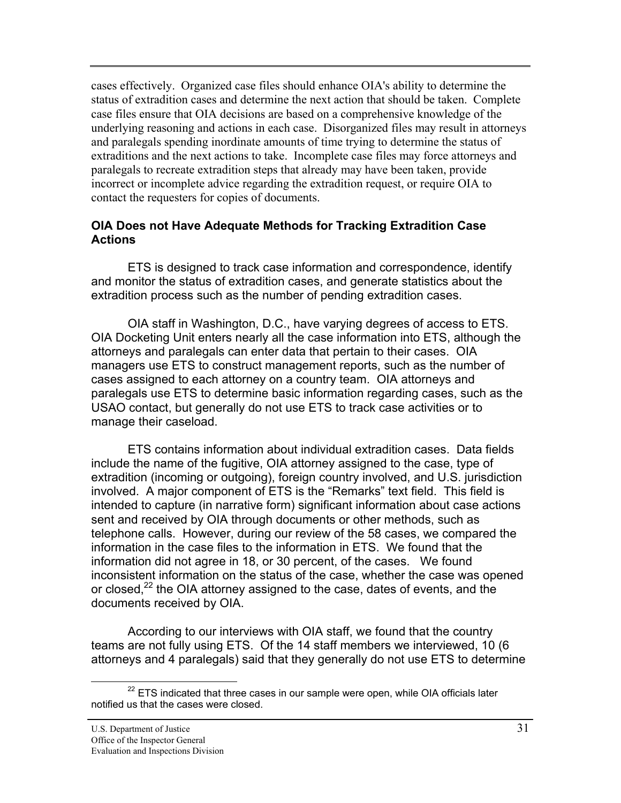<span id="page-38-0"></span>cases effectively. Organized case files should enhance OIA's ability to determine the status of extradition cases and determine the next action that should be taken. Complete case files ensure that OIA decisions are based on a comprehensive knowledge of the underlying reasoning and actions in each case. Disorganized files may result in attorneys and paralegals spending inordinate amounts of time trying to determine the status of extraditions and the next actions to take. Incomplete case files may force attorneys and paralegals to recreate extradition steps that already may have been taken, provide incorrect or incomplete advice regarding the extradition request, or require OIA to contact the requesters for copies of documents.

### **OIA Does not Have Adequate Methods for Tracking Extradition Case Actions**

ETS is designed to track case information and correspondence, identify and monitor the status of extradition cases, and generate statistics about the extradition process such as the number of pending extradition cases.

OIA staff in Washington, D.C., have varying degrees of access to ETS. OIA Docketing Unit enters nearly all the case information into ETS, although the attorneys and paralegals can enter data that pertain to their cases. OIA managers use ETS to construct management reports, such as the number of cases assigned to each attorney on a country team. OIA attorneys and paralegals use ETS to determine basic information regarding cases, such as the USAO contact, but generally do not use ETS to track case activities or to manage their caseload.

ETS contains information about individual extradition cases. Data fields include the name of the fugitive, OIA attorney assigned to the case, type of extradition (incoming or outgoing), foreign country involved, and U.S. jurisdiction involved. A major component of ETS is the "Remarks" text field. This field is intended to capture (in narrative form) significant information about case actions sent and received by OIA through documents or other methods, such as telephone calls. However, during our review of the 58 cases, we compared the information in the case files to the information in ETS. We found that the information did not agree in 18, or 30 percent, of the cases. We found inconsistent information on the status of the case, whether the case was opened or closed, $^{22}$  the OIA attorney assigned to the case, dates of events, and the documents received by OIA.

According to our interviews with OIA staff, we found that the country teams are not fully using ETS. Of the 14 staff members we interviewed, 10 (6 attorneys and 4 paralegals) said that they generally do not use ETS to determine

 $22$  ETS indicated that three cases in our sample were open, while OIA officials later notified us that the cases were closed.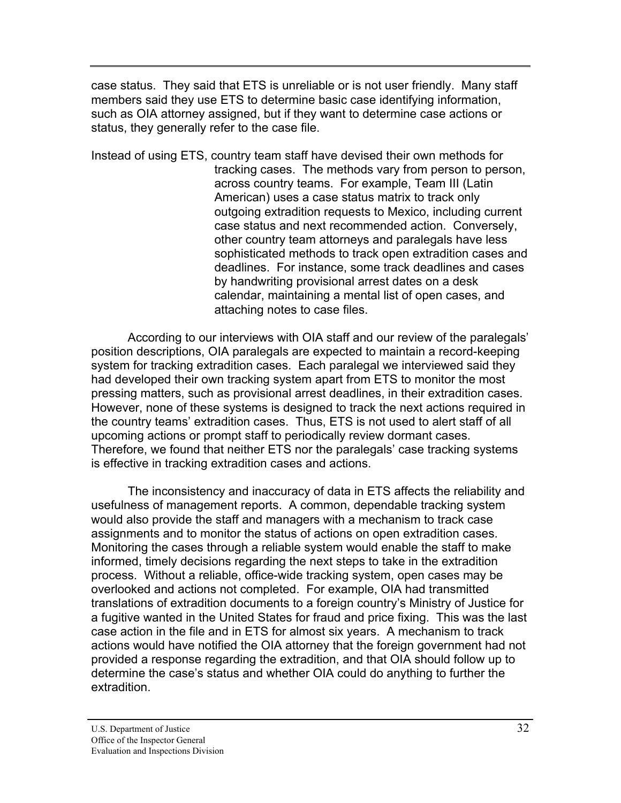case status. They said that ETS is unreliable or is not user friendly. Many staff members said they use ETS to determine basic case identifying information, such as OIA attorney assigned, but if they want to determine case actions or status, they generally refer to the case file.

Instead of using ETS, country team staff have devised their own methods for tracking cases. The methods vary from person to person, across country teams. For example, Team III (Latin American) uses a case status matrix to track only outgoing extradition requests to Mexico, including current case status and next recommended action. Conversely, other country team attorneys and paralegals have less sophisticated methods to track open extradition cases and deadlines. For instance, some track deadlines and cases by handwriting provisional arrest dates on a desk calendar, maintaining a mental list of open cases, and attaching notes to case files.

According to our interviews with OIA staff and our review of the paralegals' position descriptions, OIA paralegals are expected to maintain a record-keeping system for tracking extradition cases. Each paralegal we interviewed said they had developed their own tracking system apart from ETS to monitor the most pressing matters, such as provisional arrest deadlines, in their extradition cases. However, none of these systems is designed to track the next actions required in the country teams' extradition cases. Thus, ETS is not used to alert staff of all upcoming actions or prompt staff to periodically review dormant cases. Therefore, we found that neither ETS nor the paralegals' case tracking systems is effective in tracking extradition cases and actions.

The inconsistency and inaccuracy of data in ETS affects the reliability and usefulness of management reports. A common, dependable tracking system would also provide the staff and managers with a mechanism to track case assignments and to monitor the status of actions on open extradition cases. Monitoring the cases through a reliable system would enable the staff to make informed, timely decisions regarding the next steps to take in the extradition process. Without a reliable, office-wide tracking system, open cases may be overlooked and actions not completed. For example, OIA had transmitted translations of extradition documents to a foreign country's Ministry of Justice for a fugitive wanted in the United States for fraud and price fixing. This was the last case action in the file and in ETS for almost six years. A mechanism to track actions would have notified the OIA attorney that the foreign government had not provided a response regarding the extradition, and that OIA should follow up to determine the case's status and whether OIA could do anything to further the extradition.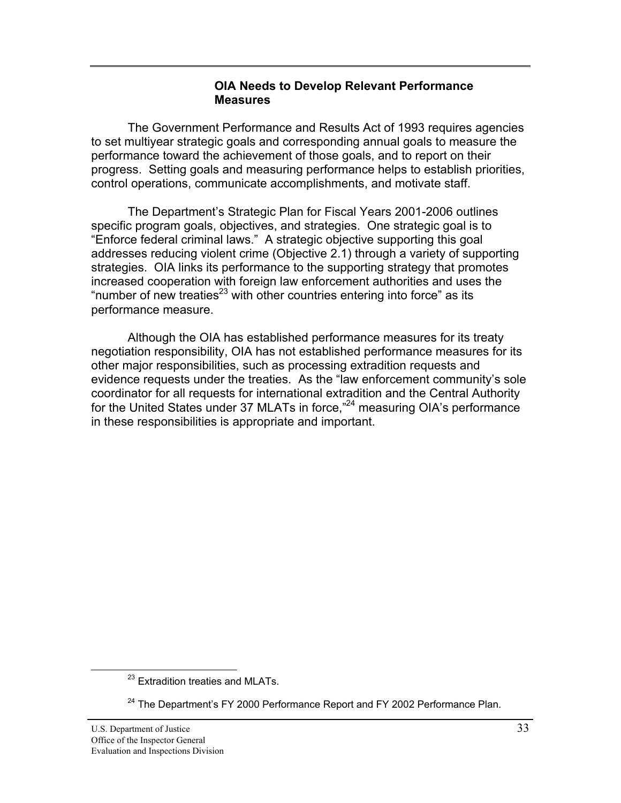### **OIA Needs to Develop Relevant Performance Measures**

<span id="page-40-0"></span>The Government Performance and Results Act of 1993 requires agencies to set multiyear strategic goals and corresponding annual goals to measure the performance toward the achievement of those goals, and to report on their progress. Setting goals and measuring performance helps to establish priorities, control operations, communicate accomplishments, and motivate staff.

The Department's Strategic Plan for Fiscal Years 2001-2006 outlines specific program goals, objectives, and strategies. One strategic goal is to "Enforce federal criminal laws." A strategic objective supporting this goal addresses reducing violent crime (Objective 2.1) through a variety of supporting strategies. OIA links its performance to the supporting strategy that promotes increased cooperation with foreign law enforcement authorities and uses the "number of new treaties<sup>23</sup> with other countries entering into force" as its performance measure.

Although the OIA has established performance measures for its treaty negotiation responsibility, OIA has not established performance measures for its other major responsibilities, such as processing extradition requests and evidence requests under the treaties. As the "law enforcement community's sole coordinator for all requests for international extradition and the Central Authority for the United States under 37 MLATs in force,"<sup>24</sup> measuring OIA's performance in these responsibilities is appropriate and important.

<sup>&</sup>lt;sup>23</sup> Extradition treaties and MLATs.

 $24$  The Department's FY 2000 Performance Report and FY 2002 Performance Plan.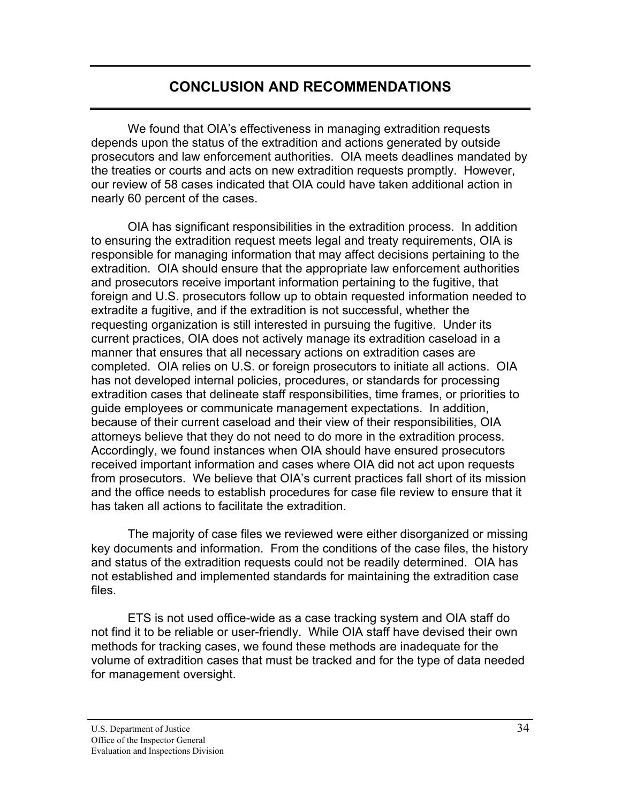# **CONCLUSION AND RECOMMENDATIONS**

<span id="page-41-0"></span>We found that OIA's effectiveness in managing extradition requests depends upon the status of the extradition and actions generated by outside prosecutors and law enforcement authorities. OIA meets deadlines mandated by the treaties or courts and acts on new extradition requests promptly. However, our review of 58 cases indicated that OIA could have taken additional action in nearly 60 percent of the cases.

OIA has significant responsibilities in the extradition process. In addition to ensuring the extradition request meets legal and treaty requirements, OIA is responsible for managing information that may affect decisions pertaining to the extradition. OIA should ensure that the appropriate law enforcement authorities and prosecutors receive important information pertaining to the fugitive, that foreign and U.S. prosecutors follow up to obtain requested information needed to extradite a fugitive, and if the extradition is not successful, whether the requesting organization is still interested in pursuing the fugitive. Under its current practices, OIA does not actively manage its extradition caseload in a manner that ensures that all necessary actions on extradition cases are completed. OIA relies on U.S. or foreign prosecutors to initiate all actions. OIA has not developed internal policies, procedures, or standards for processing extradition cases that delineate staff responsibilities, time frames, or priorities to guide employees or communicate management expectations. In addition, because of their current caseload and their view of their responsibilities, OIA attorneys believe that they do not need to do more in the extradition process. Accordingly, we found instances when OIA should have ensured prosecutors received important information and cases where OIA did not act upon requests from prosecutors. We believe that OIA's current practices fall short of its mission and the office needs to establish procedures for case file review to ensure that it has taken all actions to facilitate the extradition.

The majority of case files we reviewed were either disorganized or missing key documents and information. From the conditions of the case files, the history and status of the extradition requests could not be readily determined. OIA has not established and implemented standards for maintaining the extradition case files.

ETS is not used office-wide as a case tracking system and OIA staff do not find it to be reliable or user-friendly. While OIA staff have devised their own methods for tracking cases, we found these methods are inadequate for the volume of extradition cases that must be tracked and for the type of data needed for management oversight.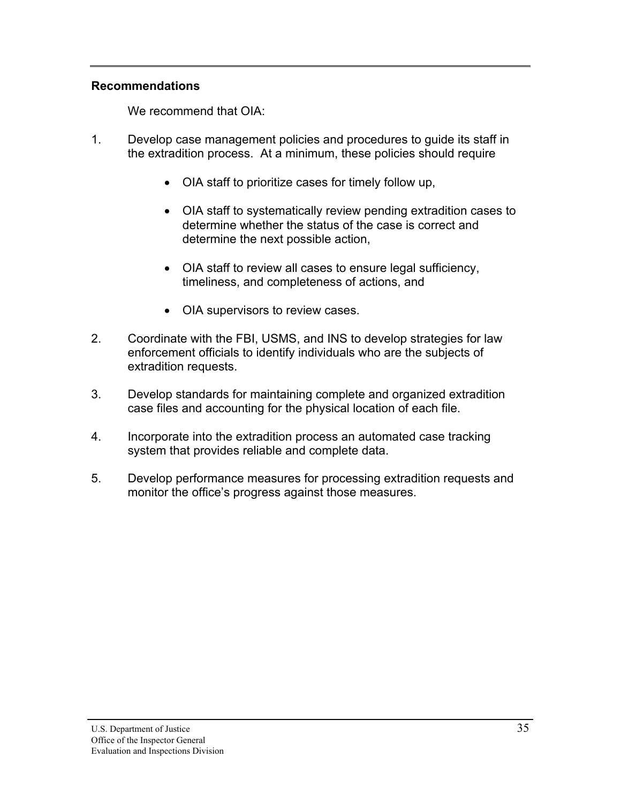# **Recommendations**

We recommend that OIA:

- 1. Develop case management policies and procedures to guide its staff in the extradition process. At a minimum, these policies should require
	- OIA staff to prioritize cases for timely follow up,
	- OIA staff to systematically review pending extradition cases to determine whether the status of the case is correct and determine the next possible action,
	- OIA staff to review all cases to ensure legal sufficiency, timeliness, and completeness of actions, and
	- OIA supervisors to review cases.
- 2. Coordinate with the FBI, USMS, and INS to develop strategies for law enforcement officials to identify individuals who are the subjects of extradition requests.
- 3. Develop standards for maintaining complete and organized extradition case files and accounting for the physical location of each file.
- 4. Incorporate into the extradition process an automated case tracking system that provides reliable and complete data.
- 5. Develop performance measures for processing extradition requests and monitor the office's progress against those measures.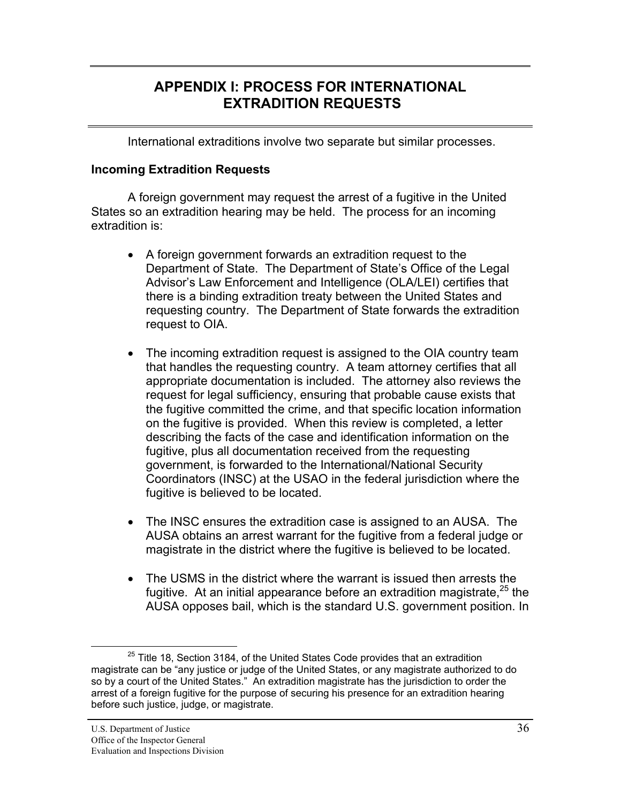# <span id="page-43-0"></span>**APPENDIX I: PROCESS FOR INTERNATIONAL EXTRADITION REQUESTS**

International extraditions involve two separate but similar processes.

### **Incoming Extradition Requests**

A foreign government may request the arrest of a fugitive in the United States so an extradition hearing may be held. The process for an incoming extradition is:

- A foreign government forwards an extradition request to the Department of State. The Department of State's Office of the Legal Advisor's Law Enforcement and Intelligence (OLA/LEI) certifies that there is a binding extradition treaty between the United States and requesting country. The Department of State forwards the extradition request to OIA.
- The incoming extradition request is assigned to the OIA country team that handles the requesting country. A team attorney certifies that all appropriate documentation is included. The attorney also reviews the request for legal sufficiency, ensuring that probable cause exists that the fugitive committed the crime, and that specific location information on the fugitive is provided. When this review is completed, a letter describing the facts of the case and identification information on the fugitive, plus all documentation received from the requesting government, is forwarded to the International/National Security Coordinators (INSC) at the USAO in the federal jurisdiction where the fugitive is believed to be located.
- The INSC ensures the extradition case is assigned to an AUSA. The AUSA obtains an arrest warrant for the fugitive from a federal judge or magistrate in the district where the fugitive is believed to be located.
- The USMS in the district where the warrant is issued then arrests the fugitive. At an initial appearance before an extradition magistrate,  $25$  the AUSA opposes bail, which is the standard U.S. government position. In

 $25$  Title 18, Section 3184, of the United States Code provides that an extradition magistrate can be "any justice or judge of the United States, or any magistrate authorized to do so by a court of the United States." An extradition magistrate has the jurisdiction to order the arrest of a foreign fugitive for the purpose of securing his presence for an extradition hearing before such justice, judge, or magistrate.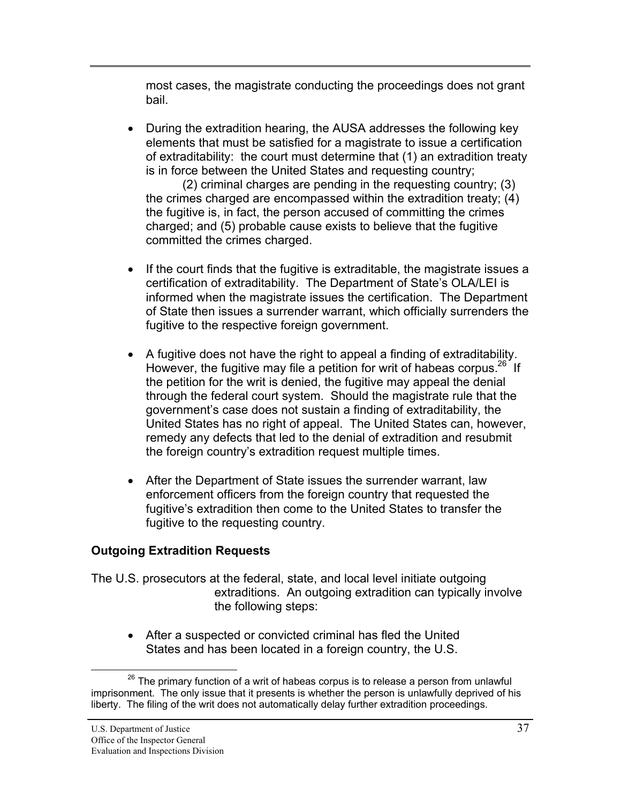most cases, the magistrate conducting the proceedings does not grant bail.

• During the extradition hearing, the AUSA addresses the following key elements that must be satisfied for a magistrate to issue a certification of extraditability: the court must determine that (1) an extradition treaty is in force between the United States and requesting country;

(2) criminal charges are pending in the requesting country; (3) the crimes charged are encompassed within the extradition treaty; (4) the fugitive is, in fact, the person accused of committing the crimes charged; and (5) probable cause exists to believe that the fugitive committed the crimes charged.

- If the court finds that the fugitive is extraditable, the magistrate issues a certification of extraditability. The Department of State's OLA/LEI is informed when the magistrate issues the certification. The Department of State then issues a surrender warrant, which officially surrenders the fugitive to the respective foreign government.
- $\bullet$  A fugitive does not have the right to appeal a finding of extraditability. However, the fugitive may file a petition for writ of habeas corpus.<sup>26</sup> If the petition for the writ is denied, the fugitive may appeal the denial through the federal court system. Should the magistrate rule that the government's case does not sustain a finding of extraditability, the United States has no right of appeal. The United States can, however, remedy any defects that led to the denial of extradition and resubmit the foreign country's extradition request multiple times.
- After the Department of State issues the surrender warrant, law enforcement officers from the foreign country that requested the fugitive's extradition then come to the United States to transfer the fugitive to the requesting country.

# **Outgoing Extradition Requests**

The U.S. prosecutors at the federal, state, and local level initiate outgoing extraditions. An outgoing extradition can typically involve the following steps:

• After a suspected or convicted criminal has fled the United States and has been located in a foreign country, the U.S.

 $26$  The primary function of a writ of habeas corpus is to release a person from unlawful imprisonment. The only issue that it presents is whether the person is unlawfully deprived of his liberty. The filing of the writ does not automatically delay further extradition proceedings.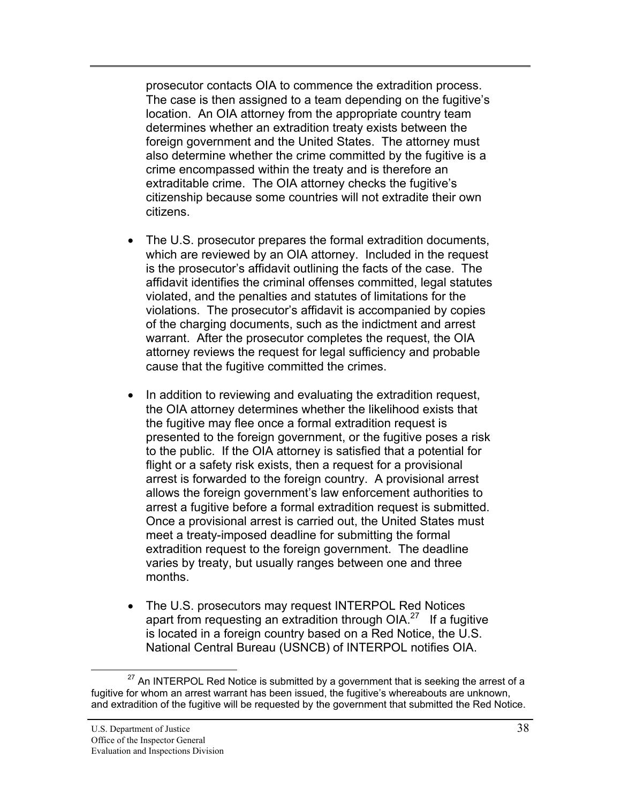prosecutor contacts OIA to commence the extradition process. The case is then assigned to a team depending on the fugitive's location. An OIA attorney from the appropriate country team determines whether an extradition treaty exists between the foreign government and the United States. The attorney must also determine whether the crime committed by the fugitive is a crime encompassed within the treaty and is therefore an extraditable crime. The OIA attorney checks the fugitive's citizenship because some countries will not extradite their own citizens.

- The U.S. prosecutor prepares the formal extradition documents, which are reviewed by an OIA attorney. Included in the request is the prosecutor's affidavit outlining the facts of the case. The affidavit identifies the criminal offenses committed, legal statutes violated, and the penalties and statutes of limitations for the violations. The prosecutor's affidavit is accompanied by copies of the charging documents, such as the indictment and arrest warrant. After the prosecutor completes the request, the OIA attorney reviews the request for legal sufficiency and probable cause that the fugitive committed the crimes.
- In addition to reviewing and evaluating the extradition request, the OIA attorney determines whether the likelihood exists that the fugitive may flee once a formal extradition request is presented to the foreign government, or the fugitive poses a risk to the public. If the OIA attorney is satisfied that a potential for flight or a safety risk exists, then a request for a provisional arrest is forwarded to the foreign country. A provisional arrest allows the foreign government's law enforcement authorities to arrest a fugitive before a formal extradition request is submitted. Once a provisional arrest is carried out, the United States must meet a treaty-imposed deadline for submitting the formal extradition request to the foreign government. The deadline varies by treaty, but usually ranges between one and three months.
- The U.S. prosecutors may request INTERPOL Red Notices apart from requesting an extradition through OIA.<sup>27</sup> If a fugitive is located in a foreign country based on a Red Notice, the U.S. National Central Bureau (USNCB) of INTERPOL notifies OIA.

 $27$  An INTERPOL Red Notice is submitted by a government that is seeking the arrest of a fugitive for whom an arrest warrant has been issued, the fugitive's whereabouts are unknown, and extradition of the fugitive will be requested by the government that submitted the Red Notice.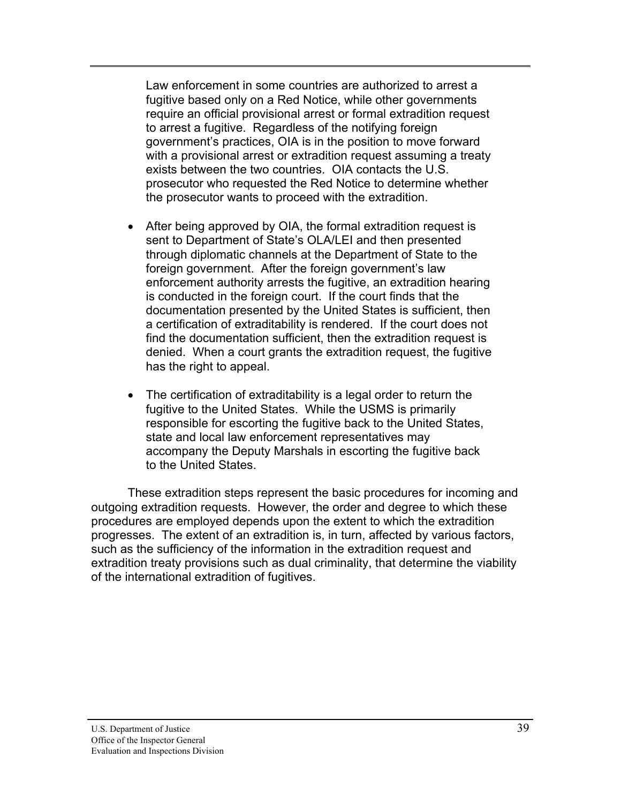Law enforcement in some countries are authorized to arrest a fugitive based only on a Red Notice, while other governments require an official provisional arrest or formal extradition request to arrest a fugitive. Regardless of the notifying foreign government's practices, OIA is in the position to move forward with a provisional arrest or extradition request assuming a treaty exists between the two countries. OIA contacts the U.S. prosecutor who requested the Red Notice to determine whether the prosecutor wants to proceed with the extradition.

- After being approved by OIA, the formal extradition request is sent to Department of State's OLA/LEI and then presented through diplomatic channels at the Department of State to the foreign government. After the foreign government's law enforcement authority arrests the fugitive, an extradition hearing is conducted in the foreign court. If the court finds that the documentation presented by the United States is sufficient, then a certification of extraditability is rendered. If the court does not find the documentation sufficient, then the extradition request is denied. When a court grants the extradition request, the fugitive has the right to appeal.
- $\bullet$  The certification of extraditability is a legal order to return the fugitive to the United States. While the USMS is primarily responsible for escorting the fugitive back to the United States, state and local law enforcement representatives may accompany the Deputy Marshals in escorting the fugitive back to the United States.

These extradition steps represent the basic procedures for incoming and outgoing extradition requests. However, the order and degree to which these procedures are employed depends upon the extent to which the extradition progresses. The extent of an extradition is, in turn, affected by various factors, such as the sufficiency of the information in the extradition request and extradition treaty provisions such as dual criminality, that determine the viability of the international extradition of fugitives.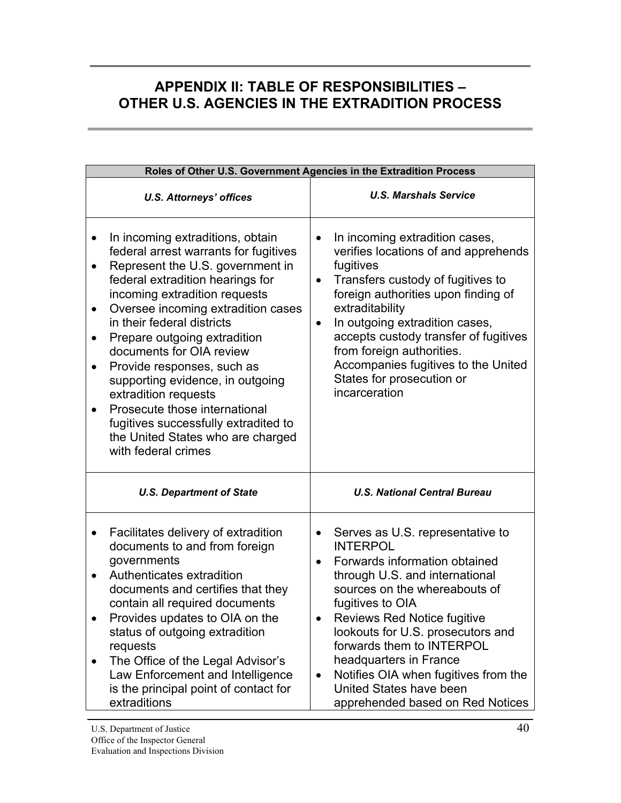# <span id="page-47-0"></span>**APPENDIX II: TABLE OF RESPONSIBILITIES – OTHER U.S. AGENCIES IN THE EXTRADITION PROCESS**

|                                                               |                                                                                                                                                                                                                                                                                                                                                                                                                                                                                                                                                   | Roles of Other U.S. Government Agencies in the Extradition Process                                                                                                                                                                                                                                                                                                                                                                                          |  |  |  |  |  |
|---------------------------------------------------------------|---------------------------------------------------------------------------------------------------------------------------------------------------------------------------------------------------------------------------------------------------------------------------------------------------------------------------------------------------------------------------------------------------------------------------------------------------------------------------------------------------------------------------------------------------|-------------------------------------------------------------------------------------------------------------------------------------------------------------------------------------------------------------------------------------------------------------------------------------------------------------------------------------------------------------------------------------------------------------------------------------------------------------|--|--|--|--|--|
|                                                               | <b>U.S. Attorneys' offices</b>                                                                                                                                                                                                                                                                                                                                                                                                                                                                                                                    | <b>U.S. Marshals Service</b>                                                                                                                                                                                                                                                                                                                                                                                                                                |  |  |  |  |  |
| $\bullet$<br>$\bullet$<br>$\bullet$<br>$\bullet$<br>$\bullet$ | In incoming extraditions, obtain<br>federal arrest warrants for fugitives<br>Represent the U.S. government in<br>federal extradition hearings for<br>incoming extradition requests<br>Oversee incoming extradition cases<br>in their federal districts<br>Prepare outgoing extradition<br>documents for OIA review<br>Provide responses, such as<br>supporting evidence, in outgoing<br>extradition requests<br>Prosecute those international<br>fugitives successfully extradited to<br>the United States who are charged<br>with federal crimes | In incoming extradition cases,<br>$\bullet$<br>verifies locations of and apprehends<br>fugitives<br>Transfers custody of fugitives to<br>$\bullet$<br>foreign authorities upon finding of<br>extraditability<br>In outgoing extradition cases,<br>$\bullet$<br>accepts custody transfer of fugitives<br>from foreign authorities.<br>Accompanies fugitives to the United<br>States for prosecution or<br>incarceration                                      |  |  |  |  |  |
|                                                               | <b>U.S. Department of State</b>                                                                                                                                                                                                                                                                                                                                                                                                                                                                                                                   | <b>U.S. National Central Bureau</b>                                                                                                                                                                                                                                                                                                                                                                                                                         |  |  |  |  |  |
| $\bullet$<br>$\bullet$                                        | Facilitates delivery of extradition<br>documents to and from foreign<br>governments<br>Authenticates extradition<br>documents and certifies that they<br>contain all required documents<br>Provides updates to OIA on the<br>status of outgoing extradition<br>requests<br>The Office of the Legal Advisor's<br>Law Enforcement and Intelligence<br>is the principal point of contact for<br>extraditions                                                                                                                                         | Serves as U.S. representative to<br>$\bullet$<br><b>INTERPOL</b><br>Forwards information obtained<br>$\bullet$<br>through U.S. and international<br>sources on the whereabouts of<br>fugitives to OIA<br><b>Reviews Red Notice fugitive</b><br>lookouts for U.S. prosecutors and<br>forwards them to INTERPOL<br>headquarters in France<br>Notifies OIA when fugitives from the<br>$\bullet$<br>United States have been<br>apprehended based on Red Notices |  |  |  |  |  |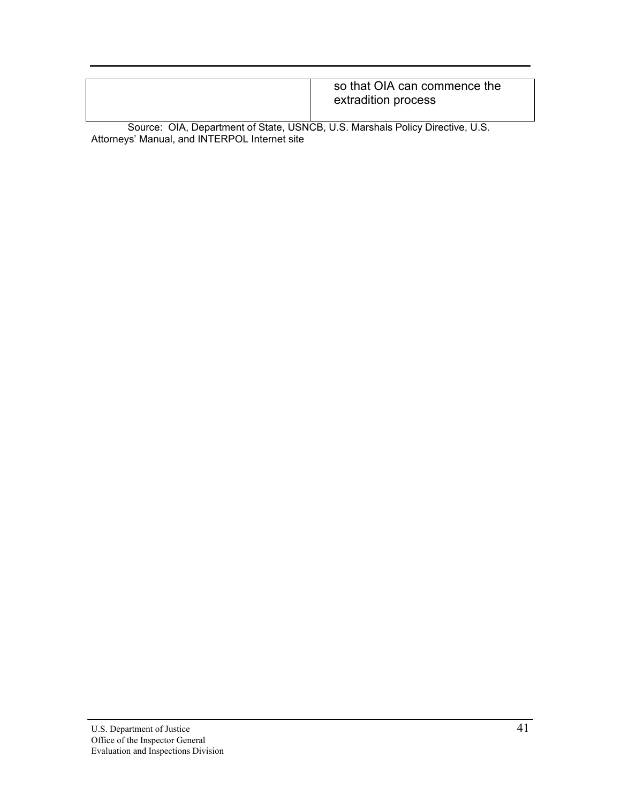| so that OIA can commence the<br>extradition process |
|-----------------------------------------------------|
|                                                     |

Source: OIA, Department of State, USNCB, U.S. Marshals Policy Directive, U.S. Attorneys' Manual, and INTERPOL Internet site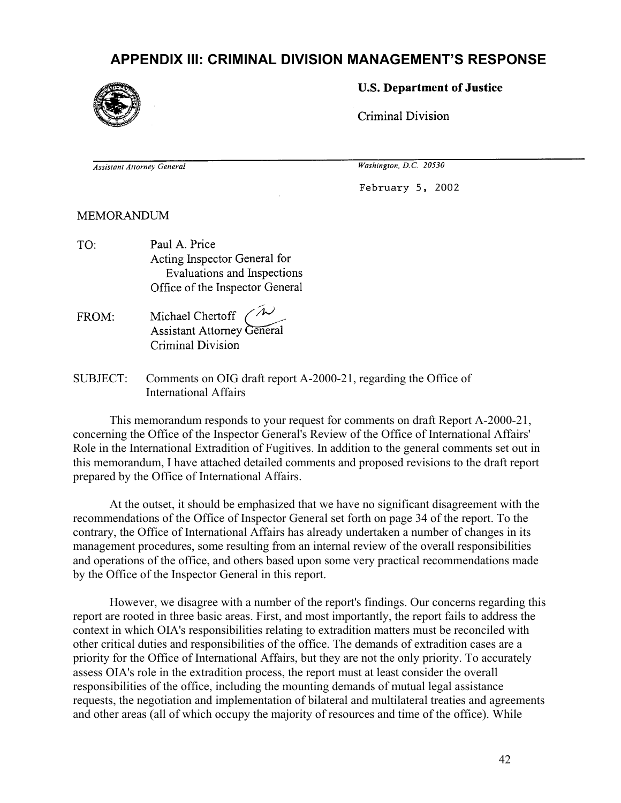# **APPENDIX III: CRIMINAL DIVISION MANAGEMENT'S RESPONSE**

<span id="page-49-0"></span>

### **U.S. Department of Justice**

Criminal Division

**Assistant Attorney General** 

Washington, D.C. 20530

February 5, 2002

**MEMORANDUM** 

- Paul A. Price TO: Acting Inspector General for Evaluations and Inspections Office of the Inspector General
- Michael Chertoff ( FROM: **Assistant Attorney General** Criminal Division
- SUBJECT: Comments on OIG draft report A-2000-21, regarding the Office of International Affairs

 This memorandum responds to your request for comments on draft Report A-2000-21, concerning the Office of the Inspector General's Review of the Office of International Affairs' Role in the International Extradition of Fugitives. In addition to the general comments set out in this memorandum, I have attached detailed comments and proposed revisions to the draft report prepared by the Office of International Affairs.

 At the outset, it should be emphasized that we have no significant disagreement with the recommendations of the Office of Inspector General set forth on page 34 of the report. To the contrary, the Office of International Affairs has already undertaken a number of changes in its management procedures, some resulting from an internal review of the overall responsibilities and operations of the office, and others based upon some very practical recommendations made by the Office of the Inspector General in this report.

 However, we disagree with a number of the report's findings. Our concerns regarding this report are rooted in three basic areas. First, and most importantly, the report fails to address the context in which OIA's responsibilities relating to extradition matters must be reconciled with other critical duties and responsibilities of the office. The demands of extradition cases are a priority for the Office of International Affairs, but they are not the only priority. To accurately assess OIA's role in the extradition process, the report must at least consider the overall responsibilities of the office, including the mounting demands of mutual legal assistance requests, the negotiation and implementation of bilateral and multilateral treaties and agreements and other areas (all of which occupy the majority of resources and time of the office). While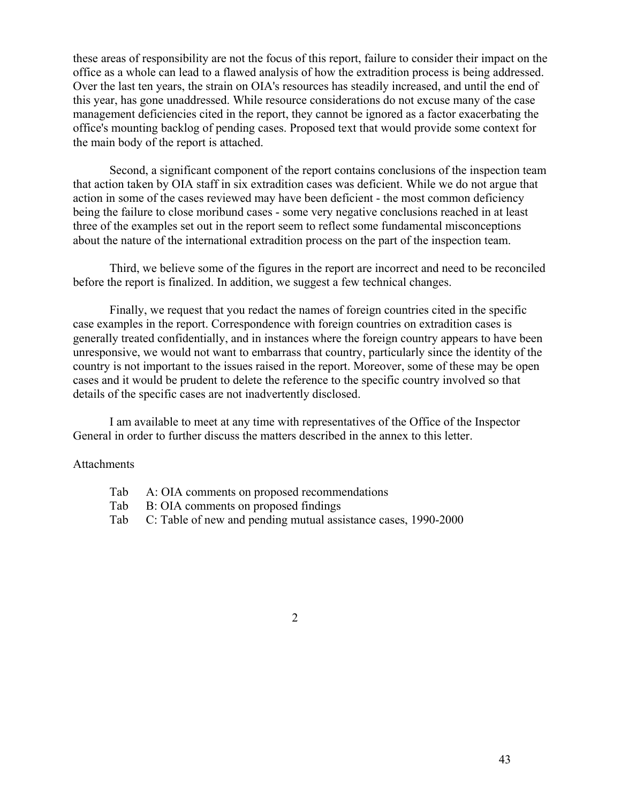these areas of responsibility are not the focus of this report, failure to consider their impact on the office as a whole can lead to a flawed analysis of how the extradition process is being addressed. Over the last ten years, the strain on OIA's resources has steadily increased, and until the end of this year, has gone unaddressed. While resource considerations do not excuse many of the case management deficiencies cited in the report, they cannot be ignored as a factor exacerbating the office's mounting backlog of pending cases. Proposed text that would provide some context for the main body of the report is attached.

 Second, a significant component of the report contains conclusions of the inspection team that action taken by OIA staff in six extradition cases was deficient. While we do not argue that action in some of the cases reviewed may have been deficient - the most common deficiency being the failure to close moribund cases - some very negative conclusions reached in at least three of the examples set out in the report seem to reflect some fundamental misconceptions about the nature of the international extradition process on the part of the inspection team.

 Third, we believe some of the figures in the report are incorrect and need to be reconciled before the report is finalized. In addition, we suggest a few technical changes.

 Finally, we request that you redact the names of foreign countries cited in the specific case examples in the report. Correspondence with foreign countries on extradition cases is generally treated confidentially, and in instances where the foreign country appears to have been unresponsive, we would not want to embarrass that country, particularly since the identity of the country is not important to the issues raised in the report. Moreover, some of these may be open cases and it would be prudent to delete the reference to the specific country involved so that details of the specific cases are not inadvertently disclosed.

 I am available to meet at any time with representatives of the Office of the Inspector General in order to further discuss the matters described in the annex to this letter.

#### **Attachments**

- Tab A: OIA comments on proposed recommendations
- Tab B: OIA comments on proposed findings
- Tab C: Table of new and pending mutual assistance cases, 1990-2000

2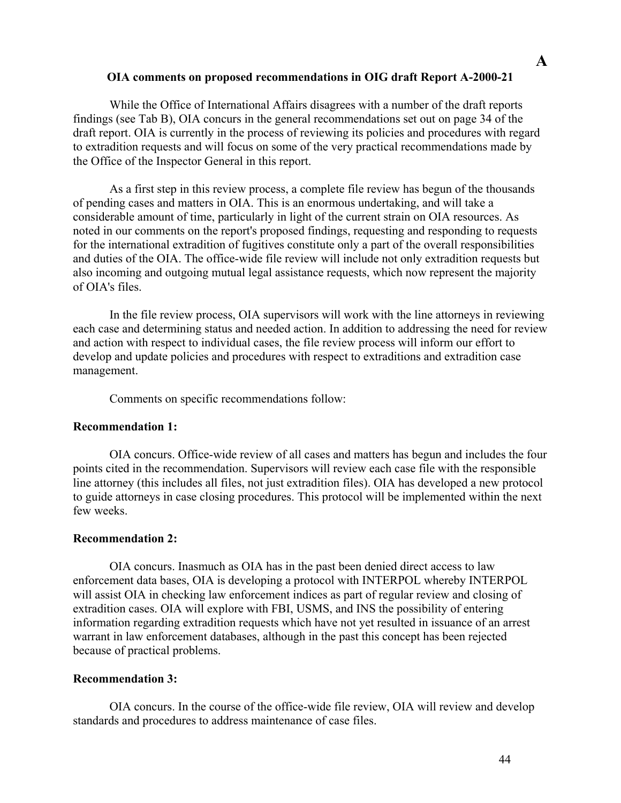#### **OIA comments on proposed recommendations in OIG draft Report A-2000-21**

 While the Office of International Affairs disagrees with a number of the draft reports findings (see Tab B), OIA concurs in the general recommendations set out on page 34 of the draft report. OIA is currently in the process of reviewing its policies and procedures with regard to extradition requests and will focus on some of the very practical recommendations made by the Office of the Inspector General in this report.

 As a first step in this review process, a complete file review has begun of the thousands of pending cases and matters in OIA. This is an enormous undertaking, and will take a considerable amount of time, particularly in light of the current strain on OIA resources. As noted in our comments on the report's proposed findings, requesting and responding to requests for the international extradition of fugitives constitute only a part of the overall responsibilities and duties of the OIA. The office-wide file review will include not only extradition requests but also incoming and outgoing mutual legal assistance requests, which now represent the majority of OIA's files.

 In the file review process, OIA supervisors will work with the line attorneys in reviewing each case and determining status and needed action. In addition to addressing the need for review and action with respect to individual cases, the file review process will inform our effort to develop and update policies and procedures with respect to extraditions and extradition case management.

Comments on specific recommendations follow:

### **Recommendation 1:**

 OIA concurs. Office-wide review of all cases and matters has begun and includes the four points cited in the recommendation. Supervisors will review each case file with the responsible line attorney (this includes all files, not just extradition files). OIA has developed a new protocol to guide attorneys in case closing procedures. This protocol will be implemented within the next few weeks.

### **Recommendation 2:**

 OIA concurs. Inasmuch as OIA has in the past been denied direct access to law enforcement data bases, OIA is developing a protocol with INTERPOL whereby INTERPOL will assist OIA in checking law enforcement indices as part of regular review and closing of extradition cases. OIA will explore with FBI, USMS, and INS the possibility of entering information regarding extradition requests which have not yet resulted in issuance of an arrest warrant in law enforcement databases, although in the past this concept has been rejected because of practical problems.

### **Recommendation 3:**

 OIA concurs. In the course of the office-wide file review, OIA will review and develop standards and procedures to address maintenance of case files.

**A**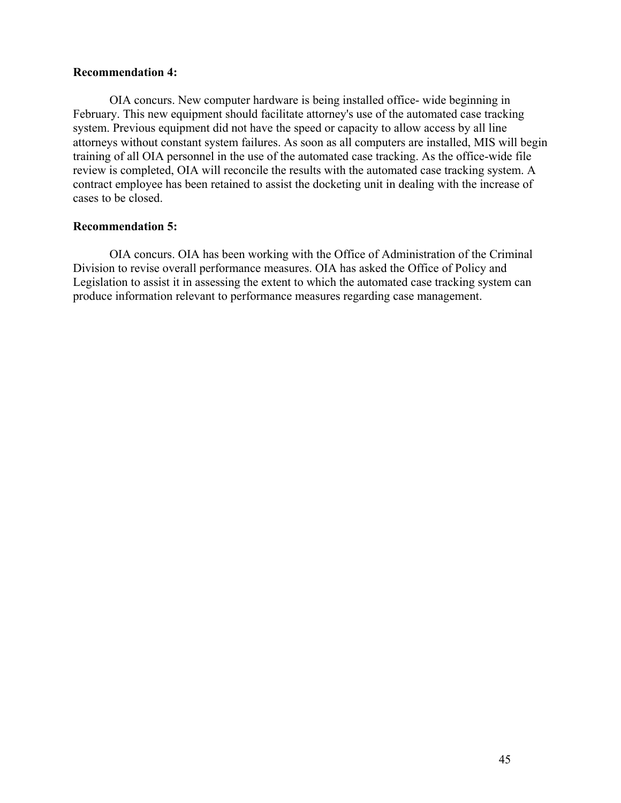### **Recommendation 4:**

 OIA concurs. New computer hardware is being installed office- wide beginning in February. This new equipment should facilitate attorney's use of the automated case tracking system. Previous equipment did not have the speed or capacity to allow access by all line attorneys without constant system failures. As soon as all computers are installed, MIS will begin training of all OIA personnel in the use of the automated case tracking. As the office-wide file review is completed, OIA will reconcile the results with the automated case tracking system. A contract employee has been retained to assist the docketing unit in dealing with the increase of cases to be closed.

#### **Recommendation 5:**

 OIA concurs. OIA has been working with the Office of Administration of the Criminal Division to revise overall performance measures. OIA has asked the Office of Policy and Legislation to assist it in assessing the extent to which the automated case tracking system can produce information relevant to performance measures regarding case management.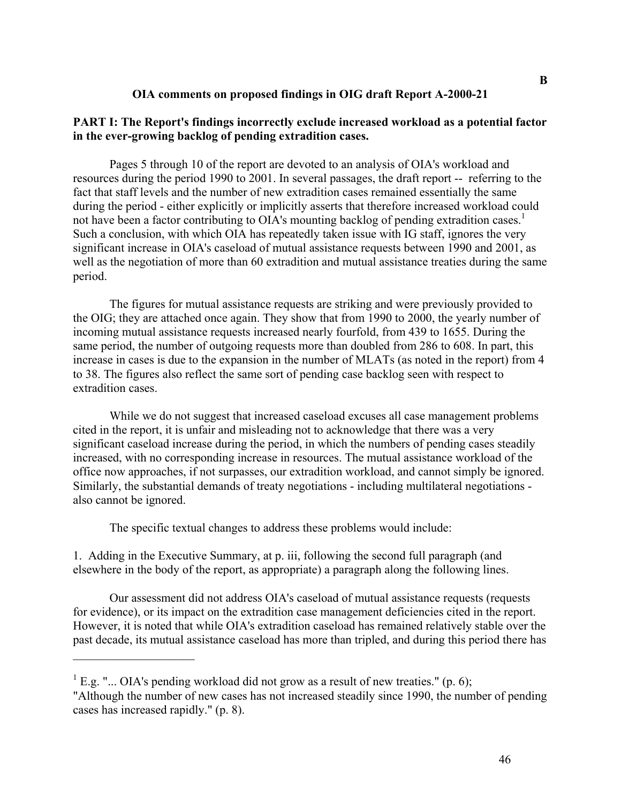#### **OIA comments on proposed findings in OIG draft Report A-2000-21**

#### **PART I: The Report's findings incorrectly exclude increased workload as a potential factor in the ever-growing backlog of pending extradition cases.**

 Pages 5 through 10 of the report are devoted to an analysis of OIA's workload and resources during the period 1990 to 2001. In several passages, the draft report -- referring to the fact that staff levels and the number of new extradition cases remained essentially the same during the period - either explicitly or implicitly asserts that therefore increased workload could not have been a factor contributing to OIA's mounting backlog of pending extradition cases.<sup>1</sup> Such a conclusion, with which OIA has repeatedly taken issue with IG staff, ignores the very significant increase in OIA's caseload of mutual assistance requests between 1990 and 2001, as well as the negotiation of more than 60 extradition and mutual assistance treaties during the same period.

 The figures for mutual assistance requests are striking and were previously provided to the OIG; they are attached once again. They show that from 1990 to 2000, the yearly number of incoming mutual assistance requests increased nearly fourfold, from 439 to 1655. During the same period, the number of outgoing requests more than doubled from 286 to 608. In part, this increase in cases is due to the expansion in the number of MLATs (as noted in the report) from 4 to 38. The figures also reflect the same sort of pending case backlog seen with respect to extradition cases.

 While we do not suggest that increased caseload excuses all case management problems cited in the report, it is unfair and misleading not to acknowledge that there was a very significant caseload increase during the period, in which the numbers of pending cases steadily increased, with no corresponding increase in resources. The mutual assistance workload of the office now approaches, if not surpasses, our extradition workload, and cannot simply be ignored. Similarly, the substantial demands of treaty negotiations - including multilateral negotiations also cannot be ignored.

The specific textual changes to address these problems would include:

 $\overline{\phantom{a}}$  , where  $\overline{\phantom{a}}$ 

1. Adding in the Executive Summary, at p. iii, following the second full paragraph (and elsewhere in the body of the report, as appropriate) a paragraph along the following lines.

 Our assessment did not address OIA's caseload of mutual assistance requests (requests for evidence), or its impact on the extradition case management deficiencies cited in the report. However, it is noted that while OIA's extradition caseload has remained relatively stable over the past decade, its mutual assistance caseload has more than tripled, and during this period there has

 ${}^{1}$  E.g. "... OIA's pending workload did not grow as a result of new treaties." (p. 6); "Although the number of new cases has not increased steadily since 1990, the number of pending cases has increased rapidly." (p. 8).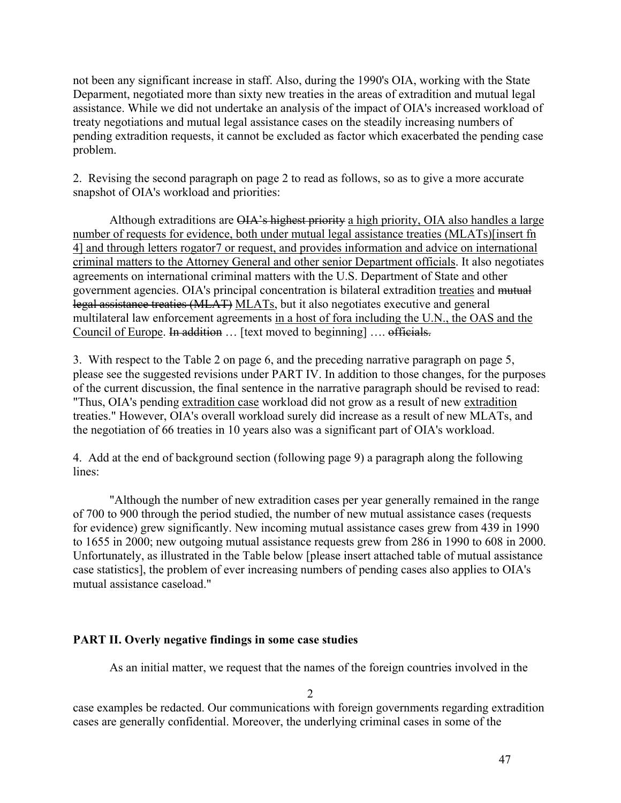not been any significant increase in staff. Also, during the 1990's OIA, working with the State Deparment, negotiated more than sixty new treaties in the areas of extradition and mutual legal assistance. While we did not undertake an analysis of the impact of OIA's increased workload of treaty negotiations and mutual legal assistance cases on the steadily increasing numbers of pending extradition requests, it cannot be excluded as factor which exacerbated the pending case problem.

2. Revising the second paragraph on page 2 to read as follows, so as to give a more accurate snapshot of OIA's workload and priorities:

Although extraditions are OIA's highest priority a high priority, OIA also handles a large number of requests for evidence, both under mutual legal assistance treaties (MLATs)[insert fn 4] and through letters rogator7 or request, and provides information and advice on international criminal matters to the Attorney General and other senior Department officials. It also negotiates agreements on international criminal matters with the U.S. Department of State and other government agencies. OIA's principal concentration is bilateral extradition treaties and mutual legal assistance treaties (MLAT) MLATs, but it also negotiates executive and general multilateral law enforcement agreements in a host of fora including the U.N., the OAS and the Council of Europe. In addition ... [text moved to beginning] .... officials.

3. With respect to the Table 2 on page 6, and the preceding narrative paragraph on page 5, please see the suggested revisions under PART IV. In addition to those changes, for the purposes of the current discussion, the final sentence in the narrative paragraph should be revised to read: "Thus, OIA's pending extradition case workload did not grow as a result of new extradition treaties." However, OIA's overall workload surely did increase as a result of new MLATs, and the negotiation of 66 treaties in 10 years also was a significant part of OIA's workload.

4. Add at the end of background section (following page 9) a paragraph along the following lines:

 "Although the number of new extradition cases per year generally remained in the range of 700 to 900 through the period studied, the number of new mutual assistance cases (requests for evidence) grew significantly. New incoming mutual assistance cases grew from 439 in 1990 to 1655 in 2000; new outgoing mutual assistance requests grew from 286 in 1990 to 608 in 2000. Unfortunately, as illustrated in the Table below [please insert attached table of mutual assistance case statistics], the problem of ever increasing numbers of pending cases also applies to OIA's mutual assistance caseload."

### **PART II. Overly negative findings in some case studies**

As an initial matter, we request that the names of the foreign countries involved in the

2

case examples be redacted. Our communications with foreign governments regarding extradition cases are generally confidential. Moreover, the underlying criminal cases in some of the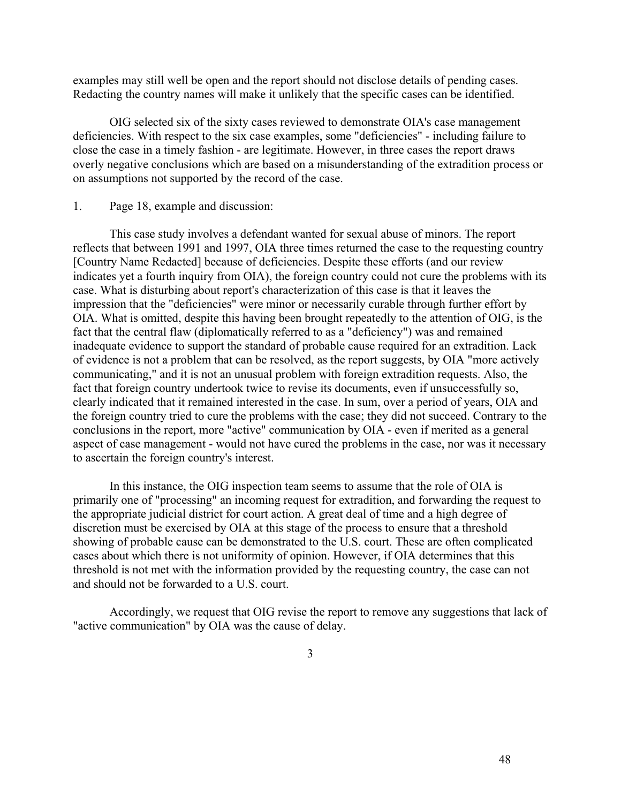examples may still well be open and the report should not disclose details of pending cases. Redacting the country names will make it unlikely that the specific cases can be identified.

 OIG selected six of the sixty cases reviewed to demonstrate OIA's case management deficiencies. With respect to the six case examples, some "deficiencies" - including failure to close the case in a timely fashion - are legitimate. However, in three cases the report draws overly negative conclusions which are based on a misunderstanding of the extradition process or on assumptions not supported by the record of the case.

#### 1. Page 18, example and discussion:

 This case study involves a defendant wanted for sexual abuse of minors. The report reflects that between 1991 and 1997, OIA three times returned the case to the requesting country [Country Name Redacted] because of deficiencies. Despite these efforts (and our review indicates yet a fourth inquiry from OIA), the foreign country could not cure the problems with its case. What is disturbing about report's characterization of this case is that it leaves the impression that the "deficiencies" were minor or necessarily curable through further effort by OIA. What is omitted, despite this having been brought repeatedly to the attention of OIG, is the fact that the central flaw (diplomatically referred to as a "deficiency") was and remained inadequate evidence to support the standard of probable cause required for an extradition. Lack of evidence is not a problem that can be resolved, as the report suggests, by OIA "more actively communicating," and it is not an unusual problem with foreign extradition requests. Also, the fact that foreign country undertook twice to revise its documents, even if unsuccessfully so, clearly indicated that it remained interested in the case. In sum, over a period of years, OIA and the foreign country tried to cure the problems with the case; they did not succeed. Contrary to the conclusions in the report, more "active" communication by OIA - even if merited as a general aspect of case management - would not have cured the problems in the case, nor was it necessary to ascertain the foreign country's interest.

 In this instance, the OIG inspection team seems to assume that the role of OIA is primarily one of "processing" an incoming request for extradition, and forwarding the request to the appropriate judicial district for court action. A great deal of time and a high degree of discretion must be exercised by OIA at this stage of the process to ensure that a threshold showing of probable cause can be demonstrated to the U.S. court. These are often complicated cases about which there is not uniformity of opinion. However, if OIA determines that this threshold is not met with the information provided by the requesting country, the case can not and should not be forwarded to a U.S. court.

 Accordingly, we request that OIG revise the report to remove any suggestions that lack of "active communication" by OIA was the cause of delay.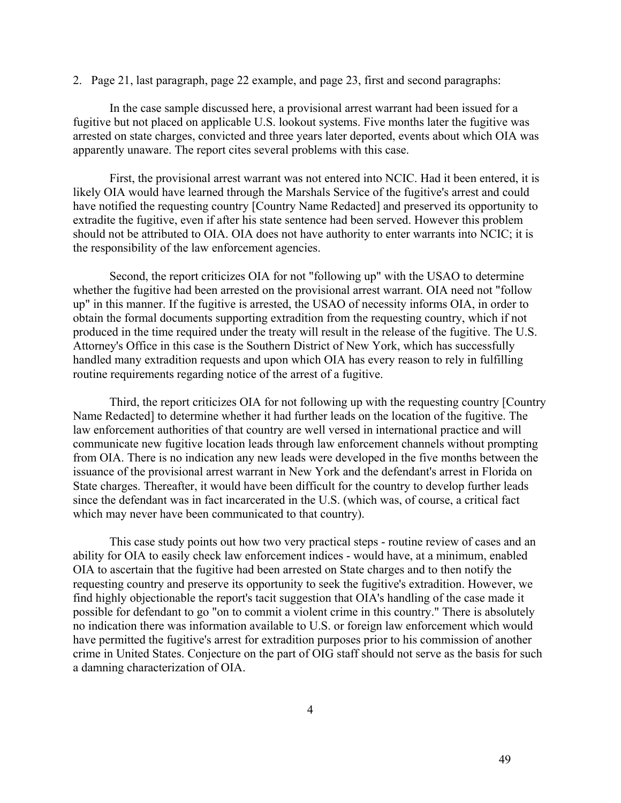2. Page 21, last paragraph, page 22 example, and page 23, first and second paragraphs:

 In the case sample discussed here, a provisional arrest warrant had been issued for a fugitive but not placed on applicable U.S. lookout systems. Five months later the fugitive was arrested on state charges, convicted and three years later deported, events about which OIA was apparently unaware. The report cites several problems with this case.

 First, the provisional arrest warrant was not entered into NCIC. Had it been entered, it is likely OIA would have learned through the Marshals Service of the fugitive's arrest and could have notified the requesting country [Country Name Redacted] and preserved its opportunity to extradite the fugitive, even if after his state sentence had been served. However this problem should not be attributed to OIA. OIA does not have authority to enter warrants into NCIC; it is the responsibility of the law enforcement agencies.

 Second, the report criticizes OIA for not "following up" with the USAO to determine whether the fugitive had been arrested on the provisional arrest warrant. OIA need not "follow up" in this manner. If the fugitive is arrested, the USAO of necessity informs OIA, in order to obtain the formal documents supporting extradition from the requesting country, which if not produced in the time required under the treaty will result in the release of the fugitive. The U.S. Attorney's Office in this case is the Southern District of New York, which has successfully handled many extradition requests and upon which OIA has every reason to rely in fulfilling routine requirements regarding notice of the arrest of a fugitive.

 Third, the report criticizes OIA for not following up with the requesting country [Country Name Redacted] to determine whether it had further leads on the location of the fugitive. The law enforcement authorities of that country are well versed in international practice and will communicate new fugitive location leads through law enforcement channels without prompting from OIA. There is no indication any new leads were developed in the five months between the issuance of the provisional arrest warrant in New York and the defendant's arrest in Florida on State charges. Thereafter, it would have been difficult for the country to develop further leads since the defendant was in fact incarcerated in the U.S. (which was, of course, a critical fact which may never have been communicated to that country).

 This case study points out how two very practical steps - routine review of cases and an ability for OIA to easily check law enforcement indices - would have, at a minimum, enabled OIA to ascertain that the fugitive had been arrested on State charges and to then notify the requesting country and preserve its opportunity to seek the fugitive's extradition. However, we find highly objectionable the report's tacit suggestion that OIA's handling of the case made it possible for defendant to go "on to commit a violent crime in this country." There is absolutely no indication there was information available to U.S. or foreign law enforcement which would have permitted the fugitive's arrest for extradition purposes prior to his commission of another crime in United States. Conjecture on the part of OIG staff should not serve as the basis for such a damning characterization of OIA.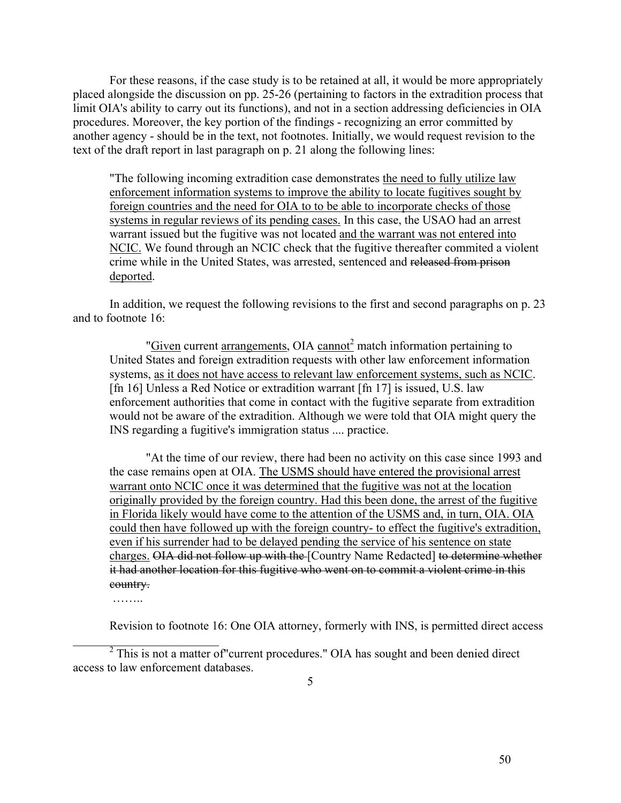For these reasons, if the case study is to be retained at all, it would be more appropriately placed alongside the discussion on pp. 25-26 (pertaining to factors in the extradition process that limit OIA's ability to carry out its functions), and not in a section addressing deficiencies in OIA procedures. Moreover, the key portion of the findings - recognizing an error committed by another agency - should be in the text, not footnotes. Initially, we would request revision to the text of the draft report in last paragraph on p. 21 along the following lines:

"The following incoming extradition case demonstrates the need to fully utilize law enforcement information systems to improve the ability to locate fugitives sought by foreign countries and the need for OIA to to be able to incorporate checks of those systems in regular reviews of its pending cases. In this case, the USAO had an arrest warrant issued but the fugitive was not located and the warrant was not entered into NCIC. We found through an NCIC check that the fugitive thereafter commited a violent crime while in the United States, was arrested, sentenced and released from prison deported.

 In addition, we request the following revisions to the first and second paragraphs on p. 23 and to footnote 16:

"Given current arrangements, OIA cannot<sup>2</sup> match information pertaining to United States and foreign extradition requests with other law enforcement information systems, as it does not have access to relevant law enforcement systems, such as NCIC. [fn 16] Unless a Red Notice or extradition warrant [fn 17] is issued, U.S. law enforcement authorities that come in contact with the fugitive separate from extradition would not be aware of the extradition. Although we were told that OIA might query the INS regarding a fugitive's immigration status .... practice.

 "At the time of our review, there had been no activity on this case since 1993 and the case remains open at OIA. The USMS should have entered the provisional arrest warrant onto NCIC once it was determined that the fugitive was not at the location originally provided by the foreign country. Had this been done, the arrest of the fugitive in Florida likely would have come to the attention of the USMS and, in turn, OIA. OIA could then have followed up with the foreign country- to effect the fugitive's extradition, even if his surrender had to be delayed pending the service of his sentence on state charges. OIA did not follow up with the [Country Name Redacted] to determine whether it had another location for this fugitive who went on to commit a violent crime in this country.

……

 $\mathcal{L}_\text{max}$  , where  $\mathcal{L}_\text{max}$  , we have the set of  $\mathcal{L}_\text{max}$ 

Revision to footnote 16: One OIA attorney, formerly with INS, is permitted direct access

 $2$  This is not a matter of "current procedures." OIA has sought and been denied direct access to law enforcement databases.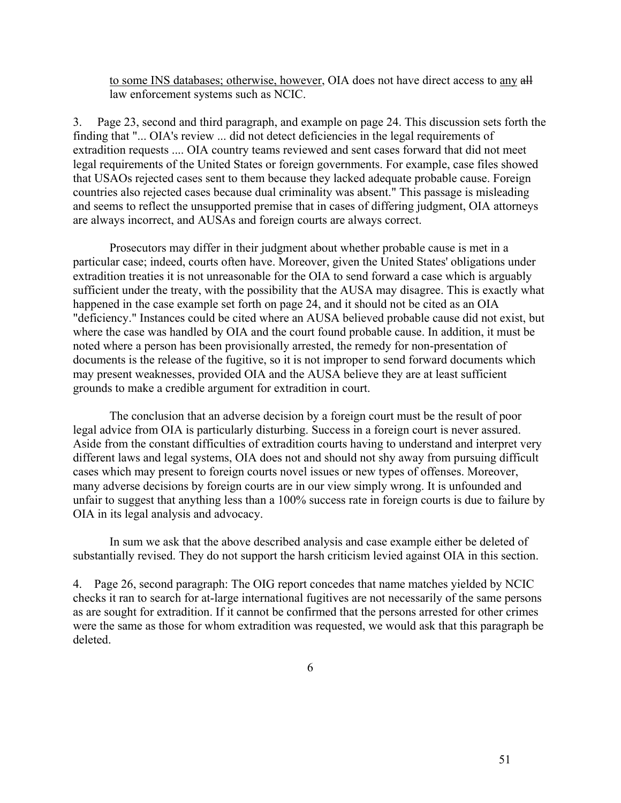to some INS databases; otherwise, however, OIA does not have direct access to any all law enforcement systems such as NCIC.

3. Page 23, second and third paragraph, and example on page 24. This discussion sets forth the finding that "... OIA's review ... did not detect deficiencies in the legal requirements of extradition requests .... OIA country teams reviewed and sent cases forward that did not meet legal requirements of the United States or foreign governments. For example, case files showed that USAOs rejected cases sent to them because they lacked adequate probable cause. Foreign countries also rejected cases because dual criminality was absent." This passage is misleading and seems to reflect the unsupported premise that in cases of differing judgment, OIA attorneys are always incorrect, and AUSAs and foreign courts are always correct.

 Prosecutors may differ in their judgment about whether probable cause is met in a particular case; indeed, courts often have. Moreover, given the United States' obligations under extradition treaties it is not unreasonable for the OIA to send forward a case which is arguably sufficient under the treaty, with the possibility that the AUSA may disagree. This is exactly what happened in the case example set forth on page 24, and it should not be cited as an OIA "deficiency." Instances could be cited where an AUSA believed probable cause did not exist, but where the case was handled by OIA and the court found probable cause. In addition, it must be noted where a person has been provisionally arrested, the remedy for non-presentation of documents is the release of the fugitive, so it is not improper to send forward documents which may present weaknesses, provided OIA and the AUSA believe they are at least sufficient grounds to make a credible argument for extradition in court.

 The conclusion that an adverse decision by a foreign court must be the result of poor legal advice from OIA is particularly disturbing. Success in a foreign court is never assured. Aside from the constant difficulties of extradition courts having to understand and interpret very different laws and legal systems, OIA does not and should not shy away from pursuing difficult cases which may present to foreign courts novel issues or new types of offenses. Moreover, many adverse decisions by foreign courts are in our view simply wrong. It is unfounded and unfair to suggest that anything less than a 100% success rate in foreign courts is due to failure by OIA in its legal analysis and advocacy.

 In sum we ask that the above described analysis and case example either be deleted of substantially revised. They do not support the harsh criticism levied against OIA in this section.

4. Page 26, second paragraph: The OIG report concedes that name matches yielded by NCIC checks it ran to search for at-large international fugitives are not necessarily of the same persons as are sought for extradition. If it cannot be confirmed that the persons arrested for other crimes were the same as those for whom extradition was requested, we would ask that this paragraph be deleted.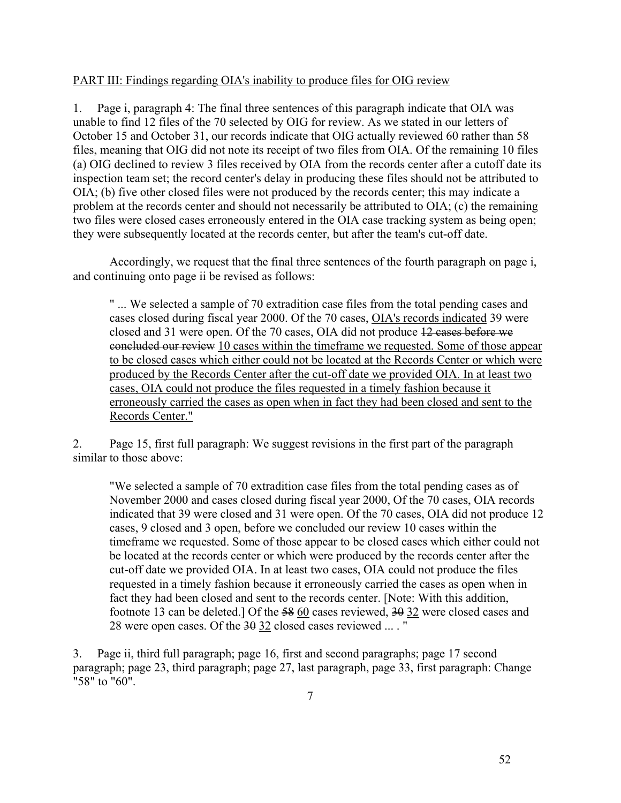### PART III: Findings regarding OIA's inability to produce files for OIG review

1. Page i, paragraph 4: The final three sentences of this paragraph indicate that OIA was unable to find 12 files of the 70 selected by OIG for review. As we stated in our letters of October 15 and October 31, our records indicate that OIG actually reviewed 60 rather than 58 files, meaning that OIG did not note its receipt of two files from OIA. Of the remaining 10 files (a) OIG declined to review 3 files received by OIA from the records center after a cutoff date its inspection team set; the record center's delay in producing these files should not be attributed to OIA; (b) five other closed files were not produced by the records center; this may indicate a problem at the records center and should not necessarily be attributed to OIA; (c) the remaining two files were closed cases erroneously entered in the OIA case tracking system as being open; they were subsequently located at the records center, but after the team's cut-off date.

 Accordingly, we request that the final three sentences of the fourth paragraph on page i, and continuing onto page ii be revised as follows:

 " ... We selected a sample of 70 extradition case files from the total pending cases and cases closed during fiscal year 2000. Of the 70 cases, OIA's records indicated 39 were closed and 31 were open. Of the 70 cases, OIA did not produce  $12$  cases before we concluded our review 10 cases within the timeframe we requested. Some of those appear to be closed cases which either could not be located at the Records Center or which were produced by the Records Center after the cut-off date we provided OIA. In at least two cases, OIA could not produce the files requested in a timely fashion because it erroneously carried the cases as open when in fact they had been closed and sent to the Records Center."

2. Page 15, first full paragraph: We suggest revisions in the first part of the paragraph similar to those above:

 "We selected a sample of 70 extradition case files from the total pending cases as of November 2000 and cases closed during fiscal year 2000, Of the 70 cases, OIA records indicated that 39 were closed and 31 were open. Of the 70 cases, OIA did not produce 12 cases, 9 closed and 3 open, before we concluded our review 10 cases within the timeframe we requested. Some of those appear to be closed cases which either could not be located at the records center or which were produced by the records center after the cut-off date we provided OIA. In at least two cases, OIA could not produce the files requested in a timely fashion because it erroneously carried the cases as open when in fact they had been closed and sent to the records center. [Note: With this addition, footnote 13 can be deleted.] Of the 58 60 cases reviewed, 30 32 were closed cases and 28 were open cases. Of the  $\frac{30}{9}$  32 closed cases reviewed ... . "

3. Page ii, third full paragraph; page 16, first and second paragraphs; page 17 second paragraph; page 23, third paragraph; page 27, last paragraph, page 33, first paragraph: Change "58" to "60".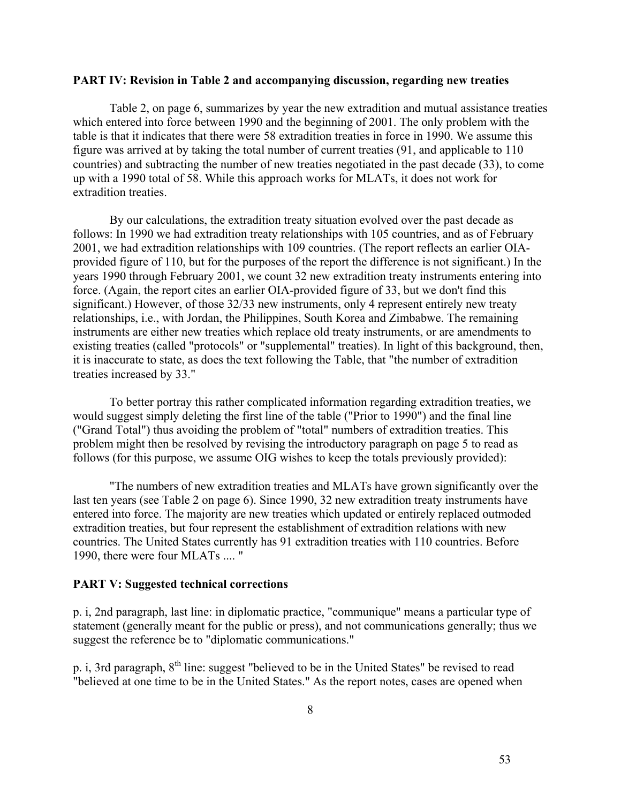#### **PART IV: Revision in Table 2 and accompanying discussion, regarding new treaties**

 Table 2, on page 6, summarizes by year the new extradition and mutual assistance treaties which entered into force between 1990 and the beginning of 2001. The only problem with the table is that it indicates that there were 58 extradition treaties in force in 1990. We assume this figure was arrived at by taking the total number of current treaties (91, and applicable to 110 countries) and subtracting the number of new treaties negotiated in the past decade (33), to come up with a 1990 total of 58. While this approach works for MLATs, it does not work for extradition treaties.

 By our calculations, the extradition treaty situation evolved over the past decade as follows: In 1990 we had extradition treaty relationships with 105 countries, and as of February 2001, we had extradition relationships with 109 countries. (The report reflects an earlier OIAprovided figure of 110, but for the purposes of the report the difference is not significant.) In the years 1990 through February 2001, we count 32 new extradition treaty instruments entering into force. (Again, the report cites an earlier OIA-provided figure of 33, but we don't find this significant.) However, of those 32/33 new instruments, only 4 represent entirely new treaty relationships, i.e., with Jordan, the Philippines, South Korea and Zimbabwe. The remaining instruments are either new treaties which replace old treaty instruments, or are amendments to existing treaties (called "protocols" or "supplemental" treaties). In light of this background, then, it is inaccurate to state, as does the text following the Table, that "the number of extradition treaties increased by 33."

 To better portray this rather complicated information regarding extradition treaties, we would suggest simply deleting the first line of the table ("Prior to 1990") and the final line ("Grand Total") thus avoiding the problem of "total" numbers of extradition treaties. This problem might then be resolved by revising the introductory paragraph on page 5 to read as follows (for this purpose, we assume OIG wishes to keep the totals previously provided):

 "The numbers of new extradition treaties and MLATs have grown significantly over the last ten years (see Table 2 on page 6). Since 1990, 32 new extradition treaty instruments have entered into force. The majority are new treaties which updated or entirely replaced outmoded extradition treaties, but four represent the establishment of extradition relations with new countries. The United States currently has 91 extradition treaties with 110 countries. Before 1990, there were four MLATs .... "

#### **PART V: Suggested technical corrections**

p. i, 2nd paragraph, last line: in diplomatic practice, "communique" means a particular type of statement (generally meant for the public or press), and not communications generally; thus we suggest the reference be to "diplomatic communications."

p. i, 3rd paragraph, 8<sup>th</sup> line: suggest "believed to be in the United States" be revised to read "believed at one time to be in the United States." As the report notes, cases are opened when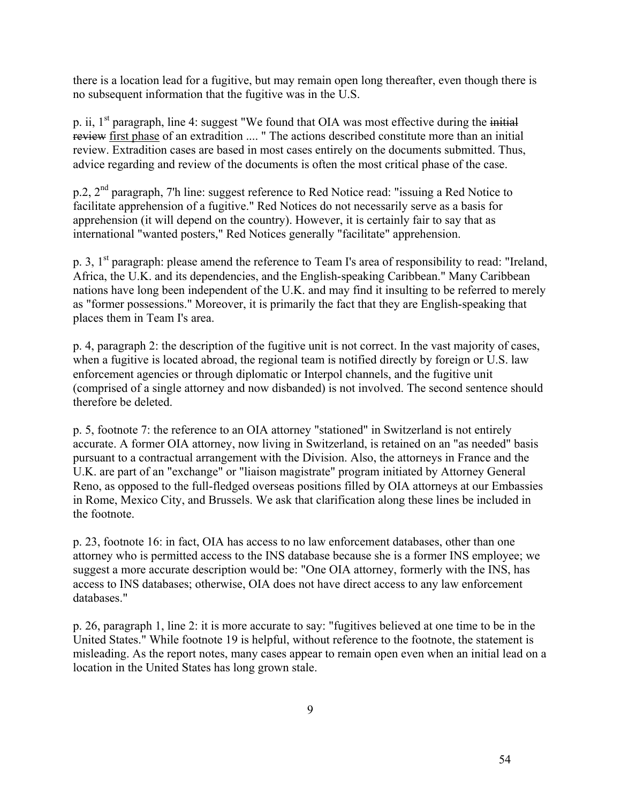there is a location lead for a fugitive, but may remain open long thereafter, even though there is no subsequent information that the fugitive was in the U.S.

p. ii,  $1<sup>st</sup>$  paragraph, line 4: suggest "We found that OIA was most effective during the initial review first phase of an extradition .... " The actions described constitute more than an initial review. Extradition cases are based in most cases entirely on the documents submitted. Thus, advice regarding and review of the documents is often the most critical phase of the case.

 $p.2$ ,  $2<sup>nd</sup>$  paragraph, 7'h line: suggest reference to Red Notice read: "issuing a Red Notice to facilitate apprehension of a fugitive." Red Notices do not necessarily serve as a basis for apprehension (it will depend on the country). However, it is certainly fair to say that as international "wanted posters," Red Notices generally "facilitate" apprehension.

p. 3, 1<sup>st</sup> paragraph: please amend the reference to Team I's area of responsibility to read: "Ireland, Africa, the U.K. and its dependencies, and the English-speaking Caribbean." Many Caribbean nations have long been independent of the U.K. and may find it insulting to be referred to merely as "former possessions." Moreover, it is primarily the fact that they are English-speaking that places them in Team I's area.

p. 4, paragraph 2: the description of the fugitive unit is not correct. In the vast majority of cases, when a fugitive is located abroad, the regional team is notified directly by foreign or U.S. law enforcement agencies or through diplomatic or Interpol channels, and the fugitive unit (comprised of a single attorney and now disbanded) is not involved. The second sentence should therefore be deleted.

p. 5, footnote 7: the reference to an OIA attorney "stationed" in Switzerland is not entirely accurate. A former OIA attorney, now living in Switzerland, is retained on an "as needed" basis pursuant to a contractual arrangement with the Division. Also, the attorneys in France and the U.K. are part of an "exchange" or "liaison magistrate" program initiated by Attorney General Reno, as opposed to the full-fledged overseas positions filled by OIA attorneys at our Embassies in Rome, Mexico City, and Brussels. We ask that clarification along these lines be included in the footnote.

p. 23, footnote 16: in fact, OIA has access to no law enforcement databases, other than one attorney who is permitted access to the INS database because she is a former INS employee; we suggest a more accurate description would be: "One OIA attorney, formerly with the INS, has access to INS databases; otherwise, OIA does not have direct access to any law enforcement databases."

p. 26, paragraph 1, line 2: it is more accurate to say: "fugitives believed at one time to be in the United States." While footnote 19 is helpful, without reference to the footnote, the statement is misleading. As the report notes, many cases appear to remain open even when an initial lead on a location in the United States has long grown stale.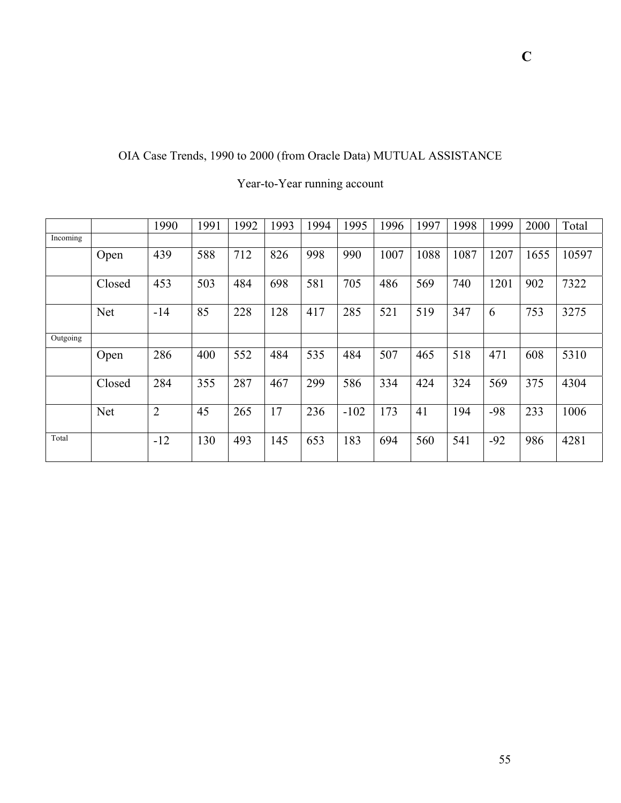# OIA Case Trends, 1990 to 2000 (from Oracle Data) MUTUAL ASSISTANCE

|          |            | 1990           | 1991 | 1992 | 1993 | 1994 | 1995   | 1996 | 1997 | 1998 | 1999  | 2000 | Total |
|----------|------------|----------------|------|------|------|------|--------|------|------|------|-------|------|-------|
| Incoming |            |                |      |      |      |      |        |      |      |      |       |      |       |
|          | Open       | 439            | 588  | 712  | 826  | 998  | 990    | 1007 | 1088 | 1087 | 1207  | 1655 | 10597 |
|          | Closed     | 453            | 503  | 484  | 698  | 581  | 705    | 486  | 569  | 740  | 1201  | 902  | 7322  |
|          | <b>Net</b> | $-14$          | 85   | 228  | 128  | 417  | 285    | 521  | 519  | 347  | 6     | 753  | 3275  |
| Outgoing |            |                |      |      |      |      |        |      |      |      |       |      |       |
|          | Open       | 286            | 400  | 552  | 484  | 535  | 484    | 507  | 465  | 518  | 471   | 608  | 5310  |
|          | Closed     | 284            | 355  | 287  | 467  | 299  | 586    | 334  | 424  | 324  | 569   | 375  | 4304  |
|          | <b>Net</b> | $\overline{2}$ | 45   | 265  | 17   | 236  | $-102$ | 173  | 41   | 194  | -98   | 233  | 1006  |
| Total    |            | $-12$          | 130  | 493  | 145  | 653  | 183    | 694  | 560  | 541  | $-92$ | 986  | 4281  |

# Year-to-Year running account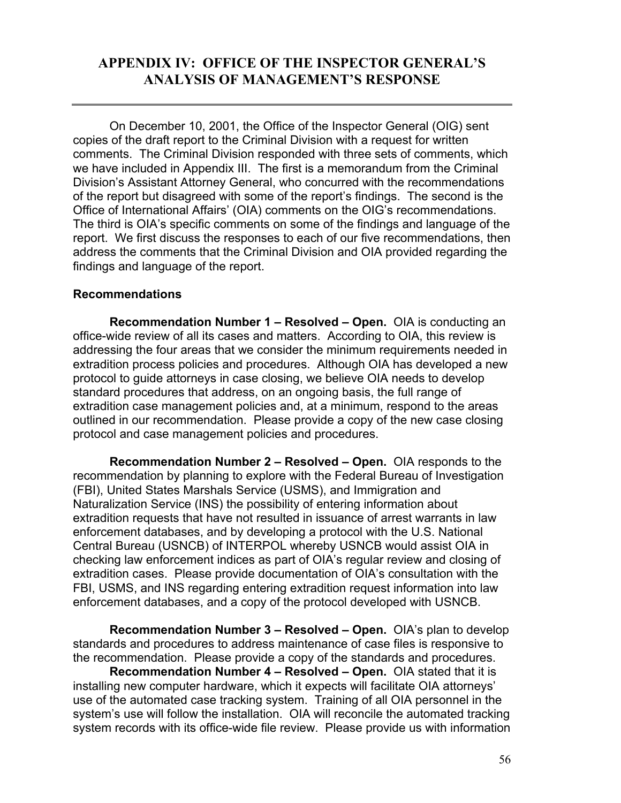# <span id="page-63-0"></span>**APPENDIX IV: OFFICE OF THE INSPECTOR GENERAL'S ANALYSIS OF MANAGEMENT'S RESPONSE**

On December 10, 2001, the Office of the Inspector General (OIG) sent copies of the draft report to the Criminal Division with a request for written comments. The Criminal Division responded with three sets of comments, which we have included in Appendix III. The first is a memorandum from the Criminal Division's Assistant Attorney General, who concurred with the recommendations of the report but disagreed with some of the report's findings. The second is the Office of International Affairs' (OIA) comments on the OIG's recommendations. The third is OIA's specific comments on some of the findings and language of the report. We first discuss the responses to each of our five recommendations, then address the comments that the Criminal Division and OIA provided regarding the findings and language of the report.

### **Recommendations**

**Recommendation Number 1 – Resolved – Open.** OIA is conducting an office-wide review of all its cases and matters. According to OIA, this review is addressing the four areas that we consider the minimum requirements needed in extradition process policies and procedures. Although OIA has developed a new protocol to guide attorneys in case closing, we believe OIA needs to develop standard procedures that address, on an ongoing basis, the full range of extradition case management policies and, at a minimum, respond to the areas outlined in our recommendation. Please provide a copy of the new case closing protocol and case management policies and procedures.

**Recommendation Number 2 – Resolved – Open.** OIA responds to the recommendation by planning to explore with the Federal Bureau of Investigation (FBI), United States Marshals Service (USMS), and Immigration and Naturalization Service (INS) the possibility of entering information about extradition requests that have not resulted in issuance of arrest warrants in law enforcement databases, and by developing a protocol with the U.S. National Central Bureau (USNCB) of INTERPOL whereby USNCB would assist OIA in checking law enforcement indices as part of OIA's regular review and closing of extradition cases. Please provide documentation of OIA's consultation with the FBI, USMS, and INS regarding entering extradition request information into law enforcement databases, and a copy of the protocol developed with USNCB.

**Recommendation Number 3 – Resolved – Open.** OIA's plan to develop standards and procedures to address maintenance of case files is responsive to the recommendation. Please provide a copy of the standards and procedures.

**Recommendation Number 4 – Resolved – Open.** OIA stated that it is installing new computer hardware, which it expects will facilitate OIA attorneys' use of the automated case tracking system. Training of all OIA personnel in the system's use will follow the installation. OIA will reconcile the automated tracking system records with its office-wide file review. Please provide us with information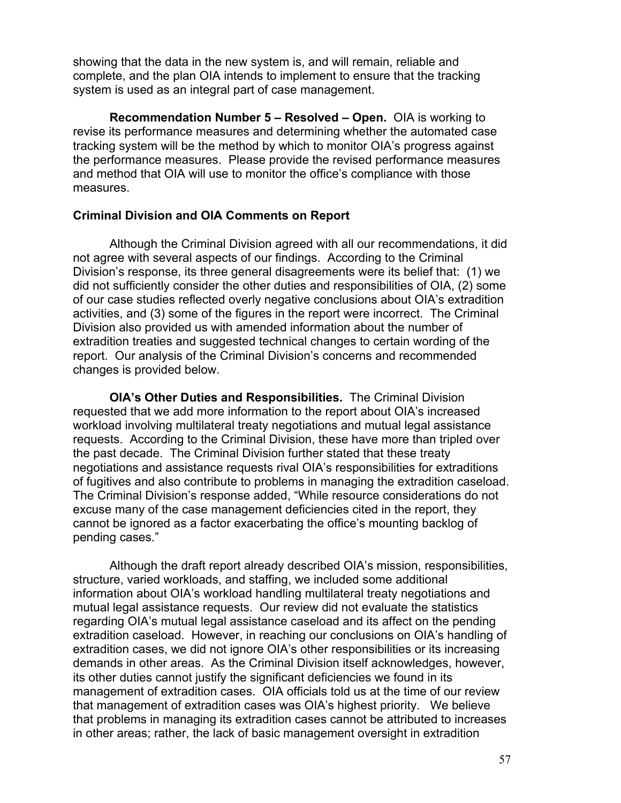showing that the data in the new system is, and will remain, reliable and complete, and the plan OIA intends to implement to ensure that the tracking system is used as an integral part of case management.

**Recommendation Number 5 – Resolved – Open.** OIA is working to revise its performance measures and determining whether the automated case tracking system will be the method by which to monitor OIA's progress against the performance measures. Please provide the revised performance measures and method that OIA will use to monitor the office's compliance with those measures.

### **Criminal Division and OIA Comments on Report**

Although the Criminal Division agreed with all our recommendations, it did not agree with several aspects of our findings. According to the Criminal Division's response, its three general disagreements were its belief that: (1) we did not sufficiently consider the other duties and responsibilities of OIA, (2) some of our case studies reflected overly negative conclusions about OIA's extradition activities, and (3) some of the figures in the report were incorrect. The Criminal Division also provided us with amended information about the number of extradition treaties and suggested technical changes to certain wording of the report. Our analysis of the Criminal Division's concerns and recommended changes is provided below.

**OIA's Other Duties and Responsibilities.** The Criminal Division requested that we add more information to the report about OIA's increased workload involving multilateral treaty negotiations and mutual legal assistance requests. According to the Criminal Division, these have more than tripled over the past decade. The Criminal Division further stated that these treaty negotiations and assistance requests rival OIA's responsibilities for extraditions of fugitives and also contribute to problems in managing the extradition caseload. The Criminal Division's response added, "While resource considerations do not excuse many of the case management deficiencies cited in the report, they cannot be ignored as a factor exacerbating the office's mounting backlog of pending cases."

Although the draft report already described OIA's mission, responsibilities, structure, varied workloads, and staffing, we included some additional information about OIA's workload handling multilateral treaty negotiations and mutual legal assistance requests. Our review did not evaluate the statistics regarding OIA's mutual legal assistance caseload and its affect on the pending extradition caseload. However, in reaching our conclusions on OIA's handling of extradition cases, we did not ignore OIA's other responsibilities or its increasing demands in other areas. As the Criminal Division itself acknowledges, however, its other duties cannot justify the significant deficiencies we found in its management of extradition cases. OIA officials told us at the time of our review that management of extradition cases was OIA's highest priority. We believe that problems in managing its extradition cases cannot be attributed to increases in other areas; rather, the lack of basic management oversight in extradition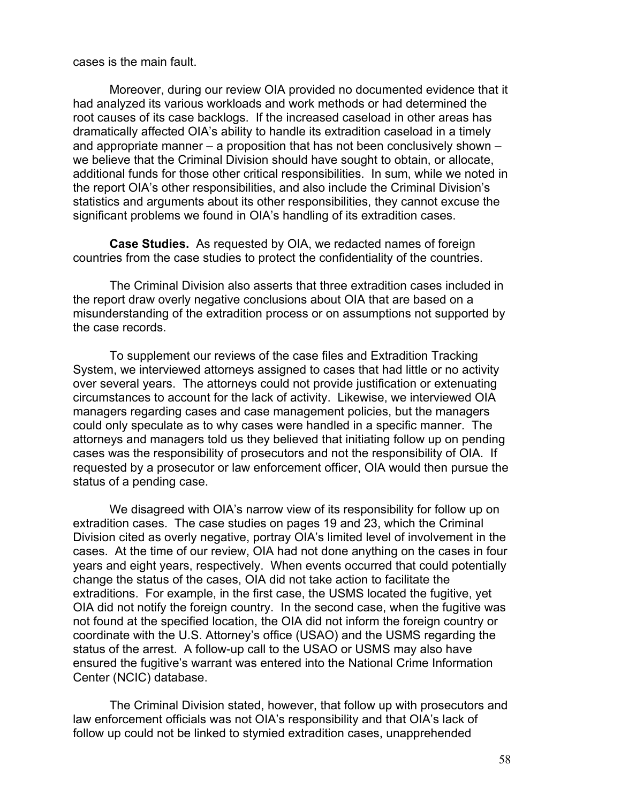cases is the main fault.

Moreover, during our review OIA provided no documented evidence that it had analyzed its various workloads and work methods or had determined the root causes of its case backlogs. If the increased caseload in other areas has dramatically affected OIA's ability to handle its extradition caseload in a timely and appropriate manner – a proposition that has not been conclusively shown – we believe that the Criminal Division should have sought to obtain, or allocate, additional funds for those other critical responsibilities. In sum, while we noted in the report OIA's other responsibilities, and also include the Criminal Division's statistics and arguments about its other responsibilities, they cannot excuse the significant problems we found in OIA's handling of its extradition cases.

**Case Studies.** As requested by OIA, we redacted names of foreign countries from the case studies to protect the confidentiality of the countries.

 The Criminal Division also asserts that three extradition cases included in the report draw overly negative conclusions about OIA that are based on a misunderstanding of the extradition process or on assumptions not supported by the case records.

To supplement our reviews of the case files and Extradition Tracking System, we interviewed attorneys assigned to cases that had little or no activity over several years. The attorneys could not provide justification or extenuating circumstances to account for the lack of activity. Likewise, we interviewed OIA managers regarding cases and case management policies, but the managers could only speculate as to why cases were handled in a specific manner. The attorneys and managers told us they believed that initiating follow up on pending cases was the responsibility of prosecutors and not the responsibility of OIA. If requested by a prosecutor or law enforcement officer, OIA would then pursue the status of a pending case.

We disagreed with OIA's narrow view of its responsibility for follow up on extradition cases. The case studies on pages 19 and 23, which the Criminal Division cited as overly negative, portray OIA's limited level of involvement in the cases. At the time of our review, OIA had not done anything on the cases in four years and eight years, respectively. When events occurred that could potentially change the status of the cases, OIA did not take action to facilitate the extraditions. For example, in the first case, the USMS located the fugitive, yet OIA did not notify the foreign country. In the second case, when the fugitive was not found at the specified location, the OIA did not inform the foreign country or coordinate with the U.S. Attorney's office (USAO) and the USMS regarding the status of the arrest. A follow-up call to the USAO or USMS may also have ensured the fugitive's warrant was entered into the National Crime Information Center (NCIC) database.

The Criminal Division stated, however, that follow up with prosecutors and law enforcement officials was not OIA's responsibility and that OIA's lack of follow up could not be linked to stymied extradition cases, unapprehended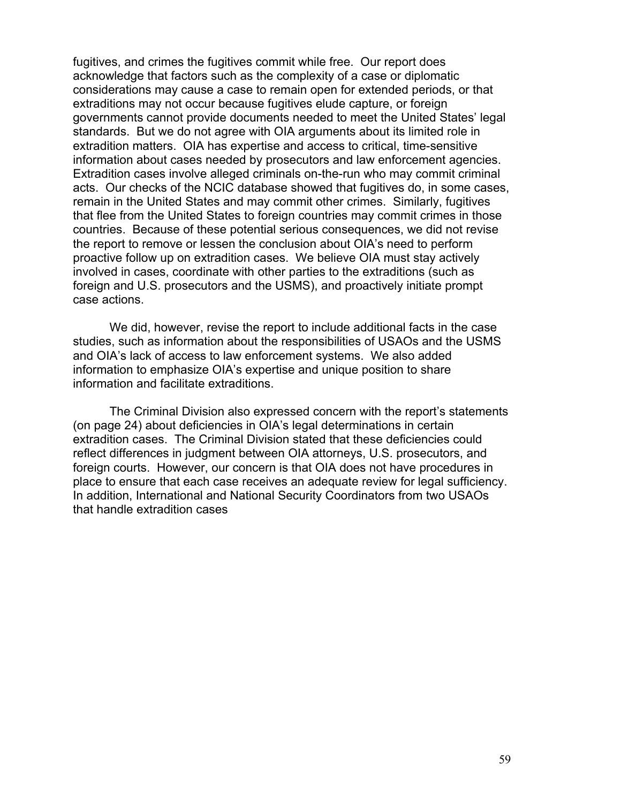fugitives, and crimes the fugitives commit while free. Our report does acknowledge that factors such as the complexity of a case or diplomatic considerations may cause a case to remain open for extended periods, or that extraditions may not occur because fugitives elude capture, or foreign governments cannot provide documents needed to meet the United States' legal standards. But we do not agree with OIA arguments about its limited role in extradition matters. OIA has expertise and access to critical, time-sensitive information about cases needed by prosecutors and law enforcement agencies. Extradition cases involve alleged criminals on-the-run who may commit criminal acts. Our checks of the NCIC database showed that fugitives do, in some cases, remain in the United States and may commit other crimes. Similarly, fugitives that flee from the United States to foreign countries may commit crimes in those countries. Because of these potential serious consequences, we did not revise the report to remove or lessen the conclusion about OIA's need to perform proactive follow up on extradition cases. We believe OIA must stay actively involved in cases, coordinate with other parties to the extraditions (such as foreign and U.S. prosecutors and the USMS), and proactively initiate prompt case actions.

We did, however, revise the report to include additional facts in the case studies, such as information about the responsibilities of USAOs and the USMS and OIA's lack of access to law enforcement systems. We also added information to emphasize OIA's expertise and unique position to share information and facilitate extraditions.

The Criminal Division also expressed concern with the report's statements (on page 24) about deficiencies in OIA's legal determinations in certain extradition cases. The Criminal Division stated that these deficiencies could reflect differences in judgment between OIA attorneys, U.S. prosecutors, and foreign courts. However, our concern is that OIA does not have procedures in place to ensure that each case receives an adequate review for legal sufficiency. In addition, International and National Security Coordinators from two USAOs that handle extradition cases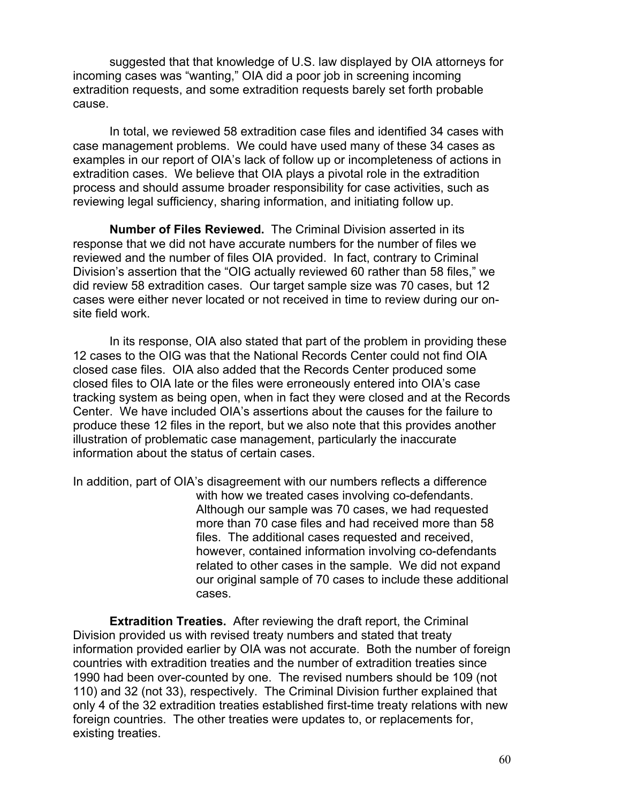suggested that that knowledge of U.S. law displayed by OIA attorneys for incoming cases was "wanting," OIA did a poor job in screening incoming extradition requests, and some extradition requests barely set forth probable cause.

 In total, we reviewed 58 extradition case files and identified 34 cases with case management problems. We could have used many of these 34 cases as examples in our report of OIA's lack of follow up or incompleteness of actions in extradition cases. We believe that OIA plays a pivotal role in the extradition process and should assume broader responsibility for case activities, such as reviewing legal sufficiency, sharing information, and initiating follow up.

**Number of Files Reviewed.** The Criminal Division asserted in its response that we did not have accurate numbers for the number of files we reviewed and the number of files OIA provided. In fact, contrary to Criminal Division's assertion that the "OIG actually reviewed 60 rather than 58 files," we did review 58 extradition cases. Our target sample size was 70 cases, but 12 cases were either never located or not received in time to review during our onsite field work.

In its response, OIA also stated that part of the problem in providing these 12 cases to the OIG was that the National Records Center could not find OIA closed case files. OIA also added that the Records Center produced some closed files to OIA late or the files were erroneously entered into OIA's case tracking system as being open, when in fact they were closed and at the Records Center. We have included OIA's assertions about the causes for the failure to produce these 12 files in the report, but we also note that this provides another illustration of problematic case management, particularly the inaccurate information about the status of certain cases.

In addition, part of OIA's disagreement with our numbers reflects a difference with how we treated cases involving co-defendants. Although our sample was 70 cases, we had requested more than 70 case files and had received more than 58 files. The additional cases requested and received, however, contained information involving co-defendants related to other cases in the sample. We did not expand our original sample of 70 cases to include these additional cases.

**Extradition Treaties.** After reviewing the draft report, the Criminal Division provided us with revised treaty numbers and stated that treaty information provided earlier by OIA was not accurate. Both the number of foreign countries with extradition treaties and the number of extradition treaties since 1990 had been over-counted by one. The revised numbers should be 109 (not 110) and 32 (not 33), respectively. The Criminal Division further explained that only 4 of the 32 extradition treaties established first-time treaty relations with new foreign countries. The other treaties were updates to, or replacements for, existing treaties.